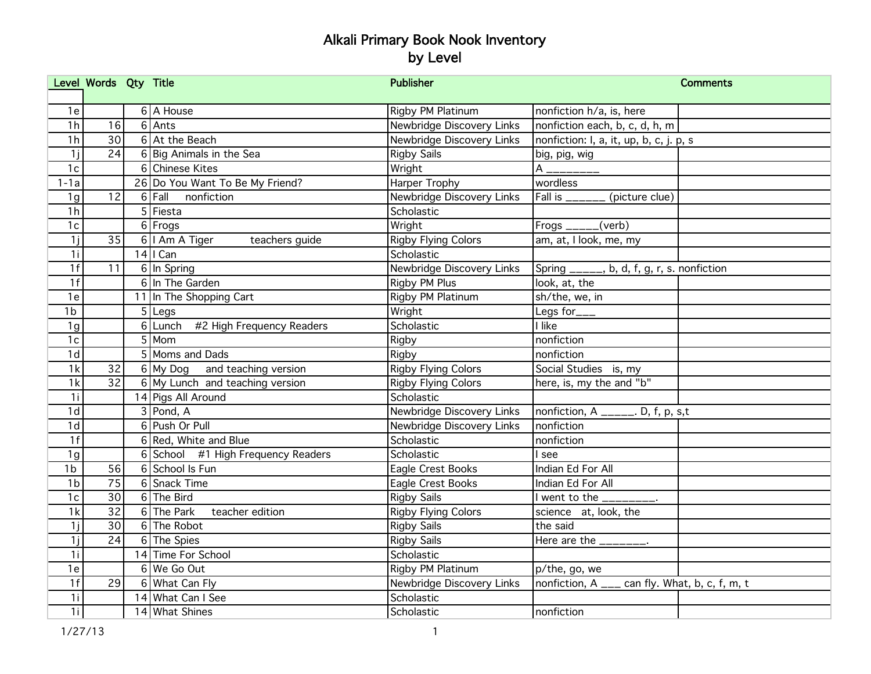|                | Level Words Qty Title |                                    | <b>Publisher</b>           | <b>Comments</b>                                |
|----------------|-----------------------|------------------------------------|----------------------------|------------------------------------------------|
|                |                       |                                    |                            |                                                |
| 1e             |                       | 6 A House                          | Rigby PM Platinum          | nonfiction h/a, is, here                       |
| 1 <sub>h</sub> | 16                    | $6$ Ants                           | Newbridge Discovery Links  | nonfiction each, b, c, d, h, m                 |
| 1 <sub>h</sub> | 30                    | 6 At the Beach                     | Newbridge Discovery Links  | nonfiction: I, a, it, up, b, c, j. p, s        |
| 1 <sub>i</sub> | 24                    | 6 Big Animals in the Sea           | <b>Rigby Sails</b>         | big, pig, wig                                  |
| 1c             |                       | 6 Chinese Kites                    | Wright                     |                                                |
| $1-1a$         |                       | 26 Do You Want To Be My Friend?    | Harper Trophy              | wordless                                       |
| 1g             | 12                    | 6 Fall nonfiction                  | Newbridge Discovery Links  | Fall is ______ (picture clue)                  |
| 1 <sub>h</sub> |                       | $5$ Fiesta                         | Scholastic                 |                                                |
| 1c             |                       | 6 Frogs                            | Wright                     | Frogs $\frac{\ }{\ }$ (verb)                   |
| 1j             | 35                    | $6$   Am A Tiger<br>teachers guide | <b>Rigby Flying Colors</b> | am, at, I look, me, my                         |
| 1i             |                       | $14$   Can                         | Scholastic                 |                                                |
| 1f             | 11                    | 6 In Spring                        | Newbridge Discovery Links  | Spring ______, b, d, f, g, r, s. nonfiction    |
| 1f             |                       | 6 In The Garden                    | Rigby PM Plus              | look, at, the                                  |
| 1e             |                       | 11 In The Shopping Cart            | Rigby PM Platinum          | sh/the, we, in                                 |
| 1 <sub>b</sub> |                       | $5$ Legs                           | Wright                     | Legs for___                                    |
| 1g             |                       | 6 Lunch #2 High Frequency Readers  | Scholastic                 | I like                                         |
| 1c             |                       | $5 \overline{\text{Mom}}$          | Rigby                      | nonfiction                                     |
| 1 <sub>d</sub> |                       | 5 Moms and Dads                    | Rigby                      | nonfiction                                     |
| 1k             | 32                    | $6$ My Dog and teaching version    | <b>Rigby Flying Colors</b> | Social Studies is, my                          |
| 1k             | 32                    | 6 My Lunch and teaching version    | <b>Rigby Flying Colors</b> | here, is, my the and "b"                       |
| 1 <sub>i</sub> |                       | 14 Pigs All Around                 | Scholastic                 |                                                |
| 1 <sub>d</sub> |                       | $3$ Pond, A                        | Newbridge Discovery Links  | nonfiction, $A$ _____. D, f, p, s,t            |
| 1d             |                       | 6 Push Or Pull                     | Newbridge Discovery Links  | nonfiction                                     |
| 1f             |                       | 6 Red, White and Blue              | Scholastic                 | nonfiction                                     |
| 1g             |                       | 6 School #1 High Frequency Readers | Scholastic                 | I see                                          |
| 1 <sub>b</sub> | 56                    | 6 School Is Fun                    | Eagle Crest Books          | Indian Ed For All                              |
| 1 <sub>b</sub> | $\overline{75}$       | 6 Snack Time                       | Eagle Crest Books          | Indian Ed For All                              |
| 1c             | 30                    | 6 The Bird                         | <b>Rigby Sails</b>         | I went to the _________.                       |
| 1k             | $\overline{32}$       | 6 The Park teacher edition         | <b>Rigby Flying Colors</b> | science at, look, the                          |
| 1j             | 30                    | 6 The Robot                        | <b>Rigby Sails</b>         | the said                                       |
| 1 <sub>i</sub> | 24                    | 6 The Spies                        | <b>Rigby Sails</b>         | Here are the $\frac{1}{2}$ - $\frac{1}{2}$     |
| 1 <sub>i</sub> |                       | 14 Time For School                 | Scholastic                 |                                                |
| 1e             |                       | $6$ We Go Out                      | Rigby PM Platinum          | p/the, go, we                                  |
| 1f             | 29                    | 6 What Can Fly                     | Newbridge Discovery Links  | nonfiction, A ___ can fly. What, b, c, f, m, t |
| 1 <sub>i</sub> |                       | 14 What Can I See                  | Scholastic                 |                                                |
| 1 <sub>i</sub> |                       | 14 What Shines                     | Scholastic                 | Inonfiction                                    |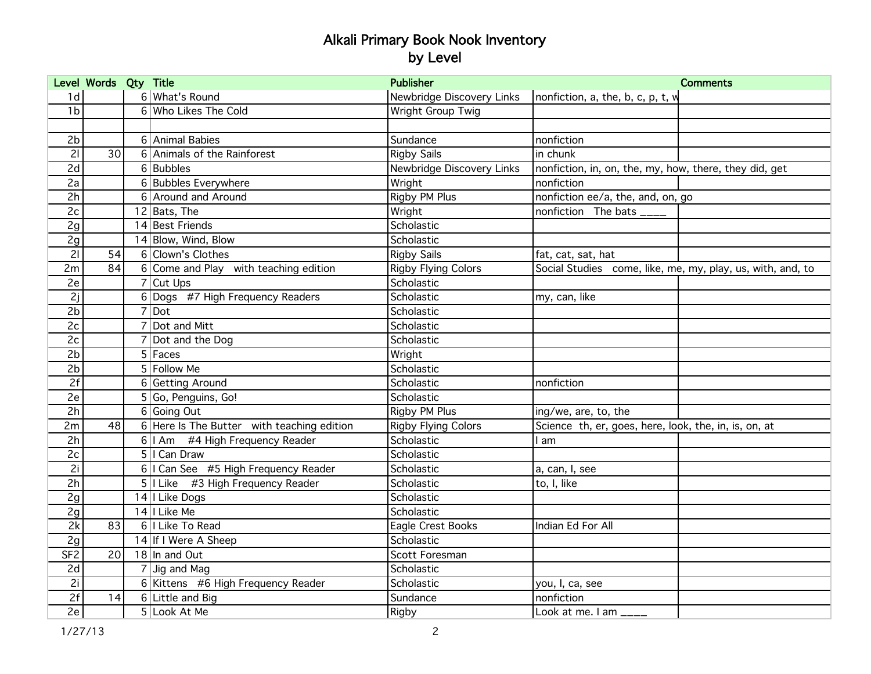|                 | Level Words Qty Title |                |                                            | <b>Publisher</b>           | <b>Comments</b>                                            |
|-----------------|-----------------------|----------------|--------------------------------------------|----------------------------|------------------------------------------------------------|
| 1d              |                       |                | 6 What's Round                             | Newbridge Discovery Links  | nonfiction, a, the, b, c, p, t, w                          |
| 1 <sub>b</sub>  |                       |                | 6 Who Likes The Cold                       | Wright Group Twig          |                                                            |
|                 |                       |                |                                            |                            |                                                            |
| 2 <sub>b</sub>  |                       |                | 6 Animal Babies                            | Sundance                   | nonfiction                                                 |
| 21              | 30                    |                | 6 Animals of the Rainforest                | <b>Rigby Sails</b>         | in chunk                                                   |
| 2d              |                       |                | 6 Bubbles                                  | Newbridge Discovery Links  | nonfiction, in, on, the, my, how, there, they did, get     |
| 2a              |                       |                | 6 Bubbles Everywhere                       | Wright                     | nonfiction                                                 |
| 2h              |                       |                | 6 Around and Around                        | Rigby PM Plus              | nonfiction ee/a, the, and, on, go                          |
| 2c              |                       |                | $\overline{12}$ Bats, The                  | Wright                     | nonfiction The bats ____                                   |
| 2g              |                       |                | 14 Best Friends                            | Scholastic                 |                                                            |
| 2g              |                       |                | 14 Blow, Wind, Blow                        | Scholastic                 |                                                            |
| 21              | 54                    |                | 6 Clown's Clothes                          | <b>Rigby Sails</b>         | fat, cat, sat, hat                                         |
| 2m              | 84                    |                | 6 Come and Play with teaching edition      | <b>Rigby Flying Colors</b> | Social Studies come, like, me, my, play, us, with, and, to |
| 2e              |                       |                | $7$ Cut Ups                                | Scholastic                 |                                                            |
| 2j              |                       |                | 6 Dogs #7 High Frequency Readers           | Scholastic                 | my, can, like                                              |
| 2 <sub>b</sub>  |                       | $\overline{7}$ | Dot]                                       | Scholastic                 |                                                            |
| 2c              |                       |                | Dot and Mitt                               | Scholastic                 |                                                            |
| 2c              |                       |                | Dot and the Dog                            | Scholastic                 |                                                            |
| 2 <sub>b</sub>  |                       |                | $5$ Faces                                  | Wright                     |                                                            |
| 2 <sub>b</sub>  |                       |                | 5 Follow Me                                | Scholastic                 |                                                            |
| 2f              |                       | 6              | <b>Getting Around</b>                      | Scholastic                 | nonfiction                                                 |
| 2e              |                       |                | 5 Go, Penguins, Go!                        | Scholastic                 |                                                            |
| 2h              |                       |                | 6 Going Out                                | Rigby PM Plus              | ing/we, are, to, the                                       |
| 2m              | 48                    |                | 6 Here Is The Butter with teaching edition | <b>Rigby Flying Colors</b> | Science th, er, goes, here, look, the, in, is, on, at      |
| 2h              |                       |                | 6   I Am #4 High Frequency Reader          | Scholastic                 | am                                                         |
| 2c              |                       |                | 5   Can Draw                               | Scholastic                 |                                                            |
| 2i              |                       |                | 6   I Can See #5 High Frequency Reader     | Scholastic                 | a, can, I, see                                             |
| 2h              |                       |                | 5   Like #3 High Frequency Reader          | Scholastic                 | to, I, like                                                |
| 2g              |                       |                | 14   Like Dogs                             | Scholastic                 |                                                            |
| 2g              |                       |                | 14   Like Me                               | Scholastic                 |                                                            |
| 2k              | 83                    |                | 6   Like To Read                           | Eagle Crest Books          | Indian Ed For All                                          |
| 2g              |                       |                | 14 If I Were A Sheep                       | Scholastic                 |                                                            |
| SF <sub>2</sub> | 20                    |                | 18 In and Out                              | Scott Foresman             |                                                            |
| 2d              |                       |                | $7$ Jig and Mag                            | Scholastic                 |                                                            |
| 2i              |                       |                | 6 Kittens #6 High Frequency Reader         | Scholastic                 | you, I, ca, see                                            |
| 2f              | 14                    |                | $\overline{6}$ Little and Big              | Sundance                   | nonfiction                                                 |
| 2e              |                       |                | 5 Look At Me                               | Rigby                      | Look at me. I am ____                                      |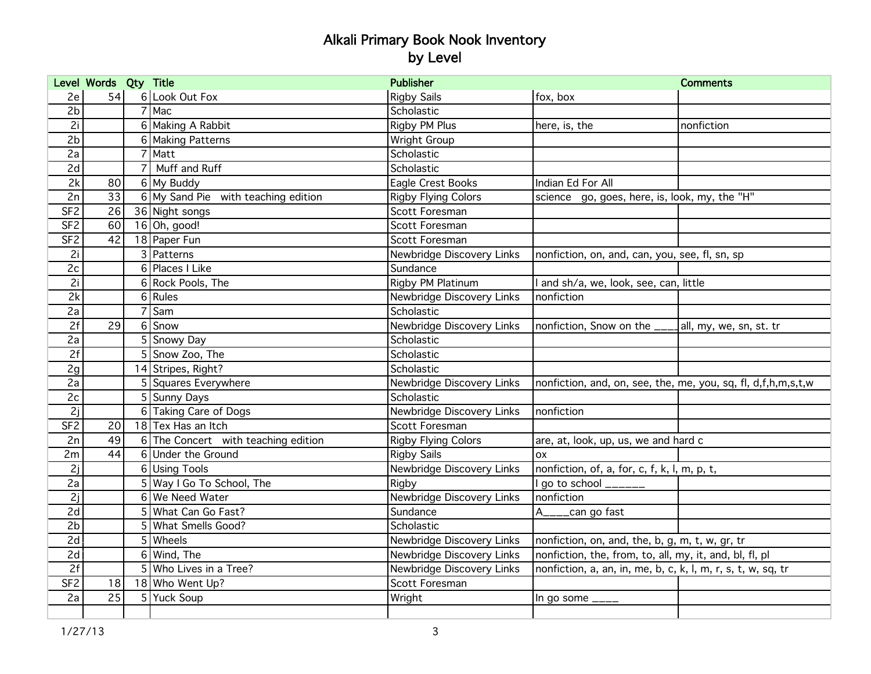|                 | Level Words Qty Title |   |                                       | <b>Publisher</b>           |                                                               | <b>Comments</b>         |
|-----------------|-----------------------|---|---------------------------------------|----------------------------|---------------------------------------------------------------|-------------------------|
| 2e              | 54                    |   | 6 Look Out Fox                        | <b>Rigby Sails</b>         | fox, box                                                      |                         |
| 2 <sub>b</sub>  |                       |   | 7 Mac                                 | Scholastic                 |                                                               |                         |
| $\overline{2i}$ |                       |   | 6 Making A Rabbit                     | Rigby PM Plus              | here, is, the                                                 | nonfiction              |
| 2 <sub>b</sub>  |                       |   | 6 Making Patterns                     | Wright Group               |                                                               |                         |
| 2a              |                       |   | 7 Matt                                | Scholastic                 |                                                               |                         |
| 2d              |                       |   | Muff and Ruff                         | Scholastic                 |                                                               |                         |
| 2k              | 80                    |   | 6 My Buddy                            | Eagle Crest Books          | Indian Ed For All                                             |                         |
| 2n              | 33                    |   | $6$ My Sand Pie with teaching edition | <b>Rigby Flying Colors</b> | science go, goes, here, is, look, my, the "H"                 |                         |
| SF <sub>2</sub> | 26                    |   | 36 Night songs                        | Scott Foresman             |                                                               |                         |
| SF <sub>2</sub> | 60                    |   | $16$ Oh, good!                        | Scott Foresman             |                                                               |                         |
| SF <sub>2</sub> | 42                    |   | 18 Paper Fun                          | Scott Foresman             |                                                               |                         |
| 2i              |                       |   | 3 Patterns                            | Newbridge Discovery Links  | nonfiction, on, and, can, you, see, fl, sn, sp                |                         |
| 2c              |                       |   | 6 Places I Like                       | Sundance                   |                                                               |                         |
| 2i              |                       |   | 6 Rock Pools, The                     | Rigby PM Platinum          | and sh/a, we, look, see, can, little                          |                         |
| 2k              |                       |   | $6$ Rules                             | Newbridge Discovery Links  | nonfiction                                                    |                         |
| 2a              |                       |   | l Sam                                 | Scholastic                 |                                                               |                         |
| 2f              | 29                    |   | 6 Snow                                | Newbridge Discovery Links  | nonfiction, Snow on the __                                    | all, my, we, sn, st. tr |
| 2a              |                       |   | 5 Snowy Day                           | Scholastic                 |                                                               |                         |
| $\overline{2f}$ |                       |   | 5 Snow Zoo, The                       | Scholastic                 |                                                               |                         |
| 2g              |                       |   | 14 Stripes, Right?                    | Scholastic                 |                                                               |                         |
| 2a              |                       |   | 5 Squares Everywhere                  | Newbridge Discovery Links  | nonfiction, and, on, see, the, me, you, sq, fl, d,f,h,m,s,t,w |                         |
| 2c              |                       |   | 5 Sunny Days                          | Scholastic                 |                                                               |                         |
| 2j              |                       |   | 6 Taking Care of Dogs                 | Newbridge Discovery Links  | nonfiction                                                    |                         |
| SF <sub>2</sub> | 20                    |   | 18 Tex Has an Itch                    | Scott Foresman             |                                                               |                         |
| 2n              | 49                    |   | 6 The Concert with teaching edition   | <b>Rigby Flying Colors</b> | are, at, look, up, us, we and hard c                          |                         |
| 2m              | 44                    |   | 6 Under the Ground                    | <b>Rigby Sails</b>         | <b>OX</b>                                                     |                         |
| 2j              |                       |   | 6 Using Tools                         | Newbridge Discovery Links  | nonfiction, of, a, for, c, f, k, l, m, p, t,                  |                         |
| 2a              |                       |   | 5 Way I Go To School, The             | Rigby                      | go to school ______                                           |                         |
| 2j              |                       |   | 6 We Need Water                       | Newbridge Discovery Links  | nonfiction                                                    |                         |
| 2d              |                       |   | What Can Go Fast?                     | Sundance                   | can go fast                                                   |                         |
| 2 <sub>b</sub>  |                       | 5 | What Smells Good?                     | Scholastic                 |                                                               |                         |
| 2d              |                       |   | 5 Wheels                              | Newbridge Discovery Links  | nonfiction, on, and, the, b, g, m, t, w, gr, tr               |                         |
| 2d              |                       |   | $6$ Wind, The                         | Newbridge Discovery Links  | nonfiction, the, from, to, all, my, it, and, bl, fl, pl       |                         |
| 2f              |                       |   | 5 Who Lives in a Tree?                | Newbridge Discovery Links  | nonfiction, a, an, in, me, b, c, k, l, m, r, s, t, w, sq, tr  |                         |
| SF <sub>2</sub> | 18                    |   | 18 Who Went Up?                       | Scott Foresman             |                                                               |                         |
| 2a              | 25                    |   | 5 Yuck Soup                           | Wright                     | In go some $\_{---}$                                          |                         |
|                 |                       |   |                                       |                            |                                                               |                         |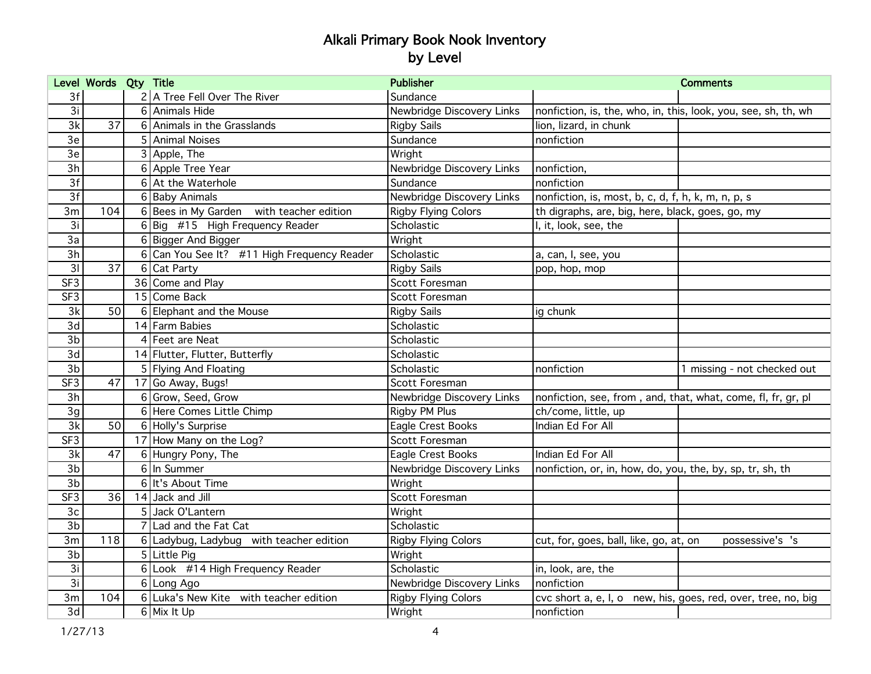|                 | Level Words Qty Title |                                             | <b>Publisher</b>           |                                                                | <b>Comments</b>             |
|-----------------|-----------------------|---------------------------------------------|----------------------------|----------------------------------------------------------------|-----------------------------|
| 3f              |                       | 2 A Tree Fell Over The River                | Sundance                   |                                                                |                             |
| 3i              |                       | 6 Animals Hide                              | Newbridge Discovery Links  | nonfiction, is, the, who, in, this, look, you, see, sh, th, wh |                             |
| 3k              | $\overline{37}$       | 6 Animals in the Grasslands                 | <b>Rigby Sails</b>         | lion, lizard, in chunk                                         |                             |
| $\overline{3e}$ |                       | 5 Animal Noises                             | Sundance                   | nonfiction                                                     |                             |
| 3e              |                       | 3 Apple, The                                | Wright                     |                                                                |                             |
| $\overline{3h}$ |                       | 6 Apple Tree Year                           | Newbridge Discovery Links  | nonfiction,                                                    |                             |
| 3f              |                       | 6 At the Waterhole                          | Sundance                   | nonfiction                                                     |                             |
| 3f              |                       | 6 Baby Animals                              | Newbridge Discovery Links  | nonfiction, is, most, b, c, d, f, h, k, m, n, p, s             |                             |
| 3m              | 104                   | 6 Bees in My Garden with teacher edition    | <b>Rigby Flying Colors</b> | th digraphs, are, big, here, black, goes, go, my               |                             |
| 3i              |                       | 6 Big $\#$ 15 High Frequency Reader         | Scholastic                 | I, it, look, see, the                                          |                             |
| 3a              |                       | 6 Bigger And Bigger                         | Wright                     |                                                                |                             |
| 3h              |                       | 6 Can You See It? #11 High Frequency Reader | Scholastic                 | a, can, I, see, you                                            |                             |
| 31              | $\overline{37}$       | 6 Cat Party                                 | <b>Rigby Sails</b>         | pop, hop, mop                                                  |                             |
| SF <sub>3</sub> |                       | 36 Come and Play                            | Scott Foresman             |                                                                |                             |
| SF <sub>3</sub> |                       | 15 Come Back                                | Scott Foresman             |                                                                |                             |
| $\overline{3k}$ | 50                    | 6 Elephant and the Mouse                    | <b>Rigby Sails</b>         | ig chunk                                                       |                             |
| 3d              |                       | 14 Farm Babies                              | Scholastic                 |                                                                |                             |
| 3 <sub>b</sub>  |                       | 4 Feet are Neat                             | Scholastic                 |                                                                |                             |
| 3d              |                       | 14 Flutter, Flutter, Butterfly              | Scholastic                 |                                                                |                             |
| 3 <sub>b</sub>  |                       | 5 Flying And Floating                       | Scholastic                 | nonfiction                                                     | 1 missing - not checked out |
| SF <sub>3</sub> | 47                    | 17 Go Away, Bugs!                           | Scott Foresman             |                                                                |                             |
| 3h              |                       | 6 Grow, Seed, Grow                          | Newbridge Discovery Links  | nonfiction, see, from, and, that, what, come, fl, fr, gr, pl   |                             |
| 3g              |                       | 6 Here Comes Little Chimp                   | Rigby PM Plus              | ch/come, little, up                                            |                             |
| 3k              | 50                    | 6 Holly's Surprise                          | Eagle Crest Books          | Indian Ed For All                                              |                             |
| SF3             |                       | 17 How Many on the Log?                     | Scott Foresman             |                                                                |                             |
| 3k              | 47                    | 6 Hungry Pony, The                          | Eagle Crest Books          | Indian Ed For All                                              |                             |
| $\overline{3b}$ |                       | 6 In Summer                                 | Newbridge Discovery Links  | nonfiction, or, in, how, do, you, the, by, sp, tr, sh, th      |                             |
| 3 <sub>b</sub>  |                       | 6 It's About Time                           | Wright                     |                                                                |                             |
| SF3             | 36                    | 14 Jack and Jill                            | Scott Foresman             |                                                                |                             |
| 3 <sub>c</sub>  |                       | 5 Jack O'Lantern                            | Wright                     |                                                                |                             |
| 3 <sub>b</sub>  |                       | 7 Lad and the Fat Cat                       | Scholastic                 |                                                                |                             |
| 3m              | 118                   | 6 Ladybug, Ladybug with teacher edition     | <b>Rigby Flying Colors</b> | cut, for, goes, ball, like, go, at, on                         | possessive's 's             |
| 3b              |                       | 5 Little Pig                                | Wright                     |                                                                |                             |
| 3i              |                       | 6 Look #14 High Frequency Reader            | Scholastic                 | in, look, are, the                                             |                             |
| 3i              |                       | 6 Long Ago                                  | Newbridge Discovery Links  | nonfiction                                                     |                             |
| 3m              | 104                   | 6 Luka's New Kite with teacher edition      | <b>Rigby Flying Colors</b> | cvc short a, e, I, o new, his, goes, red, over, tree, no, big  |                             |
| 3d              |                       | 6 Mix It Up                                 | Wright                     | nonfiction                                                     |                             |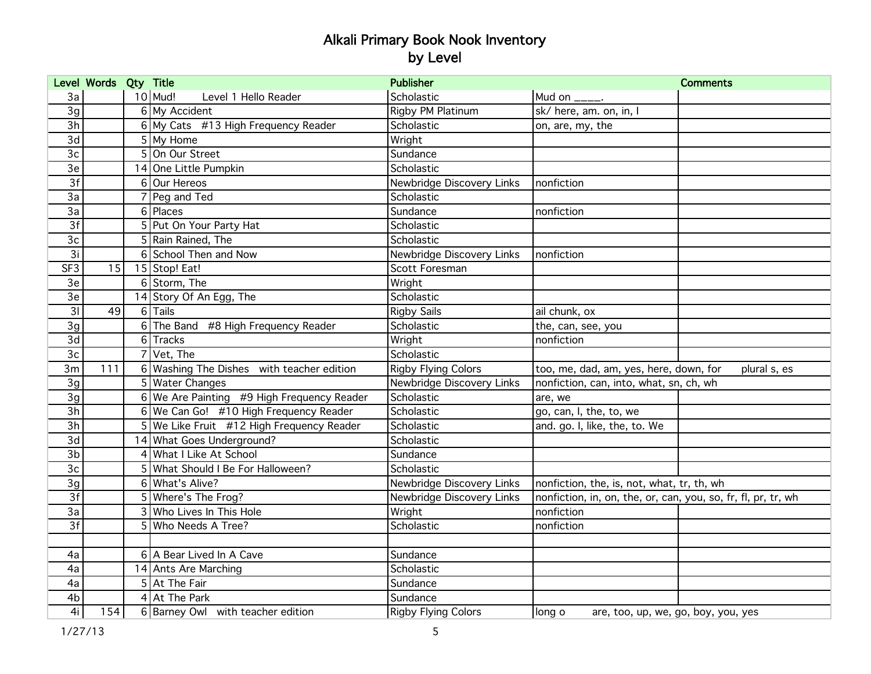|                 | Level Words Qty Title |   |                                             | <b>Publisher</b>           |                                                               | <b>Comments</b> |
|-----------------|-----------------------|---|---------------------------------------------|----------------------------|---------------------------------------------------------------|-----------------|
| 3a              |                       |   | $10$ Mud!<br>Level 1 Hello Reader           | Scholastic                 | Mud on $_{\_---}$ .                                           |                 |
| 3g              |                       |   | 6 My Accident                               | Rigby PM Platinum          | sk/ here, am. on, in, I                                       |                 |
| 3h              |                       |   | 6 My Cats #13 High Frequency Reader         | Scholastic                 | on, are, my, the                                              |                 |
| 3d              |                       |   | $5$ My Home                                 | Wright                     |                                                               |                 |
| 3c              |                       |   | 5 On Our Street                             | Sundance                   |                                                               |                 |
| 3e              |                       |   | 14 One Little Pumpkin                       | Scholastic                 |                                                               |                 |
| 3f              |                       |   | 6 Our Hereos                                | Newbridge Discovery Links  | nonfiction                                                    |                 |
| 3a              |                       |   | Peg and Ted                                 | Scholastic                 |                                                               |                 |
| 3a              |                       |   | 6 Places                                    | Sundance                   | nonfiction                                                    |                 |
| 3f              |                       |   | 5 Put On Your Party Hat                     | Scholastic                 |                                                               |                 |
| 3 <sub>c</sub>  |                       |   | 5 Rain Rained, The                          | Scholastic                 |                                                               |                 |
| 3i              |                       |   | 6 School Then and Now                       | Newbridge Discovery Links  | nonfiction                                                    |                 |
| SF <sub>3</sub> | 15                    |   | $\overline{15}$ Stop! Eat!                  | Scott Foresman             |                                                               |                 |
| 3e              |                       |   | 6 Storm, The                                | Wright                     |                                                               |                 |
| 3e              |                       |   | 14 Story Of An Egg, The                     | Scholastic                 |                                                               |                 |
| 3 <sub>l</sub>  | 49                    |   | 6 Tails                                     | <b>Rigby Sails</b>         | ail chunk, ox                                                 |                 |
| 3g              |                       |   | 6 The Band #8 High Frequency Reader         | Scholastic                 | the, can, see, you                                            |                 |
| 3d              |                       |   | 6 Tracks                                    | Wright                     | nonfiction                                                    |                 |
| 3c              |                       |   | 7 Vet, The                                  | Scholastic                 |                                                               |                 |
| 3m              | 111                   |   | 6 Washing The Dishes with teacher edition   | <b>Rigby Flying Colors</b> | too, me, dad, am, yes, here, down, for                        | plural s, es    |
| 3g              |                       |   | 5 Water Changes                             | Newbridge Discovery Links  | nonfiction, can, into, what, sn, ch, wh                       |                 |
| 3g              |                       |   | 6 We Are Painting #9 High Frequency Reader  | Scholastic                 | are, we                                                       |                 |
| 3h              |                       |   | 6 We Can Go! #10 High Frequency Reader      | Scholastic                 | go, can, I, the, to, we                                       |                 |
| $\overline{3h}$ |                       |   | 5   We Like Fruit #12 High Frequency Reader | Scholastic                 | and. go. I, like, the, to. We                                 |                 |
| 3d              |                       |   | 14 What Goes Underground?                   | Scholastic                 |                                                               |                 |
| 3 <sub>b</sub>  |                       | 4 | What I Like At School                       | Sundance                   |                                                               |                 |
| 3c              |                       |   | 5 What Should I Be For Halloween?           | Scholastic                 |                                                               |                 |
| 3g              |                       |   | 6 What's Alive?                             | Newbridge Discovery Links  | nonfiction, the, is, not, what, tr, th, wh                    |                 |
| 3f              |                       |   | 5 Where's The Frog?                         | Newbridge Discovery Links  | nonfiction, in, on, the, or, can, you, so, fr, fl, pr, tr, wh |                 |
| 3a              |                       |   | 3 Who Lives In This Hole                    | Wright                     | nonfiction                                                    |                 |
| 3f              |                       |   | 5 Who Needs A Tree?                         | Scholastic                 | nonfiction                                                    |                 |
|                 |                       |   |                                             |                            |                                                               |                 |
| 4a              |                       |   | 6 A Bear Lived In A Cave                    | Sundance                   |                                                               |                 |
| 4a              |                       |   | 14 Ants Are Marching                        | Scholastic                 |                                                               |                 |
| 4a              |                       |   | 5 At The Fair                               | Sundance                   |                                                               |                 |
| 4 <sub>b</sub>  |                       |   | $4$ At The Park                             | Sundance                   |                                                               |                 |
| 4i              | 154                   |   | 6 Barney Owl with teacher edition           | <b>Rigby Flying Colors</b> | long o<br>are, too, up, we, go, boy, you, yes                 |                 |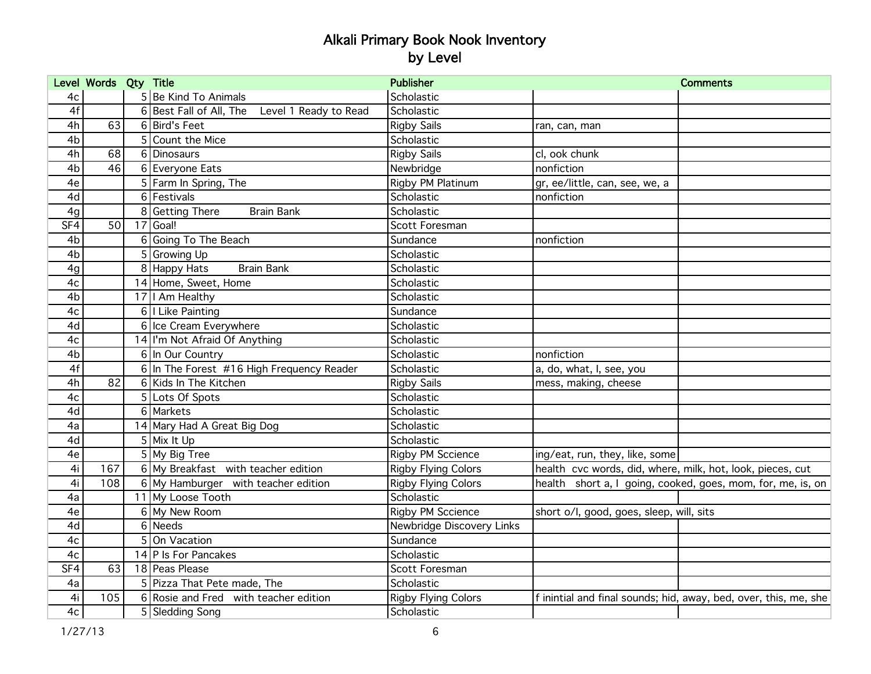|                | Level Words Qty Title |                                                  | <b>Publisher</b>           | <b>Comments</b>                                                  |
|----------------|-----------------------|--------------------------------------------------|----------------------------|------------------------------------------------------------------|
| 4c             |                       | 5 Be Kind To Animals                             | Scholastic                 |                                                                  |
| 4f             |                       | 6 Best Fall of All, The<br>Level 1 Ready to Read | Scholastic                 |                                                                  |
| 4h             | 63                    | 6 Bird's Feet                                    | <b>Rigby Sails</b>         | ran, can, man                                                    |
| 4 <sub>b</sub> |                       | 5 Count the Mice                                 | Scholastic                 |                                                                  |
| 4h             | 68                    | 6 Dinosaurs                                      | <b>Rigby Sails</b>         | cl, ook chunk                                                    |
| 4b             | 46                    | 6 Everyone Eats                                  | Newbridge                  | nonfiction                                                       |
| 4e             |                       | 5 Farm In Spring, The                            | Rigby PM Platinum          | gr, ee/little, can, see, we, a                                   |
| 4d             |                       | 6 Festivals                                      | Scholastic                 | nonfiction                                                       |
| 4g             |                       | 8 Getting There<br><b>Brain Bank</b>             | Scholastic                 |                                                                  |
| SF4            | 50                    | $17$ Goal!                                       | Scott Foresman             |                                                                  |
| 4 <sub>b</sub> |                       | 6 Going To The Beach                             | Sundance                   | nonfiction                                                       |
| 4 <sub>b</sub> |                       | 5 Growing Up                                     | Scholastic                 |                                                                  |
| 4g             |                       | 8 Happy Hats<br><b>Brain Bank</b>                | Scholastic                 |                                                                  |
| 4c             |                       | 14 Home, Sweet, Home                             | Scholastic                 |                                                                  |
| 4 <sub>b</sub> |                       | 17   I Am Healthy                                | Scholastic                 |                                                                  |
| 4c             |                       | 6   Like Painting                                | Sundance                   |                                                                  |
| 4d             |                       | 6 Ice Cream Everywhere                           | Scholastic                 |                                                                  |
| 4c             |                       | 14 I'm Not Afraid Of Anything                    | Scholastic                 |                                                                  |
| 4 <sub>b</sub> |                       | 6 In Our Country                                 | Scholastic                 | nonfiction                                                       |
| 4f             |                       | 6 In The Forest #16 High Frequency Reader        | Scholastic                 | a, do, what, I, see, you                                         |
| 4h             | 82                    | 6 Kids In The Kitchen                            | <b>Rigby Sails</b>         | mess, making, cheese                                             |
| 4c             |                       | 5 Lots Of Spots                                  | Scholastic                 |                                                                  |
| 4d             |                       | 6 Markets                                        | Scholastic                 |                                                                  |
| 4a             |                       | 14 Mary Had A Great Big Dog                      | Scholastic                 |                                                                  |
| 4d             |                       | 5 Mix It Up                                      | Scholastic                 |                                                                  |
| 4e             |                       | 5 My Big Tree                                    | <b>Rigby PM Sccience</b>   | ing/eat, run, they, like, some                                   |
| 4i             | 167                   | 6 My Breakfast with teacher edition              | <b>Rigby Flying Colors</b> | health cvc words, did, where, milk, hot, look, pieces, cut       |
| 4i             | 108                   | 6 My Hamburger with teacher edition              | <b>Rigby Flying Colors</b> | health short a, I going, cooked, goes, mom, for, me, is, on      |
| 4a             |                       | 11 My Loose Tooth                                | Scholastic                 |                                                                  |
| 4e             |                       | 6 My New Room                                    | <b>Rigby PM Sccience</b>   | short o/l, good, goes, sleep, will, sits                         |
| 4d             |                       | 6 Needs                                          | Newbridge Discovery Links  |                                                                  |
| 4c             |                       | 5 On Vacation                                    | Sundance                   |                                                                  |
| 4c             |                       | 14 P Is For Pancakes                             | Scholastic                 |                                                                  |
| SF4            | 63                    | 18 Peas Please                                   | Scott Foresman             |                                                                  |
| 4a             |                       | 5 Pizza That Pete made, The                      | Scholastic                 |                                                                  |
| 4i             | 105                   | 6 Rosie and Fred with teacher edition            | <b>Rigby Flying Colors</b> | f inintial and final sounds; hid, away, bed, over, this, me, she |
| 4c             |                       | 5 Sledding Song                                  | Scholastic                 |                                                                  |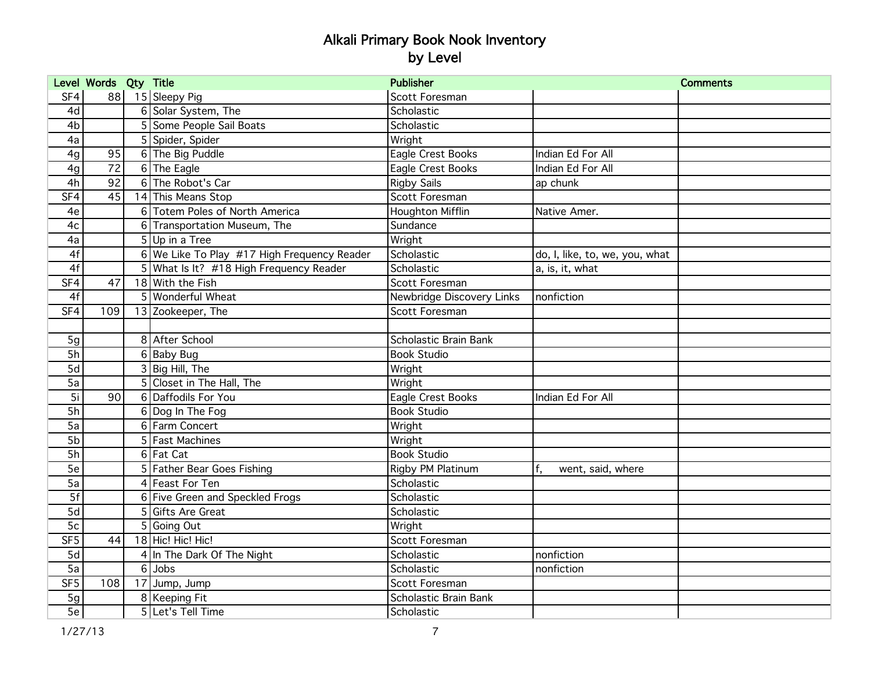|                 | Level Words Qty Title |                                             | <b>Publisher</b>          |                                | <b>Comments</b> |
|-----------------|-----------------------|---------------------------------------------|---------------------------|--------------------------------|-----------------|
| SF4             |                       | 88 15 Sleepy Pig                            | Scott Foresman            |                                |                 |
| 4d              |                       | 6 Solar System, The                         | Scholastic                |                                |                 |
| 4 <sub>b</sub>  |                       | 5 Some People Sail Boats                    | Scholastic                |                                |                 |
| 4a              |                       | 5 Spider, Spider                            | Wright                    |                                |                 |
| 4g              | 95                    | 6 The Big Puddle                            | Eagle Crest Books         | Indian Ed For All              |                 |
| 4g              | 72                    | $6$ The Eagle                               | Eagle Crest Books         | Indian Ed For All              |                 |
| 4h              | 92                    | 6 The Robot's Car                           | <b>Rigby Sails</b>        | ap chunk                       |                 |
| SF4             | 45                    | 14 This Means Stop                          | Scott Foresman            |                                |                 |
| 4e              |                       | 6 Totem Poles of North America              | <b>Houghton Mifflin</b>   | Native Amer.                   |                 |
| 4c              |                       | 6 Transportation Museum, The                | Sundance                  |                                |                 |
| 4a              |                       | $5$ Up in a Tree                            | Wright                    |                                |                 |
| 4f              |                       | 6 We Like To Play #17 High Frequency Reader | Scholastic                | do, I, like, to, we, you, what |                 |
| 4f              |                       | 5 What Is It? #18 High Frequency Reader     | Scholastic                | a, is, it, what                |                 |
| SF4             | 47                    | 18 With the Fish                            | Scott Foresman            |                                |                 |
| 4f              |                       | 5 Wonderful Wheat                           | Newbridge Discovery Links | Inonfiction                    |                 |
| SF4             | 109                   | 13 Zookeeper, The                           | Scott Foresman            |                                |                 |
|                 |                       |                                             |                           |                                |                 |
| 5g              |                       | 8 After School                              | Scholastic Brain Bank     |                                |                 |
| 5h              |                       | 6 Baby Bug                                  | <b>Book Studio</b>        |                                |                 |
| 5d              |                       | 3 Big Hill, The                             | Wright                    |                                |                 |
| 5a              |                       | 5 Closet in The Hall, The                   | Wright                    |                                |                 |
| $\overline{5i}$ | 90 <sup>°</sup>       | 6 Daffodils For You                         | Eagle Crest Books         | Indian Ed For All              |                 |
| $\overline{5h}$ |                       | 6 Dog In The Fog                            | <b>Book Studio</b>        |                                |                 |
| $\overline{5a}$ |                       | 6 Farm Concert                              | Wright                    |                                |                 |
| 5b              |                       | 5 Fast Machines                             | Wright                    |                                |                 |
| $\overline{5h}$ |                       | 6 Fat Cat                                   | <b>Book Studio</b>        |                                |                 |
| 5e              |                       | 5 Father Bear Goes Fishing                  | Rigby PM Platinum         | f.<br>went, said, where        |                 |
| 5a              |                       | 4 Feast For Ten                             | Scholastic                |                                |                 |
| 5f              |                       | 6 Five Green and Speckled Frogs             | Scholastic                |                                |                 |
| 5d              |                       | 5 Gifts Are Great                           | Scholastic                |                                |                 |
| $\overline{5c}$ |                       | 5 Going Out                                 | Wright                    |                                |                 |
| SF <sub>5</sub> | 44                    | 18 Hic! Hic! Hic!                           | Scott Foresman            |                                |                 |
| 5d              |                       | 4 In The Dark Of The Night                  | Scholastic                | nonfiction                     |                 |
| 5a              |                       | $6$ Jobs                                    | Scholastic                | nonfiction                     |                 |
| SF <sub>5</sub> | 108                   | 17 Jump, Jump                               | Scott Foresman            |                                |                 |
| 5g              |                       | 8   Keeping Fit                             | Scholastic Brain Bank     |                                |                 |
| 5e              |                       | 5 Let's Tell Time                           | Scholastic                |                                |                 |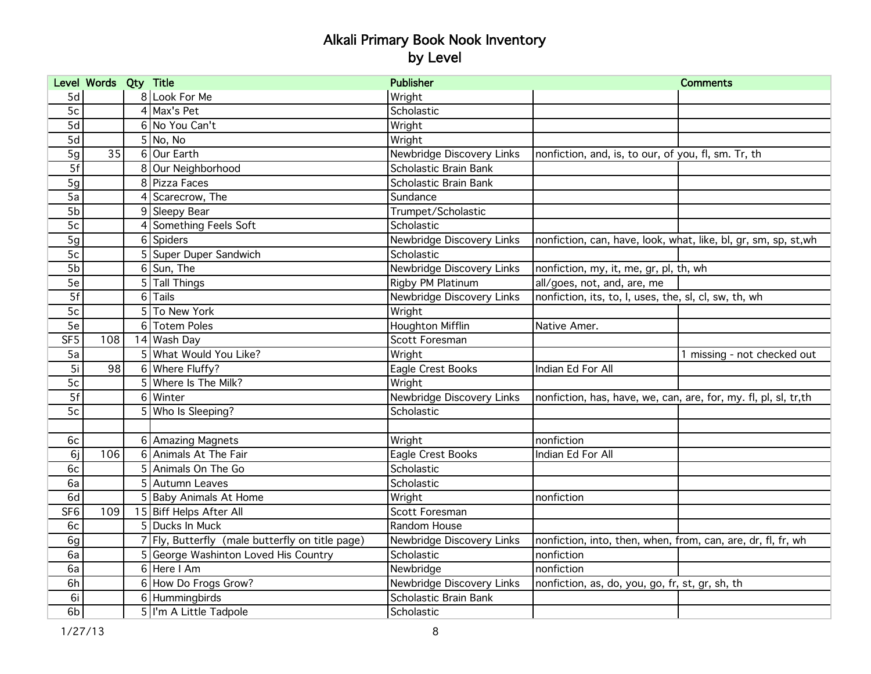|                 | Level Words Qty Title |                |                                                 | <b>Publisher</b>          |                                                                  | <b>Comments</b>             |
|-----------------|-----------------------|----------------|-------------------------------------------------|---------------------------|------------------------------------------------------------------|-----------------------------|
| 5d              |                       |                | 8 Look For Me                                   | Wright                    |                                                                  |                             |
| 5c              |                       |                | $4$ Max's Pet                                   | Scholastic                |                                                                  |                             |
| 5d              |                       |                | 6 No You Can't                                  | Wright                    |                                                                  |                             |
| $\overline{5d}$ |                       |                | 5N <sub>0</sub> , N <sub>0</sub>                | Wright                    |                                                                  |                             |
| 5g              | 35                    |                | 6 Our Earth                                     | Newbridge Discovery Links | nonfiction, and, is, to our, of you, fl, sm. Tr, th              |                             |
| 5f              |                       |                | 8 Our Neighborhood                              | Scholastic Brain Bank     |                                                                  |                             |
| 5g              |                       |                | 8 Pizza Faces                                   | Scholastic Brain Bank     |                                                                  |                             |
| 5a              |                       |                | 4 Scarecrow, The                                | Sundance                  |                                                                  |                             |
| 5b              |                       |                | 9 Sleepy Bear                                   | Trumpet/Scholastic        |                                                                  |                             |
| 5c              |                       |                | 4 Something Feels Soft                          | Scholastic                |                                                                  |                             |
| 5g              |                       |                | 6 Spiders                                       | Newbridge Discovery Links | nonfiction, can, have, look, what, like, bl, gr, sm, sp, st,wh   |                             |
| 5c              |                       |                | 5 Super Duper Sandwich                          | Scholastic                |                                                                  |                             |
| 5b              |                       |                | $6$ Sun, The                                    | Newbridge Discovery Links | nonfiction, my, it, me, gr, pl, th, wh                           |                             |
| 5e              |                       |                | 5 Tall Things                                   | Rigby PM Platinum         | all/goes, not, and, are, me                                      |                             |
| 5f              |                       | 6 <sup>1</sup> | Tails                                           | Newbridge Discovery Links | nonfiction, its, to, l, uses, the, sl, cl, sw, th, wh            |                             |
| 5c              |                       |                | 5 To New York                                   | Wright                    |                                                                  |                             |
| 5e              |                       |                | 6 Totem Poles                                   | <b>Houghton Mifflin</b>   | Native Amer.                                                     |                             |
| SF5             | 108                   |                | 14 Wash Day                                     | Scott Foresman            |                                                                  |                             |
| 5a              |                       |                | 5 What Would You Like?                          | Wright                    |                                                                  | 1 missing - not checked out |
| 5i              | 98                    |                | 6 Where Fluffy?                                 | Eagle Crest Books         | Indian Ed For All                                                |                             |
| 5c              |                       |                | 5 Where Is The Milk?                            | Wright                    |                                                                  |                             |
| $\overline{5f}$ |                       | 6              | Winter                                          | Newbridge Discovery Links | nonfiction, has, have, we, can, are, for, my. fl, pl, sl, tr, th |                             |
| 5c              |                       |                | 5 Who Is Sleeping?                              | Scholastic                |                                                                  |                             |
|                 |                       |                |                                                 |                           |                                                                  |                             |
| 6c              |                       |                | 6 Amazing Magnets                               | Wright                    | nonfiction                                                       |                             |
| 6j              | 106                   | 6              | Animals At The Fair                             | Eagle Crest Books         | Indian Ed For All                                                |                             |
| 6c              |                       |                | 5 Animals On The Go                             | Scholastic                |                                                                  |                             |
| 6a              |                       |                | 5 Autumn Leaves                                 | Scholastic                |                                                                  |                             |
| 6d              |                       |                | 5 Baby Animals At Home                          | Wright                    | nonfiction                                                       |                             |
| SF <sub>6</sub> | 109                   |                | 15 Biff Helps After All                         | Scott Foresman            |                                                                  |                             |
| 6c              |                       |                | 5 Ducks In Muck                                 | Random House              |                                                                  |                             |
| 6g              |                       |                | 7 Fly, Butterfly (male butterfly on title page) | Newbridge Discovery Links | nonfiction, into, then, when, from, can, are, dr, fl, fr, wh     |                             |
| 6a              |                       |                | 5 George Washinton Loved His Country            | Scholastic                | nonfiction                                                       |                             |
| 6a              |                       |                | $6$ Here I Am                                   | Newbridge                 | nonfiction                                                       |                             |
| 6h              |                       |                | 6 How Do Frogs Grow?                            | Newbridge Discovery Links | nonfiction, as, do, you, go, fr, st, gr, sh, th                  |                             |
| 6i              |                       |                | 6 Hummingbirds                                  | Scholastic Brain Bank     |                                                                  |                             |
| 6b              |                       |                | 5 I'm A Little Tadpole                          | Scholastic                |                                                                  |                             |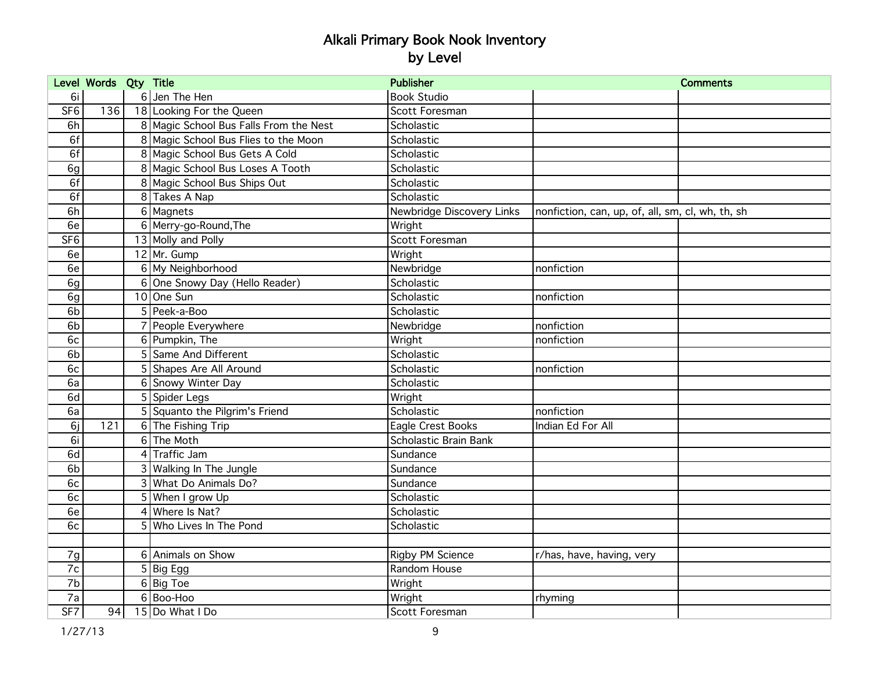|                 | Level Words Qty Title |                                        | <b>Publisher</b>          |                                                  | <b>Comments</b> |
|-----------------|-----------------------|----------------------------------------|---------------------------|--------------------------------------------------|-----------------|
| 6i              |                       | 6 Jen The Hen                          | <b>Book Studio</b>        |                                                  |                 |
| SF6             | 136                   | 18 Looking For the Queen               | Scott Foresman            |                                                  |                 |
| 6h              |                       | 8 Magic School Bus Falls From the Nest | Scholastic                |                                                  |                 |
| 6f              |                       | 8 Magic School Bus Flies to the Moon   | Scholastic                |                                                  |                 |
| 6f              |                       | 8 Magic School Bus Gets A Cold         | Scholastic                |                                                  |                 |
| 6g              |                       | 8 Magic School Bus Loses A Tooth       | Scholastic                |                                                  |                 |
| 6f              |                       | 8 Magic School Bus Ships Out           | Scholastic                |                                                  |                 |
| 6f              |                       | 8 Takes A Nap                          | Scholastic                |                                                  |                 |
| 6h              |                       | 6 Magnets                              | Newbridge Discovery Links | nonfiction, can, up, of, all, sm, cl, wh, th, sh |                 |
| 6e              |                       | 6 Merry-go-Round, The                  | Wright                    |                                                  |                 |
| SF <sub>6</sub> |                       | 13 Molly and Polly                     | Scott Foresman            |                                                  |                 |
| 6e              |                       | $12$ Mr. Gump                          | Wright                    |                                                  |                 |
| 6e              |                       | 6 My Neighborhood                      | Newbridge                 | nonfiction                                       |                 |
| 6g              |                       | 6 One Snowy Day (Hello Reader)         | Scholastic                |                                                  |                 |
| 6g              |                       | 10 One Sun                             | Scholastic                | nonfiction                                       |                 |
| 6 <sub>b</sub>  |                       | 5 Peek-a-Boo                           | Scholastic                |                                                  |                 |
| 6 <sub>b</sub>  |                       | People Everywhere                      | Newbridge                 | nonfiction                                       |                 |
| 6c              |                       | 6 Pumpkin, The                         | Wright                    | nonfiction                                       |                 |
| 6b              |                       | 5 Same And Different                   | Scholastic                |                                                  |                 |
| 6c              |                       | 5 Shapes Are All Around                | Scholastic                | nonfiction                                       |                 |
| 6a              |                       | 6 Snowy Winter Day                     | Scholastic                |                                                  |                 |
| 6d              |                       | 5 Spider Legs                          | Wright                    |                                                  |                 |
| 6a              |                       | 5 Squanto the Pilgrim's Friend         | Scholastic                | nonfiction                                       |                 |
| 6j              | 121                   | 6 The Fishing Trip                     | Eagle Crest Books         | Indian Ed For All                                |                 |
| 6i              |                       | 6 The Moth                             | Scholastic Brain Bank     |                                                  |                 |
| 6d              |                       | 4 Traffic Jam                          | Sundance                  |                                                  |                 |
| 6 <sub>b</sub>  |                       | 3 Walking In The Jungle                | Sundance                  |                                                  |                 |
| 6c              |                       | 3 What Do Animals Do?                  | Sundance                  |                                                  |                 |
| 6c              |                       | 5 When I grow Up                       | Scholastic                |                                                  |                 |
| 6e              |                       | 4 Where Is Nat?                        | Scholastic                |                                                  |                 |
| 6c              |                       | 5 Who Lives In The Pond                | Scholastic                |                                                  |                 |
|                 |                       |                                        |                           |                                                  |                 |
| 7g              |                       | 6 Animals on Show                      | Rigby PM Science          | r/has, have, having, very                        |                 |
| 7c              |                       | $\overline{5}$ Big Egg                 | Random House              |                                                  |                 |
| 7b              |                       | 6 Big Toe                              | Wright                    |                                                  |                 |
| 7a              |                       | 6Boo-Hoo                               | Wright                    | rhyming                                          |                 |
| S F7            | 94                    | 15 Do What I Do                        | Scott Foresman            |                                                  |                 |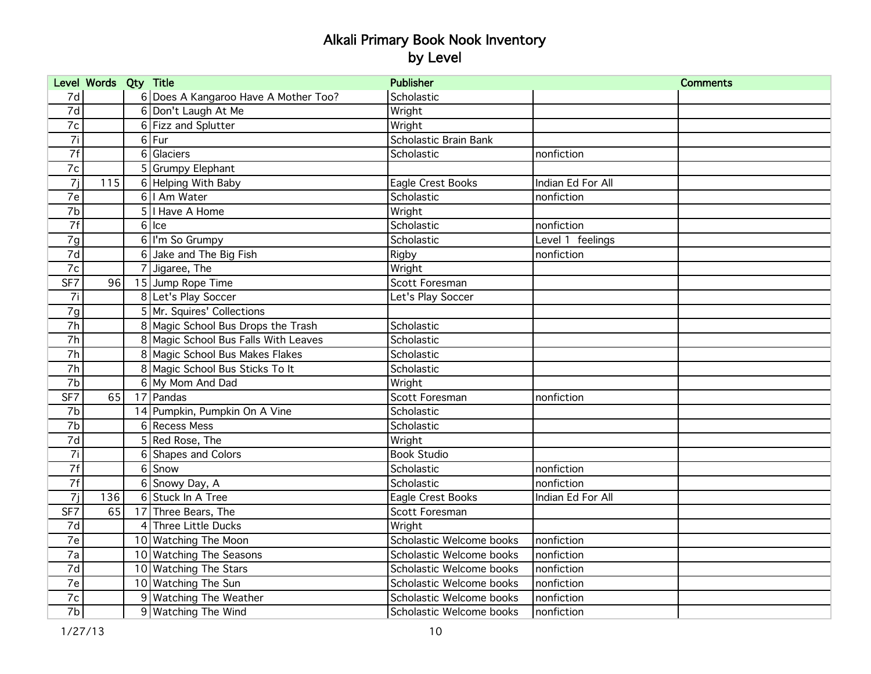|                 | Level Words Qty Title |   |                                      | <b>Publisher</b>         |                   | <b>Comments</b> |
|-----------------|-----------------------|---|--------------------------------------|--------------------------|-------------------|-----------------|
| 7d              |                       |   | 6 Does A Kangaroo Have A Mother Too? | Scholastic               |                   |                 |
| 7d              |                       |   | 6 Don't Laugh At Me                  | Wright                   |                   |                 |
| 7c              |                       |   | 6 Fizz and Splutter                  | Wright                   |                   |                 |
| $\overline{7i}$ |                       |   | $6$ Fur                              | Scholastic Brain Bank    |                   |                 |
| 7f              |                       |   | 6 Glaciers                           | Scholastic               | nonfiction        |                 |
| 7c              |                       |   | 5 Grumpy Elephant                    |                          |                   |                 |
| 7j              | 115                   |   | 6 Helping With Baby                  | Eagle Crest Books        | Indian Ed For All |                 |
| 7e              |                       |   | 6   Am Water                         | Scholastic               | nonfiction        |                 |
| 7b              |                       |   | 5   I Have A Home                    | Wright                   |                   |                 |
| 7f              |                       |   | $6$ Ice                              | Scholastic               | nonfiction        |                 |
| 7g              |                       |   | 6   I'm So Grumpy                    | Scholastic               | Level 1 feelings  |                 |
| 7d              |                       |   | 6 Jake and The Big Fish              | Rigby                    | nonfiction        |                 |
| 7c              |                       |   | 7 Jigaree, The                       | Wright                   |                   |                 |
| SF7             | 96                    |   | 15 Jump Rope Time                    | Scott Foresman           |                   |                 |
| 7i              |                       |   | 8 Let's Play Soccer                  | Let's Play Soccer        |                   |                 |
| 7g              |                       |   | 5 Mr. Squires' Collections           |                          |                   |                 |
| 7h              |                       |   | 8 Magic School Bus Drops the Trash   | Scholastic               |                   |                 |
| 7h              |                       |   | 8 Magic School Bus Falls With Leaves | Scholastic               |                   |                 |
| $\overline{7h}$ |                       |   | 8 Magic School Bus Makes Flakes      | Scholastic               |                   |                 |
| 7h              |                       |   | 8 Magic School Bus Sticks To It      | Scholastic               |                   |                 |
| 7b              |                       |   | 6 My Mom And Dad                     | Wright                   |                   |                 |
| S F7            | 65                    |   | 17 Pandas                            | Scott Foresman           | nonfiction        |                 |
| 7b              |                       |   | 14 Pumpkin, Pumpkin On A Vine        | Scholastic               |                   |                 |
| 7 <sub>b</sub>  |                       |   | 6 Recess Mess                        | Scholastic               |                   |                 |
| $\overline{7d}$ |                       |   | 5 Red Rose, The                      | Wright                   |                   |                 |
| 7i              |                       | 6 | Shapes and Colors                    | <b>Book Studio</b>       |                   |                 |
| 7f              |                       | 6 | Snow                                 | Scholastic               | nonfiction        |                 |
| 7f              |                       | 6 | Snowy Day, A                         | Scholastic               | nonfiction        |                 |
| 7j              | 136                   |   | 6 Stuck In A Tree                    | Eagle Crest Books        | Indian Ed For All |                 |
| SF7             | 65                    |   | 17 Three Bears, The                  | Scott Foresman           |                   |                 |
| 7d              |                       | 4 | Three Little Ducks                   | Wright                   |                   |                 |
| 7e              |                       |   | 10 Watching The Moon                 | Scholastic Welcome books | nonfiction        |                 |
| 7a              |                       |   | 10 Watching The Seasons              | Scholastic Welcome books | nonfiction        |                 |
| $\overline{7d}$ |                       |   | 10 Watching The Stars                | Scholastic Welcome books | nonfiction        |                 |
| 7e              |                       |   | 10 Watching The Sun                  | Scholastic Welcome books | nonfiction        |                 |
| 7c              |                       |   | 9 Watching The Weather               | Scholastic Welcome books | nonfiction        |                 |
| $\overline{7b}$ |                       |   | 9 Watching The Wind                  | Scholastic Welcome books | nonfiction        |                 |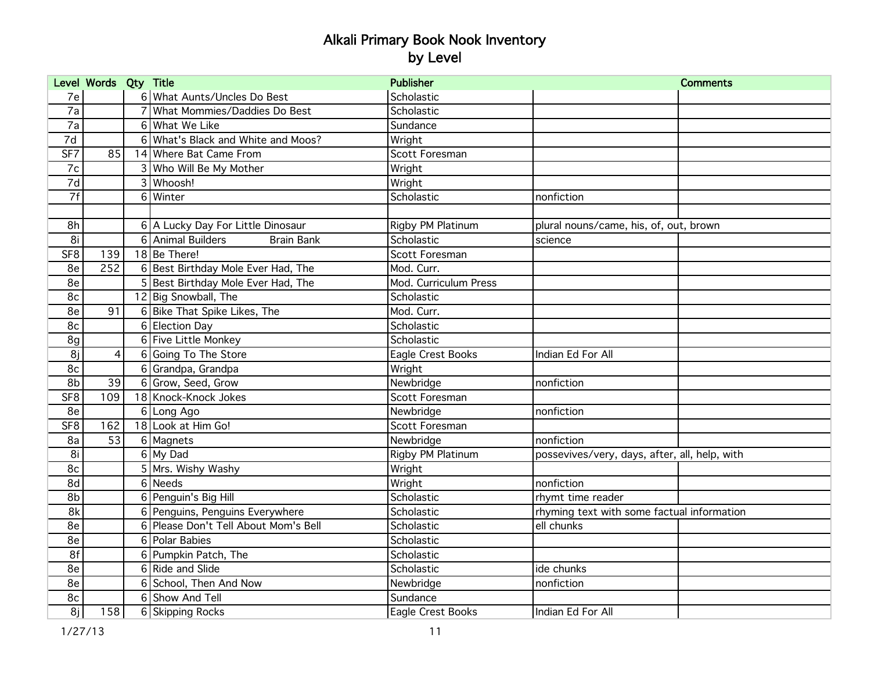|                 | Level Words Qty Title |          |                                        | <b>Publisher</b>      |                                               | <b>Comments</b> |
|-----------------|-----------------------|----------|----------------------------------------|-----------------------|-----------------------------------------------|-----------------|
| 7e              |                       |          | 6 What Aunts/Uncles Do Best            | Scholastic            |                                               |                 |
| $\overline{7a}$ |                       |          | What Mommies/Daddies Do Best           | Scholastic            |                                               |                 |
| $\overline{7a}$ |                       |          | 6 What We Like                         | Sundance              |                                               |                 |
| $\overline{7d}$ |                       |          | 6 What's Black and White and Moos?     | Wright                |                                               |                 |
| SF7             | 85                    |          | 14 Where Bat Came From                 | Scott Foresman        |                                               |                 |
| 7c              |                       |          | 3 Who Will Be My Mother                | Wright                |                                               |                 |
| 7d              |                       |          | 3 Whoosh!                              | Wright                |                                               |                 |
| 7f              |                       |          | 6 Winter                               | Scholastic            | nonfiction                                    |                 |
|                 |                       |          |                                        |                       |                                               |                 |
| 8h              |                       |          | 6 A Lucky Day For Little Dinosaur      | Rigby PM Platinum     | plural nouns/came, his, of, out, brown        |                 |
| 8i              |                       |          | 6 Animal Builders<br><b>Brain Bank</b> | Scholastic            | science                                       |                 |
| SF <sub>8</sub> | 139                   |          | 18Be There!                            | Scott Foresman        |                                               |                 |
| 8e              | 252                   |          | 6 Best Birthday Mole Ever Had, The     | Mod. Curr.            |                                               |                 |
| 8e              |                       |          | 5 Best Birthday Mole Ever Had, The     | Mod. Curriculum Press |                                               |                 |
| 8c              |                       |          | 12 Big Snowball, The                   | Scholastic            |                                               |                 |
| 8e              | 91                    |          | 6 Bike That Spike Likes, The           | Mod. Curr.            |                                               |                 |
| 8c              |                       |          | 6 Election Day                         | Scholastic            |                                               |                 |
| 8g              |                       |          | 6 Five Little Monkey                   | Scholastic            |                                               |                 |
| 8j              | $\overline{4}$        |          | 6 Going To The Store                   | Eagle Crest Books     | Indian Ed For All                             |                 |
| 8c              |                       |          | 6 Grandpa, Grandpa                     | Wright                |                                               |                 |
| 8b              | 39                    |          | 6 Grow, Seed, Grow                     | Newbridge             | nonfiction                                    |                 |
| SF <sub>8</sub> | 109                   |          | 18 Knock-Knock Jokes                   | Scott Foresman        |                                               |                 |
| 8e              |                       | $6 \mid$ | Long Ago                               | Newbridge             | nonfiction                                    |                 |
| SF8             | 162                   |          | 18 Look at Him Go!                     | Scott Foresman        |                                               |                 |
| 8a              | 53                    |          | 6 Magnets                              | Newbridge             | nonfiction                                    |                 |
| 8i              |                       |          | 6 My Dad                               | Rigby PM Platinum     | possevives/very, days, after, all, help, with |                 |
| 8c              |                       |          | 5 Mrs. Wishy Washy                     | Wright                |                                               |                 |
| 8d              |                       |          | 6 Needs                                | Wright                | nonfiction                                    |                 |
| 8b              |                       |          | 6 Penguin's Big Hill                   | Scholastic            | rhymt time reader                             |                 |
| 8k              |                       |          | 6 Penguins, Penguins Everywhere        | Scholastic            | rhyming text with some factual information    |                 |
| 8e              |                       |          | 6 Please Don't Tell About Mom's Bell   | Scholastic            | ell chunks                                    |                 |
| 8e              |                       |          | 6 Polar Babies                         | Scholastic            |                                               |                 |
| 8f              |                       |          | 6 Pumpkin Patch, The                   | Scholastic            |                                               |                 |
| 8e              |                       |          | 6 Ride and Slide                       | Scholastic            | ide chunks                                    |                 |
| 8e              |                       |          | 6 School, Then And Now                 | Newbridge             | nonfiction                                    |                 |
| 8c              |                       |          | 6 Show And Tell                        | Sundance              |                                               |                 |
| 8j              | 158                   |          | 6 Skipping Rocks                       | Eagle Crest Books     | Indian Ed For All                             |                 |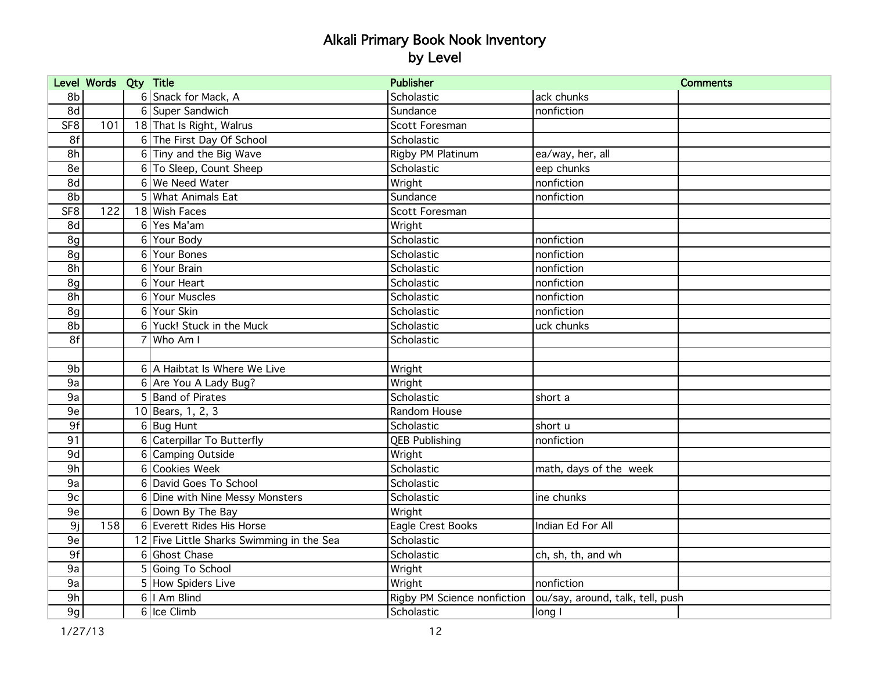|                 | Level Words Qty Title |   |                                           | <b>Publisher</b>            |                                  | <b>Comments</b> |
|-----------------|-----------------------|---|-------------------------------------------|-----------------------------|----------------------------------|-----------------|
| 8b              |                       |   | 6 Snack for Mack, A                       | Scholastic                  | ack chunks                       |                 |
| 8d              |                       |   | 6 Super Sandwich                          | Sundance                    | nonfiction                       |                 |
| SF <sub>8</sub> | 101                   |   | 18 That Is Right, Walrus                  | Scott Foresman              |                                  |                 |
| 8f              |                       |   | 6 The First Day Of School                 | Scholastic                  |                                  |                 |
| 8h              |                       |   | 6 Tiny and the Big Wave                   | Rigby PM Platinum           | ea/way, her, all                 |                 |
| 8e              |                       |   | 6 To Sleep, Count Sheep                   | Scholastic                  | eep chunks                       |                 |
| 8d              |                       |   | 6 We Need Water                           | Wright                      | nonfiction                       |                 |
| 8b              |                       |   | 5 What Animals Eat                        | Sundance                    | nonfiction                       |                 |
| SF <sub>8</sub> | 122                   |   | 18 Wish Faces                             | Scott Foresman              |                                  |                 |
| 8d              |                       |   | 6 Yes Ma'am                               | Wright                      |                                  |                 |
| 8g              |                       |   | 6 Your Body                               | Scholastic                  | nonfiction                       |                 |
| 8g              |                       |   | 6 Your Bones                              | Scholastic                  | nonfiction                       |                 |
| 8h              |                       |   | 6 Your Brain                              | Scholastic                  | nonfiction                       |                 |
| 8g              |                       |   | 6 Your Heart                              | Scholastic                  | nonfiction                       |                 |
| 8h              |                       |   | 6 Your Muscles                            | Scholastic                  | nonfiction                       |                 |
| 8g              |                       |   | 6 Your Skin                               | Scholastic                  | nonfiction                       |                 |
| 8b              |                       |   | 6 Yuck! Stuck in the Muck                 | Scholastic                  | uck chunks                       |                 |
| 8f              |                       |   | Who Am I                                  | Scholastic                  |                                  |                 |
|                 |                       |   |                                           |                             |                                  |                 |
| 9b              |                       |   | 6 A Haibtat Is Where We Live              | Wright                      |                                  |                 |
| 9a              |                       |   | 6 Are You A Lady Bug?                     | Wright                      |                                  |                 |
| 9a              |                       |   | 5 Band of Pirates                         | Scholastic                  | short a                          |                 |
| 9e              |                       |   | 10 Bears, 1, 2, 3                         | Random House                |                                  |                 |
| 9f              |                       |   | $6$ Bug Hunt                              | Scholastic                  | short u                          |                 |
| 91              |                       | 6 | Caterpillar To Butterfly                  | <b>QEB Publishing</b>       | nonfiction                       |                 |
| 9d              |                       | 6 | Camping Outside                           | Wright                      |                                  |                 |
| 9h              |                       |   | 6 Cookies Week                            | Scholastic                  | math, days of the week           |                 |
| 9a              |                       |   | 6 David Goes To School                    | Scholastic                  |                                  |                 |
| 9c              |                       |   | 6 Dine with Nine Messy Monsters           | Scholastic                  | ine chunks                       |                 |
| 9e              |                       |   | 6 Down By The Bay                         | Wright                      |                                  |                 |
| 9j              | 158                   |   | 6 Everett Rides His Horse                 | Eagle Crest Books           | Indian Ed For All                |                 |
| 9e              |                       |   | 12 Five Little Sharks Swimming in the Sea | Scholastic                  |                                  |                 |
| 9f              |                       |   | 6 Ghost Chase                             | Scholastic                  | ch, sh, th, and wh               |                 |
| 9a              |                       |   | 5 Going To School                         | Wright                      |                                  |                 |
| 9a              |                       |   | 5 How Spiders Live                        | Wright                      | nonfiction                       |                 |
| 9h              |                       |   | 6   Am Blind                              | Rigby PM Science nonfiction | ou/say, around, talk, tell, push |                 |
| 9g              |                       |   | 6 Ice Climb                               | Scholastic                  | long I                           |                 |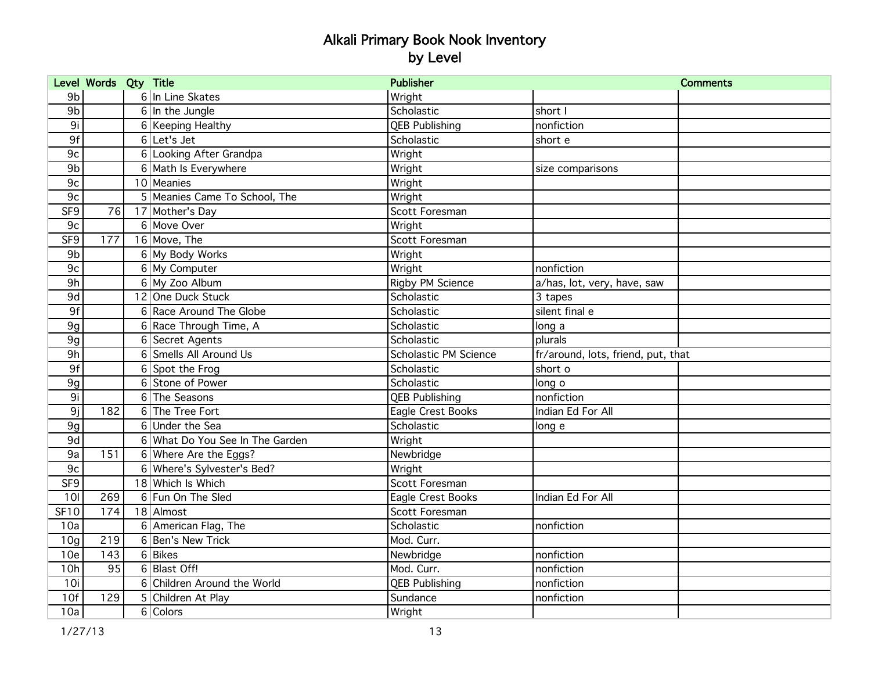|                 | Level Words Qty Title |   |                                 | <b>Publisher</b>        | <b>Comments</b>                    |  |
|-----------------|-----------------------|---|---------------------------------|-------------------------|------------------------------------|--|
| 9 <sub>b</sub>  |                       |   | 6 In Line Skates                | Wright                  |                                    |  |
| 9b              |                       |   | $6 \ln$ the Jungle              | Scholastic              | short I                            |  |
| 9i              |                       |   | 6 Keeping Healthy               | <b>QEB Publishing</b>   | nonfiction                         |  |
| 9f              |                       |   | $6$ Let's Jet                   | Scholastic              | short e                            |  |
| 9c              |                       |   | 6 Looking After Grandpa         | Wright                  |                                    |  |
| 9 <sub>b</sub>  |                       |   | 6 Math Is Everywhere            | Wright                  | size comparisons                   |  |
| 9c              |                       |   | 10 Meanies                      | Wright                  |                                    |  |
| 9c              |                       |   | 5 Meanies Came To School, The   | Wright                  |                                    |  |
| SF <sub>9</sub> | 76                    |   | 17 Mother's Day                 | Scott Foresman          |                                    |  |
| 9c              |                       |   | 6 Move Over                     | Wright                  |                                    |  |
| SF <sub>9</sub> | 177                   |   | 16 Move, The                    | Scott Foresman          |                                    |  |
| 9 <sub>b</sub>  |                       |   | 6 My Body Works                 | Wright                  |                                    |  |
| 9c              |                       |   | 6 My Computer                   | Wright                  | nonfiction                         |  |
| 9h              |                       |   | 6 My Zoo Album                  | <b>Rigby PM Science</b> | a/has, lot, very, have, saw        |  |
| 9d              |                       |   | 12 One Duck Stuck               | Scholastic              | 3 tapes                            |  |
| 9f              |                       |   | 6 Race Around The Globe         | Scholastic              | silent final e                     |  |
| 9g              |                       |   | 6 Race Through Time, A          | Scholastic              | long a                             |  |
| 9g              |                       | 6 | Secret Agents                   | Scholastic              | plurals                            |  |
| 9h              |                       | 6 | Smells All Around Us            | Scholastic PM Science   | fr/around, lots, friend, put, that |  |
| 9f              |                       | 6 | Spot the Frog                   | Scholastic              | short o                            |  |
| 9g              |                       | 6 | Stone of Power                  | Scholastic              | long o                             |  |
| 9i              |                       |   | 6 The Seasons                   | <b>QEB Publishing</b>   | nonfiction                         |  |
| 9j              | 182                   |   | 6 The Tree Fort                 | Eagle Crest Books       | Indian Ed For All                  |  |
| 9g              |                       |   | 6 Under the Sea                 | Scholastic              | long e                             |  |
| 9d              |                       |   | 6 What Do You See In The Garden | Wright                  |                                    |  |
| 9a              | 151                   |   | 6 Where Are the Eggs?           | Newbridge               |                                    |  |
| 9c              |                       |   | 6 Where's Sylvester's Bed?      | Wright                  |                                    |  |
| SF9             |                       |   | 18 Which Is Which               | Scott Foresman          |                                    |  |
| 10I             | 269                   |   | 6 Fun On The Sled               | Eagle Crest Books       | Indian Ed For All                  |  |
| SF10            | 174                   |   | 18 Almost                       | Scott Foresman          |                                    |  |
| 10a             |                       |   | 6 American Flag, The            | Scholastic              | nonfiction                         |  |
| 10 <sub>q</sub> | 219                   |   | 6 Ben's New Trick               | Mod. Curr.              |                                    |  |
| 10 <sub>e</sub> | 143                   |   | 6 Bikes                         | Newbridge               | nonfiction                         |  |
| 10h             | 95                    |   | 6 Blast Off!                    | Mod. Curr.              | nonfiction                         |  |
| 10i             |                       |   | 6 Children Around the World     | <b>QEB Publishing</b>   | nonfiction                         |  |
| 10f             | 129                   |   | 5 Children At Play              | Sundance                | nonfiction                         |  |
| 10a             |                       |   | 6 Colors                        | Wright                  |                                    |  |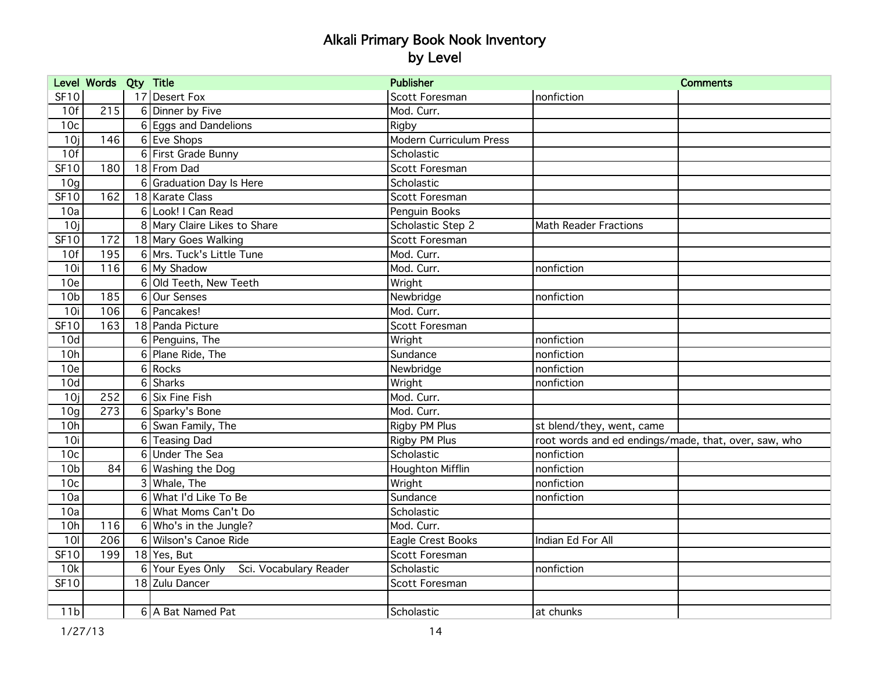|                 | Level Words Qty Title |                                         | <b>Publisher</b>        |                                                      | <b>Comments</b> |
|-----------------|-----------------------|-----------------------------------------|-------------------------|------------------------------------------------------|-----------------|
| SF10            |                       | 17 Desert Fox                           | Scott Foresman          | nonfiction                                           |                 |
| 10f             | 215                   | 6 Dinner by Five                        | Mod. Curr.              |                                                      |                 |
| 10 <sub>c</sub> |                       | 6 Eggs and Dandelions                   | Rigby                   |                                                      |                 |
| 10j             | 146                   | 6 Eve Shops                             | Modern Curriculum Press |                                                      |                 |
| 10f             |                       | 6 First Grade Bunny                     | Scholastic              |                                                      |                 |
| <b>SF10</b>     | 180                   | 18 From Dad                             | Scott Foresman          |                                                      |                 |
| 10 <sub>q</sub> |                       | 6 Graduation Day Is Here                | Scholastic              |                                                      |                 |
| <b>SF10</b>     | 162                   | 18 Karate Class                         | Scott Foresman          |                                                      |                 |
| 10a             |                       | 6 Look! I Can Read                      | Penguin Books           |                                                      |                 |
| 10j             |                       | 8 Mary Claire Likes to Share            | Scholastic Step 2       | <b>Math Reader Fractions</b>                         |                 |
| SF10            | 172                   | 18 Mary Goes Walking                    | Scott Foresman          |                                                      |                 |
| 10f             | 195                   | 6 Mrs. Tuck's Little Tune               | Mod. Curr.              |                                                      |                 |
| 10i             | 116                   | 6 My Shadow                             | Mod. Curr.              | nonfiction                                           |                 |
| 10e             |                       | 6 Old Teeth, New Teeth                  | Wright                  |                                                      |                 |
| 10 <sub>b</sub> | 185                   | 6 Our Senses                            | Newbridge               | nonfiction                                           |                 |
| 10i             | 106                   | 6 Pancakes!                             | Mod. Curr.              |                                                      |                 |
| <b>SF10</b>     | 163                   | 18 Panda Picture                        | Scott Foresman          |                                                      |                 |
| 10d             |                       | 6 Penguins, The                         | Wright                  | nonfiction                                           |                 |
| 10h             |                       | 6 Plane Ride, The                       | Sundance                | nonfiction                                           |                 |
| 10 <sub>e</sub> |                       | 6 Rocks                                 | Newbridge               | nonfiction                                           |                 |
| 10d             |                       | 6 Sharks                                | Wright                  | nonfiction                                           |                 |
| 10j             | 252                   | 6 Six Fine Fish                         | Mod. Curr.              |                                                      |                 |
| 10 <sub>g</sub> | 273                   | 6 Sparky's Bone                         | Mod. Curr.              |                                                      |                 |
| 10h             |                       | 6 Swan Family, The                      | Rigby PM Plus           | st blend/they, went, came                            |                 |
| 10i             |                       | 6 Teasing Dad                           | Rigby PM Plus           | root words and ed endings/made, that, over, saw, who |                 |
| 10 <sub>c</sub> |                       | 6 Under The Sea                         | Scholastic              | nonfiction                                           |                 |
| 10 <sub>b</sub> | 84                    | 6 Washing the Dog                       | Houghton Mifflin        | nonfiction                                           |                 |
| 10 <sub>c</sub> |                       | 3 Whale, The                            | Wright                  | nonfiction                                           |                 |
| 10a             |                       | 6 What I'd Like To Be                   | Sundance                | nonfiction                                           |                 |
| 10a             |                       | 6 What Moms Can't Do                    | Scholastic              |                                                      |                 |
| 10h             | 116                   | 6 Who's in the Jungle?                  | Mod. Curr.              |                                                      |                 |
| 10I             | 206                   | 6 Wilson's Canoe Ride                   | Eagle Crest Books       | Indian Ed For All                                    |                 |
| <b>SF10</b>     | 199                   | 18 Yes, But                             | Scott Foresman          |                                                      |                 |
| 10k             |                       | 6 Your Eyes Only Sci. Vocabulary Reader | Scholastic              | nonfiction                                           |                 |
| <b>SF10</b>     |                       | 18 Zulu Dancer                          | Scott Foresman          |                                                      |                 |
|                 |                       |                                         |                         |                                                      |                 |
| 11 <sub>b</sub> |                       | 6 A Bat Named Pat                       | Scholastic              | at chunks                                            |                 |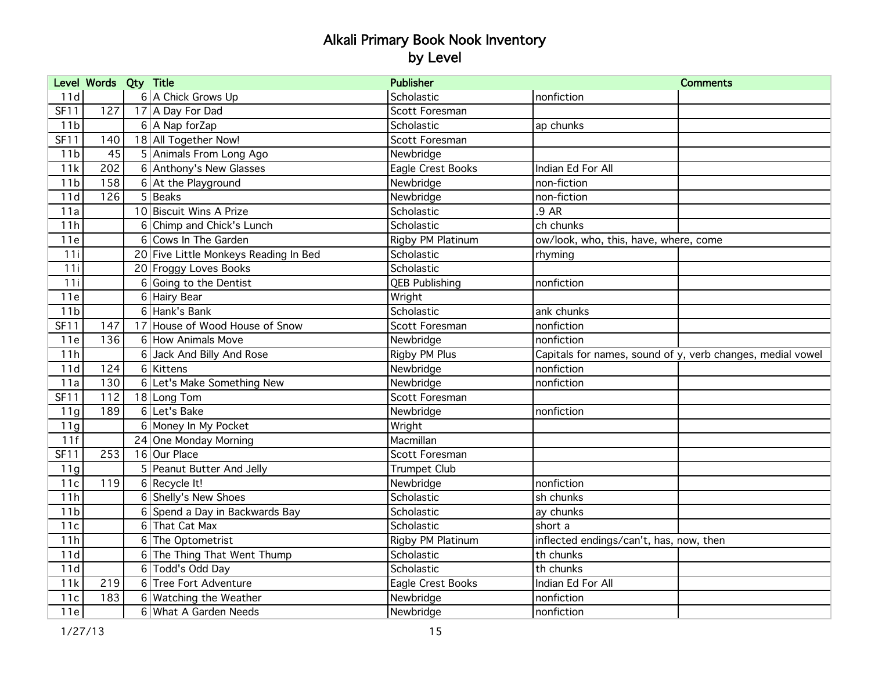|                 | Level Words Qty Title |                                       | <b>Publisher</b>      |                                         | <b>Comments</b>                                            |
|-----------------|-----------------------|---------------------------------------|-----------------------|-----------------------------------------|------------------------------------------------------------|
| 11d             |                       | 6 A Chick Grows Up                    | Scholastic            | nonfiction                              |                                                            |
| <b>SF11</b>     | 127                   | 17 A Day For Dad                      | Scott Foresman        |                                         |                                                            |
| 11 <sub>b</sub> |                       | 6 A Nap forZap                        | Scholastic            | ap chunks                               |                                                            |
| <b>SF11</b>     | 140                   | 18 All Together Now!                  | Scott Foresman        |                                         |                                                            |
| 11 <sub>b</sub> | 45                    | 5 Animals From Long Ago               | Newbridge             |                                         |                                                            |
| 11k             | 202                   | 6 Anthony's New Glasses               | Eagle Crest Books     | Indian Ed For All                       |                                                            |
| 11 <sub>b</sub> | 158                   | 6 At the Playground                   | Newbridge             | non-fiction                             |                                                            |
| 11d             | 126                   | $5$ Beaks                             | Newbridge             | non-fiction                             |                                                            |
| 11a             |                       | 10 Biscuit Wins A Prize               | Scholastic            | $.9$ AR                                 |                                                            |
| 11h             |                       | 6 Chimp and Chick's Lunch             | Scholastic            | ch chunks                               |                                                            |
| 11e             |                       | 6 Cows In The Garden                  | Rigby PM Platinum     | ow/look, who, this, have, where, come   |                                                            |
| 11i             |                       | 20 Five Little Monkeys Reading In Bed | Scholastic            | rhyming                                 |                                                            |
| 11i             |                       | 20 Froggy Loves Books                 | Scholastic            |                                         |                                                            |
| 11i             |                       | 6 Going to the Dentist                | <b>QEB Publishing</b> | nonfiction                              |                                                            |
| 11e             |                       | 6 Hairy Bear                          | Wright                |                                         |                                                            |
| 11 <sub>b</sub> |                       | 6 Hank's Bank                         | Scholastic            | ank chunks                              |                                                            |
| <b>SF11</b>     | 147                   | 17 House of Wood House of Snow        | Scott Foresman        | nonfiction                              |                                                            |
| 11e             | 136                   | 6 How Animals Move                    | Newbridge             | nonfiction                              |                                                            |
| 11h             |                       | 6 Jack And Billy And Rose             | Rigby PM Plus         |                                         | Capitals for names, sound of y, verb changes, medial vowel |
| 11d             | 124                   | 6 Kittens                             | Newbridge             | nonfiction                              |                                                            |
| 11a             | 130                   | 6 Let's Make Something New            | Newbridge             | nonfiction                              |                                                            |
| SF11            | 112                   | 18 Long Tom                           | Scott Foresman        |                                         |                                                            |
| 11g             | 189                   | 6 Let's Bake                          | Newbridge             | nonfiction                              |                                                            |
| 11g             |                       | 6 Money In My Pocket                  | Wright                |                                         |                                                            |
| 11f             |                       | 24 One Monday Morning                 | Macmillan             |                                         |                                                            |
| SF11            | 253                   | 16 Our Place                          | Scott Foresman        |                                         |                                                            |
| 11g             |                       | 5 Peanut Butter And Jelly             | <b>Trumpet Club</b>   |                                         |                                                            |
| 11c             | 119                   | $6$ Recycle It!                       | Newbridge             | nonfiction                              |                                                            |
| 11h             |                       | 6 Shelly's New Shoes                  | Scholastic            | sh chunks                               |                                                            |
| 11 <sub>b</sub> |                       | 6 Spend a Day in Backwards Bay        | Scholastic            | ay chunks                               |                                                            |
| 11c             |                       | 6 That Cat Max                        | Scholastic            | short a                                 |                                                            |
| 11h             |                       | 6 The Optometrist                     | Rigby PM Platinum     | inflected endings/can't, has, now, then |                                                            |
| 11d             |                       | 6 The Thing That Went Thump           | Scholastic            | th chunks                               |                                                            |
| 11d             |                       | 6 Todd's Odd Day                      | Scholastic            | th chunks                               |                                                            |
| 11k             | 219                   | 6 Tree Fort Adventure                 | Eagle Crest Books     | Indian Ed For All                       |                                                            |
| 11c             | 183                   | 6 Watching the Weather                | Newbridge             | nonfiction                              |                                                            |
| 11e             |                       | 6 What A Garden Needs                 | Newbridge             | nonfiction                              |                                                            |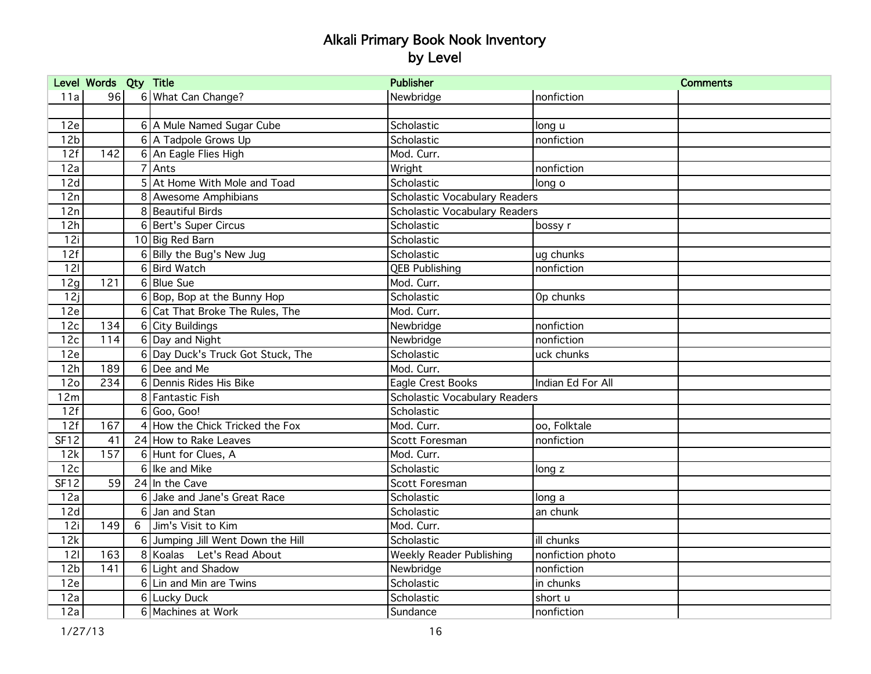|                 | Level Words Qty Title |   |                                   | <b>Publisher</b>                |                   | <b>Comments</b> |
|-----------------|-----------------------|---|-----------------------------------|---------------------------------|-------------------|-----------------|
| 11a             | 96                    |   | 6 What Can Change?                | Newbridge                       | nonfiction        |                 |
|                 |                       |   |                                   |                                 |                   |                 |
| 12e             |                       |   | 6 A Mule Named Sugar Cube         | Scholastic                      | long u            |                 |
| 12 <sub>b</sub> |                       |   | 6 A Tadpole Grows Up              | Scholastic                      | nonfiction        |                 |
| 12f             | 142                   |   | 6 An Eagle Flies High             | Mod. Curr.                      |                   |                 |
| 12a             |                       |   | $\overline{7}$ Ants               | Wright                          | nonfiction        |                 |
| 12d             |                       |   | 5 At Home With Mole and Toad      | Scholastic                      | long o            |                 |
| 12n             |                       |   | 8 Awesome Amphibians              | Scholastic Vocabulary Readers   |                   |                 |
| 12n             |                       |   | 8 Beautiful Birds                 | Scholastic Vocabulary Readers   |                   |                 |
| 12h             |                       |   | 6 Bert's Super Circus             | Scholastic                      | bossy r           |                 |
| 12i             |                       |   | 10 Big Red Barn                   | Scholastic                      |                   |                 |
| 12f             |                       |   | 6 Billy the Bug's New Jug         | Scholastic                      | ug chunks         |                 |
| 121             |                       |   | 6 Bird Watch                      | <b>QEB Publishing</b>           | nonfiction        |                 |
| 12g             | 121                   |   | 6 Blue Sue                        | Mod. Curr.                      |                   |                 |
| 12j             |                       |   | 6 Bop, Bop at the Bunny Hop       | Scholastic                      | Op chunks         |                 |
| 12e             |                       |   | 6 Cat That Broke The Rules, The   | Mod. Curr.                      |                   |                 |
| 12c             | 134                   |   | 6 City Buildings                  | Newbridge                       | nonfiction        |                 |
| 12c             | 114                   |   | 6 Day and Night                   | Newbridge                       | nonfiction        |                 |
| 12e             |                       |   | 6 Day Duck's Truck Got Stuck, The | Scholastic                      | uck chunks        |                 |
| 12h             | 189                   |   | 6 Dee and Me                      | Mod. Curr.                      |                   |                 |
| 12 <sub>o</sub> | 234                   |   | 6 Dennis Rides His Bike           | Eagle Crest Books               | Indian Ed For All |                 |
| 12m             |                       |   | 8 Fantastic Fish                  | Scholastic Vocabulary Readers   |                   |                 |
| 12f             |                       | 6 | Goo, Goo!                         | Scholastic                      |                   |                 |
| 12f             | 167                   |   | 4 How the Chick Tricked the Fox   | Mod. Curr.                      | oo, Folktale      |                 |
| <b>SF12</b>     | 41                    |   | 24 How to Rake Leaves             | Scott Foresman                  | nonfiction        |                 |
| 12k             | 157                   |   | 6 Hunt for Clues, A               | Mod. Curr.                      |                   |                 |
| 12c             |                       |   | 6 Ike and Mike                    | Scholastic                      | long z            |                 |
| <b>SF12</b>     | 59                    |   | 24 In the Cave                    | Scott Foresman                  |                   |                 |
| 12a             |                       | 6 | Jake and Jane's Great Race        | Scholastic                      | long a            |                 |
| 12d             |                       |   | 6 Jan and Stan                    | Scholastic                      | an chunk          |                 |
| 12i             | 149                   | 6 | Jim's Visit to Kim                | Mod. Curr.                      |                   |                 |
| 12k             |                       | 6 | Jumping Jill Went Down the Hill   | Scholastic                      | ill chunks        |                 |
| 121             | 163                   |   | 8 Koalas Let's Read About         | <b>Weekly Reader Publishing</b> | nonfiction photo  |                 |
| 12 <sub>b</sub> | 141                   |   | 6 Light and Shadow                | Newbridge                       | nonfiction        |                 |
| 12e             |                       |   | 6 Lin and Min are Twins           | Scholastic                      | in chunks         |                 |
| 12a             |                       |   | 6 Lucky Duck                      | Scholastic                      | short u           |                 |
| 12a             |                       |   | 6 Machines at Work                | Sundance                        | nonfiction        |                 |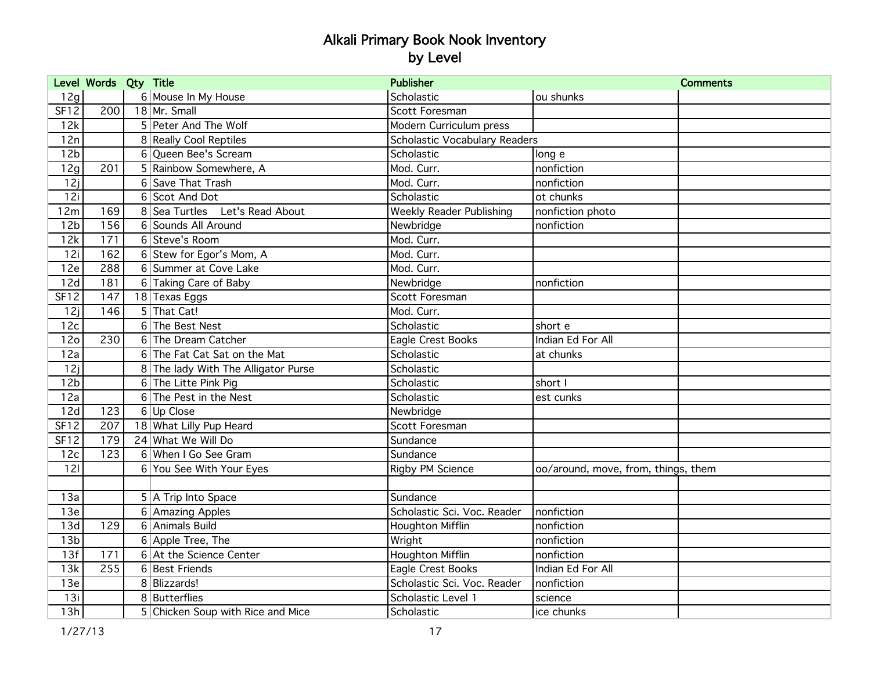|                 | Level Words Qty Title |                                     | <b>Publisher</b>                |                                     | <b>Comments</b> |
|-----------------|-----------------------|-------------------------------------|---------------------------------|-------------------------------------|-----------------|
| 12g             |                       | 6 Mouse In My House                 | Scholastic                      | ou shunks                           |                 |
| <b>SF12</b>     | 200                   | 18 Mr. Small                        | Scott Foresman                  |                                     |                 |
| 12k             |                       | 5 Peter And The Wolf                | Modern Curriculum press         |                                     |                 |
| 12n             |                       | 8 Really Cool Reptiles              | Scholastic Vocabulary Readers   |                                     |                 |
| 12 <sub>b</sub> |                       | 6 Oueen Bee's Scream                | Scholastic                      | long e                              |                 |
| 12g             | 201                   | 5 Rainbow Somewhere, A              | Mod. Curr.                      | nonfiction                          |                 |
| 12j             |                       | 6 Save That Trash                   | Mod. Curr.                      | nonfiction                          |                 |
| 12i             |                       | 6 Scot And Dot                      | Scholastic                      | ot chunks                           |                 |
| 12m             | 169                   | 8 Sea Turtles Let's Read About      | <b>Weekly Reader Publishing</b> | nonfiction photo                    |                 |
| 12 <sub>b</sub> | 156                   | 6 Sounds All Around                 | Newbridge                       | nonfiction                          |                 |
| 12k             | 171                   | 6 Steve's Room                      | Mod. Curr.                      |                                     |                 |
| 12i             | 162                   | 6 Stew for Egor's Mom, A            | Mod. Curr.                      |                                     |                 |
| 12e             | 288                   | 6 Summer at Cove Lake               | Mod. Curr.                      |                                     |                 |
| 12d             | 181                   | 6 Taking Care of Baby               | Newbridge                       | nonfiction                          |                 |
| SF12            | 147                   | 18 Texas Eggs                       | Scott Foresman                  |                                     |                 |
| 12j             | $\overline{146}$      | 5 That Cat!                         | Mod. Curr.                      |                                     |                 |
| 12c             |                       | 6The Best Nest                      | Scholastic                      | short e                             |                 |
| 12 <sub>o</sub> | 230                   | 6 The Dream Catcher                 | Eagle Crest Books               | Indian Ed For All                   |                 |
| 12a             |                       | 6 The Fat Cat Sat on the Mat        | Scholastic                      | at chunks                           |                 |
| 12j             |                       | 8 The lady With The Alligator Purse | Scholastic                      |                                     |                 |
| 12 <sub>b</sub> |                       | 6 The Litte Pink Pig                | Scholastic                      | short I                             |                 |
| 12a             |                       | 6 The Pest in the Nest              | Scholastic                      | est cunks                           |                 |
| 12d             | 123                   | 6 Up Close                          | Newbridge                       |                                     |                 |
| <b>SF12</b>     | 207                   | 18 What Lilly Pup Heard             | Scott Foresman                  |                                     |                 |
| <b>SF12</b>     | 179                   | 24 What We Will Do                  | Sundance                        |                                     |                 |
| 12c             | 123                   | 6 When I Go See Gram                | Sundance                        |                                     |                 |
| 121             |                       | 6 You See With Your Eyes            | Rigby PM Science                | oo/around, move, from, things, them |                 |
|                 |                       |                                     |                                 |                                     |                 |
| 13a             |                       | 5 A Trip Into Space                 | Sundance                        |                                     |                 |
| 13e             |                       | 6 Amazing Apples                    | Scholastic Sci. Voc. Reader     | nonfiction                          |                 |
| 13d             | 129                   | 6 Animals Build                     | Houghton Mifflin                | nonfiction                          |                 |
| 13 <sub>b</sub> |                       | 6 Apple Tree, The                   | Wright                          | nonfiction                          |                 |
| 13f             | 171                   | 6 At the Science Center             | Houghton Mifflin                | nonfiction                          |                 |
| 13k             | 255                   | 6 Best Friends                      | Eagle Crest Books               | Indian Ed For All                   |                 |
| 13e             |                       | 8 Blizzards!                        | Scholastic Sci. Voc. Reader     | nonfiction                          |                 |
| 13i             |                       | 8 Butterflies                       | Scholastic Level 1              | science                             |                 |
| 13h             |                       | 5 Chicken Soup with Rice and Mice   | Scholastic                      | ice chunks                          |                 |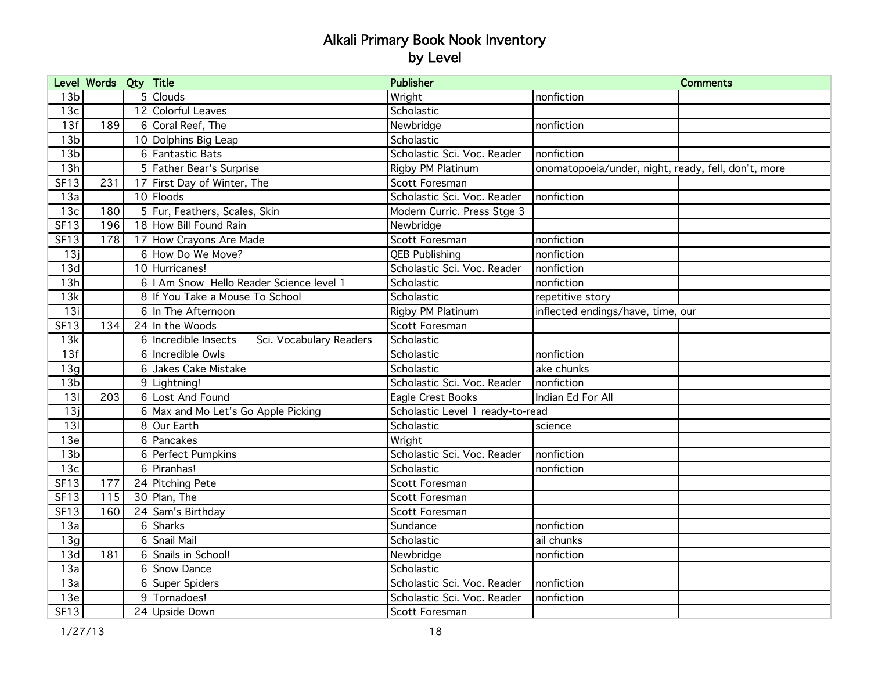|                 | Level Words Qty Title |                |                                                 | <b>Publisher</b>                 |                                                     | <b>Comments</b> |
|-----------------|-----------------------|----------------|-------------------------------------------------|----------------------------------|-----------------------------------------------------|-----------------|
| 13 <sub>b</sub> |                       |                | $5$ Clouds                                      | Wright                           | nonfiction                                          |                 |
| 13 <sub>c</sub> |                       |                | 12 Colorful Leaves                              | Scholastic                       |                                                     |                 |
| 13f             | 189                   |                | 6 Coral Reef, The                               | Newbridge                        | nonfiction                                          |                 |
| 13 <sub>b</sub> |                       |                | 10 Dolphins Big Leap                            | Scholastic                       |                                                     |                 |
| 13 <sub>b</sub> |                       |                | 6 Fantastic Bats                                | Scholastic Sci. Voc. Reader      | nonfiction                                          |                 |
| 13h             |                       |                | 5 Father Bear's Surprise                        | Rigby PM Platinum                | onomatopoeia/under, night, ready, fell, don't, more |                 |
| SF13            | 231                   |                | 17 First Day of Winter, The                     | Scott Foresman                   |                                                     |                 |
| 13a             |                       |                | 10 Floods                                       | Scholastic Sci. Voc. Reader      | nonfiction                                          |                 |
| 13c             | 180                   |                | 5 Fur, Feathers, Scales, Skin                   | Modern Curric. Press Stge 3      |                                                     |                 |
| SF13            | 196                   |                | 18 How Bill Found Rain                          | Newbridge                        |                                                     |                 |
| SF13            | 178                   |                | 17 How Crayons Are Made                         | Scott Foresman                   | nonfiction                                          |                 |
| 13j             |                       |                | 6 How Do We Move?                               | <b>QEB Publishing</b>            | nonfiction                                          |                 |
| 13d             |                       |                | 10 Hurricanes!                                  | Scholastic Sci. Voc. Reader      | nonfiction                                          |                 |
| 13h             |                       |                | 6   I Am Snow Hello Reader Science level 1      | Scholastic                       | nonfiction                                          |                 |
| 13k             |                       |                | 8 If You Take a Mouse To School                 | Scholastic                       | repetitive story                                    |                 |
| 13i             |                       |                | 6 In The Afternoon                              | Rigby PM Platinum                | inflected endings/have, time, our                   |                 |
| SF13            | 134                   |                | $24$ In the Woods                               | Scott Foresman                   |                                                     |                 |
| 13k             |                       |                | 6 Incredible Insects<br>Sci. Vocabulary Readers | Scholastic                       |                                                     |                 |
| 13f             |                       |                | 6 Incredible Owls                               | Scholastic                       | nonfiction                                          |                 |
| 13g             |                       | $6 \mid$       | Jakes Cake Mistake                              | Scholastic                       | ake chunks                                          |                 |
| 13 <sub>b</sub> |                       |                | 9 Lightning!                                    | Scholastic Sci. Voc. Reader      | nonfiction                                          |                 |
| 131             | 203                   |                | 6 Lost And Found                                | Eagle Crest Books                | Indian Ed For All                                   |                 |
| 13j             |                       |                | 6 Max and Mo Let's Go Apple Picking             | Scholastic Level 1 ready-to-read |                                                     |                 |
| 13I             |                       | 8 <sup>1</sup> | Our Earth                                       | Scholastic                       | science                                             |                 |
| 13e             |                       |                | 6 Pancakes                                      | Wright                           |                                                     |                 |
| 13 <sub>b</sub> |                       |                | 6 Perfect Pumpkins                              | Scholastic Sci. Voc. Reader      | nonfiction                                          |                 |
| 13c             |                       |                | 6 Piranhas!                                     | Scholastic                       | nonfiction                                          |                 |
| <b>SF13</b>     | 177                   |                | 24 Pitching Pete                                | Scott Foresman                   |                                                     |                 |
| <b>SF13</b>     | 115                   |                | 30 Plan, The                                    | Scott Foresman                   |                                                     |                 |
| <b>SF13</b>     | 160                   |                | 24 Sam's Birthday                               | Scott Foresman                   |                                                     |                 |
| 13a             |                       |                | 6 Sharks                                        | Sundance                         | nonfiction                                          |                 |
| 13g             |                       |                | 6 Snail Mail                                    | Scholastic                       | ail chunks                                          |                 |
| 13d             | 181                   |                | 6 Snails in School!                             | Newbridge                        | nonfiction                                          |                 |
| 13a             |                       |                | 6 Snow Dance                                    | Scholastic                       |                                                     |                 |
| 13a             |                       |                | 6 Super Spiders                                 | Scholastic Sci. Voc. Reader      | nonfiction                                          |                 |
| 13e             |                       |                | 9 Tornadoes!                                    | Scholastic Sci. Voc. Reader      | nonfiction                                          |                 |
| SF13            |                       |                | 24 Upside Down                                  | Scott Foresman                   |                                                     |                 |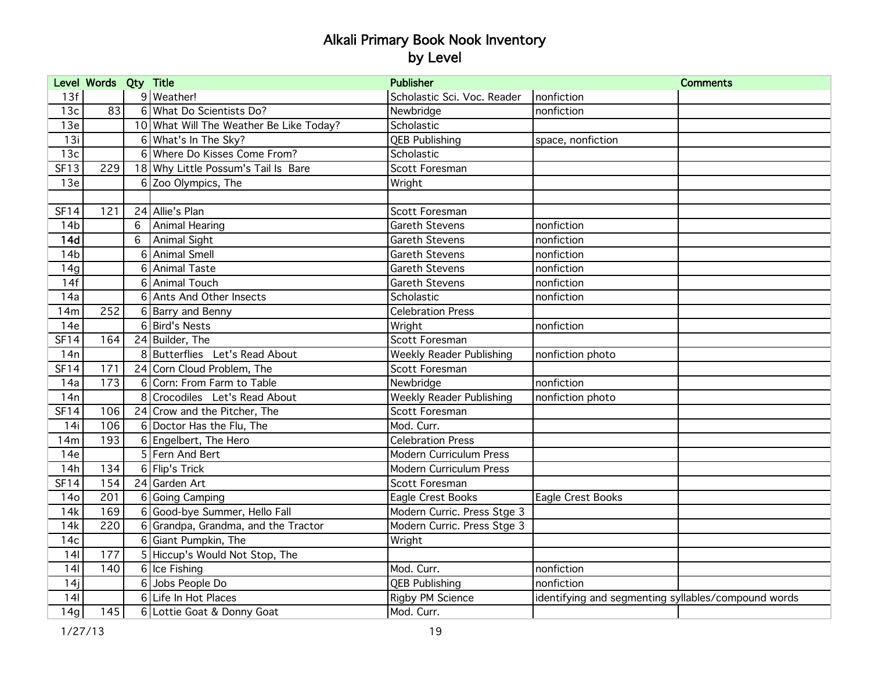|                 | Level Words Qty Title |   |                                         | <b>Publisher</b>               | <b>Comments</b>                                     |  |
|-----------------|-----------------------|---|-----------------------------------------|--------------------------------|-----------------------------------------------------|--|
| 13f             |                       |   | 9 Weather!                              | Scholastic Sci. Voc. Reader    | nonfiction                                          |  |
| 13c             | 83                    |   | 6 What Do Scientists Do?                | Newbridge                      | nonfiction                                          |  |
| 13e             |                       |   | 10 What Will The Weather Be Like Today? | Scholastic                     |                                                     |  |
| 13i             |                       |   | 6 What's In The Sky?                    | <b>QEB Publishing</b>          | space, nonfiction                                   |  |
| 13c             |                       |   | 6 Where Do Kisses Come From?            | Scholastic                     |                                                     |  |
| <b>SF13</b>     | 229                   |   | 18 Why Little Possum's Tail Is Bare     | Scott Foresman                 |                                                     |  |
| 13e             |                       |   | 6 Zoo Olympics, The                     | Wright                         |                                                     |  |
|                 |                       |   |                                         |                                |                                                     |  |
| SF14            | 121                   |   | 24 Allie's Plan                         | Scott Foresman                 |                                                     |  |
| 14 <sub>b</sub> |                       | 6 | Animal Hearing                          | <b>Gareth Stevens</b>          | nonfiction                                          |  |
| 14d             |                       | 6 | Animal Sight                            | <b>Gareth Stevens</b>          | nonfiction                                          |  |
| 14 <sub>b</sub> |                       |   | 6 Animal Smell                          | <b>Gareth Stevens</b>          | nonfiction                                          |  |
| 14g             |                       |   | 6 Animal Taste                          | Gareth Stevens                 | nonfiction                                          |  |
| 14f             |                       |   | 6 Animal Touch                          | <b>Gareth Stevens</b>          | nonfiction                                          |  |
| 14a             |                       |   | 6 Ants And Other Insects                | Scholastic                     | nonfiction                                          |  |
| 14m             | 252                   |   | 6 Barry and Benny                       | <b>Celebration Press</b>       |                                                     |  |
| 14e             |                       |   | 6 Bird's Nests                          | Wright                         | nonfiction                                          |  |
| <b>SF14</b>     | 164                   |   | 24 Builder, The                         | Scott Foresman                 |                                                     |  |
| 14n             |                       |   | 8 Butterflies Let's Read About          | Weekly Reader Publishing       | nonfiction photo                                    |  |
| <b>SF14</b>     | 171                   |   | 24 Corn Cloud Problem, The              | Scott Foresman                 |                                                     |  |
| 14a             | 173                   | 6 | Corn: From Farm to Table                | Newbridge                      | nonfiction                                          |  |
| 14n             |                       | 8 | Crocodiles Let's Read About             | Weekly Reader Publishing       | nonfiction photo                                    |  |
| <b>SF14</b>     | 106                   |   | 24 Crow and the Pitcher, The            | Scott Foresman                 |                                                     |  |
| 14i             | 106                   |   | 6 Doctor Has the Flu, The               | Mod. Curr.                     |                                                     |  |
| 14m             | 193                   |   | 6 Engelbert, The Hero                   | <b>Celebration Press</b>       |                                                     |  |
| 14e             |                       |   | 5 Fern And Bert                         | <b>Modern Curriculum Press</b> |                                                     |  |
| 14h             | 134                   |   | 6 Flip's Trick                          | Modern Curriculum Press        |                                                     |  |
| <b>SF14</b>     | 154                   |   | 24 Garden Art                           | Scott Foresman                 |                                                     |  |
| 14 <sub>o</sub> | 201                   |   | 6 Going Camping                         | Eagle Crest Books              | Eagle Crest Books                                   |  |
| 14k             | 169                   |   | 6 Good-bye Summer, Hello Fall           | Modern Curric. Press Stge 3    |                                                     |  |
| 14k             | $\overline{220}$      |   | 6 Grandpa, Grandma, and the Tractor     | Modern Curric. Press Stge 3    |                                                     |  |
| 14c             |                       |   | 6 Giant Pumpkin, The                    | Wright                         |                                                     |  |
| 141             | 177                   |   | 5 Hiccup's Would Not Stop, The          |                                |                                                     |  |
| 141             | 140                   |   | 6 Ice Fishing                           | Mod. Curr.                     | nonfiction                                          |  |
| 14j             |                       |   | 6 Jobs People Do                        | <b>QEB Publishing</b>          | nonfiction                                          |  |
| 141             |                       |   | 6 Life In Hot Places                    | <b>Rigby PM Science</b>        | identifying and segmenting syllables/compound words |  |
| 14g             | 145                   |   | 6 Lottie Goat & Donny Goat              | Mod. Curr.                     |                                                     |  |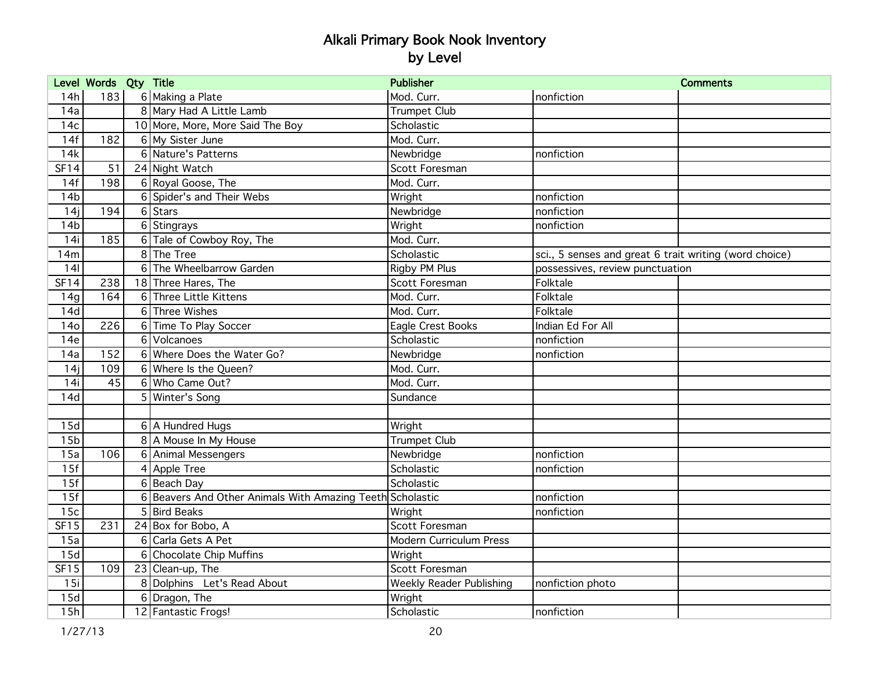|                 | Level Words Qty Title |   |                                                           | <b>Publisher</b>                |                                                        | <b>Comments</b> |
|-----------------|-----------------------|---|-----------------------------------------------------------|---------------------------------|--------------------------------------------------------|-----------------|
| 14h             | 183                   |   | 6 Making a Plate                                          | Mod. Curr.                      | nonfiction                                             |                 |
| 14a             |                       |   | 8 Mary Had A Little Lamb                                  | <b>Trumpet Club</b>             |                                                        |                 |
| 14 <sub>c</sub> |                       |   | 10 More, More, More Said The Boy                          | Scholastic                      |                                                        |                 |
| 14f             | 182                   |   | 6 My Sister June                                          | Mod. Curr.                      |                                                        |                 |
| 14k             |                       |   | 6 Nature's Patterns                                       | Newbridge                       | nonfiction                                             |                 |
| <b>SF14</b>     | 51                    |   | 24 Night Watch                                            | Scott Foresman                  |                                                        |                 |
| 14f             | 198                   |   | 6 Royal Goose, The                                        | Mod. Curr.                      |                                                        |                 |
| 14 <sub>b</sub> |                       |   | 6 Spider's and Their Webs                                 | Wright                          | nonfiction                                             |                 |
| 14j             | 194                   |   | $6$ Stars                                                 | Newbridge                       | nonfiction                                             |                 |
| 14 <sub>b</sub> |                       |   | 6 Stingrays                                               | Wright                          | nonfiction                                             |                 |
| 14i             | 185                   |   | 6 Tale of Cowboy Roy, The                                 | Mod. Curr.                      |                                                        |                 |
| 14m             |                       |   | 8 The Tree                                                | Scholastic                      | sci., 5 senses and great 6 trait writing (word choice) |                 |
| 141             |                       |   | 6 The Wheelbarrow Garden                                  | Rigby PM Plus                   | possessives, review punctuation                        |                 |
| <b>SF14</b>     | 238                   |   | 18 Three Hares, The                                       | Scott Foresman                  | Folktale                                               |                 |
| 14g             | 164                   |   | 6 Three Little Kittens                                    | Mod. Curr.                      | Folktale                                               |                 |
| 14d             |                       |   | 6 Three Wishes                                            | Mod. Curr.                      | Folktale                                               |                 |
| <b>14o</b>      | 226                   |   | 6 Time To Play Soccer                                     | Eagle Crest Books               | Indian Ed For All                                      |                 |
| 14e             |                       |   | 6 Volcanoes                                               | Scholastic                      | nonfiction                                             |                 |
| 14a             | 152                   |   | 6 Where Does the Water Go?                                | Newbridge                       | nonfiction                                             |                 |
| 14j             | 109                   |   | 6 Where Is the Queen?                                     | Mod. Curr.                      |                                                        |                 |
| 14i             | 45                    |   | 6 Who Came Out?                                           | Mod. Curr.                      |                                                        |                 |
| 14d             |                       | 5 | Winter's Song                                             | Sundance                        |                                                        |                 |
|                 |                       |   |                                                           |                                 |                                                        |                 |
| 15d             |                       |   | 6   A Hundred Hugs                                        | Wright                          |                                                        |                 |
| 15 <sub>b</sub> |                       |   | 8 A Mouse In My House                                     | <b>Trumpet Club</b>             |                                                        |                 |
| 15a             | 106                   |   | 6 Animal Messengers                                       | Newbridge                       | nonfiction                                             |                 |
| 15f             |                       |   | 4 Apple Tree                                              | Scholastic                      | nonfiction                                             |                 |
| 15f             |                       |   | 6 Beach Day                                               | Scholastic                      |                                                        |                 |
| 15f             |                       |   | 6 Beavers And Other Animals With Amazing Teeth Scholastic |                                 | nonfiction                                             |                 |
| 15c             |                       |   | 5 Bird Beaks                                              | Wright                          | nonfiction                                             |                 |
| <b>SF15</b>     | 231                   |   | 24 Box for Bobo, A                                        | Scott Foresman                  |                                                        |                 |
| 15a             |                       | 6 | Carla Gets A Pet                                          | <b>Modern Curriculum Press</b>  |                                                        |                 |
| 15d             |                       |   | 6 Chocolate Chip Muffins                                  | Wright                          |                                                        |                 |
| <b>SF15</b>     | 109                   |   | 23 Clean-up, The                                          | Scott Foresman                  |                                                        |                 |
| 15i             |                       |   | 8 Dolphins Let's Read About                               | <b>Weekly Reader Publishing</b> | nonfiction photo                                       |                 |
| 15d             |                       |   | 6 Dragon, The                                             | Wright                          |                                                        |                 |
| 15h             |                       |   | 12 Fantastic Frogs!                                       | Scholastic                      | nonfiction                                             |                 |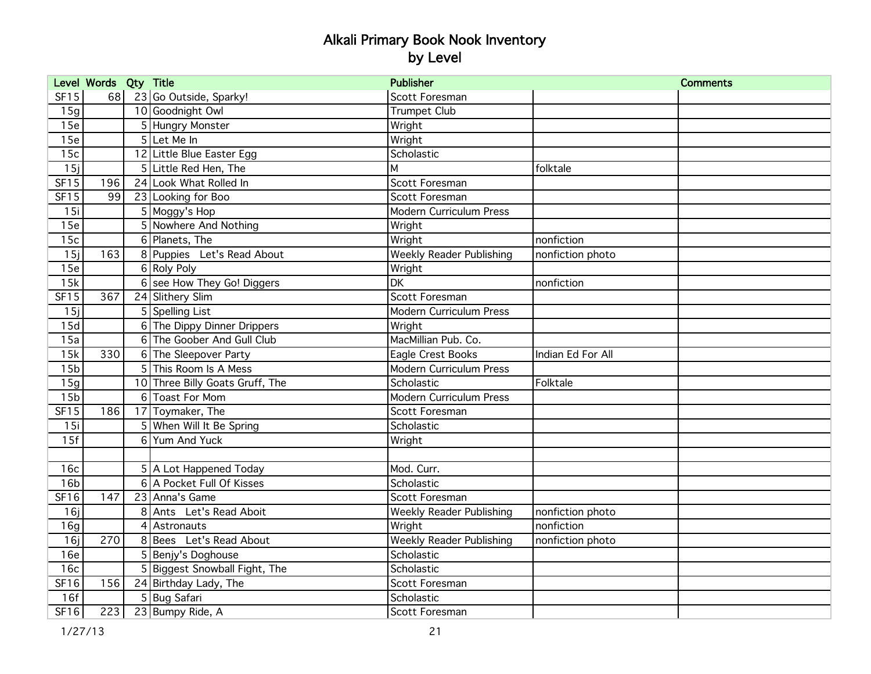|                 | Level Words Qty Title |   |                                 | <b>Publisher</b>                |                   | <b>Comments</b> |
|-----------------|-----------------------|---|---------------------------------|---------------------------------|-------------------|-----------------|
| <b>SF15</b>     | 68                    |   | 23 Go Outside, Sparky!          | Scott Foresman                  |                   |                 |
| 15g             |                       |   | 10 Goodnight Owl                | <b>Trumpet Club</b>             |                   |                 |
| 15e             |                       |   | 5 Hungry Monster                | Wright                          |                   |                 |
| 15e             |                       |   | 5 Let Me In                     | Wright                          |                   |                 |
| 15c             |                       |   | 12 Little Blue Easter Egg       | Scholastic                      |                   |                 |
| 15i             |                       |   | 5 Little Red Hen, The           | M                               | folktale          |                 |
| <b>SF15</b>     | 196                   |   | 24 Look What Rolled In          | Scott Foresman                  |                   |                 |
| <b>SF15</b>     | 99                    |   | 23 Looking for Boo              | Scott Foresman                  |                   |                 |
| 15i             |                       |   | 5 Moggy's Hop                   | Modern Curriculum Press         |                   |                 |
| 15e             |                       |   | 5 Nowhere And Nothing           | Wright                          |                   |                 |
| 15c             |                       |   | 6 Planets, The                  | Wright                          | nonfiction        |                 |
| 15j             | 163                   |   | 8 Puppies Let's Read About      | <b>Weekly Reader Publishing</b> | nonfiction photo  |                 |
| 15e             |                       |   | 6 Roly Poly                     | Wright                          |                   |                 |
| 15k             |                       |   | 6 see How They Go! Diggers      | DK                              | nonfiction        |                 |
| <b>SF15</b>     | 367                   |   | 24 Slithery Slim                | Scott Foresman                  |                   |                 |
| 15i             |                       |   | 5 Spelling List                 | <b>Modern Curriculum Press</b>  |                   |                 |
| 15d             |                       |   | 6 The Dippy Dinner Drippers     | Wright                          |                   |                 |
| 15a             |                       |   | 6 The Goober And Gull Club      | MacMillian Pub. Co.             |                   |                 |
| 15k             | 330                   |   | 6 The Sleepover Party           | Eagle Crest Books               | Indian Ed For All |                 |
| 15 <sub>b</sub> |                       |   | <b>5 This Room Is A Mess</b>    | Modern Curriculum Press         |                   |                 |
| 15g             |                       |   | 10 Three Billy Goats Gruff, The | Scholastic                      | Folktale          |                 |
| 15 <sub>b</sub> |                       |   | 6 Toast For Mom                 | <b>Modern Curriculum Press</b>  |                   |                 |
| <b>SF15</b>     | 186                   |   | 17 Toymaker, The                | Scott Foresman                  |                   |                 |
| 15i             |                       |   | 5 When Will It Be Spring        | Scholastic                      |                   |                 |
| 15f             |                       | 6 | Yum And Yuck                    | Wright                          |                   |                 |
|                 |                       |   |                                 |                                 |                   |                 |
| 16c             |                       |   | 5 A Lot Happened Today          | Mod. Curr.                      |                   |                 |
| 16 <sub>b</sub> |                       |   | 6 A Pocket Full Of Kisses       | Scholastic                      |                   |                 |
| SF16            | 147                   |   | 23 Anna's Game                  | Scott Foresman                  |                   |                 |
| 16j             |                       | 8 | Ants Let's Read Aboit           | <b>Weekly Reader Publishing</b> | nonfiction photo  |                 |
| 16g             |                       |   | 4 Astronauts                    | Wright                          | nonfiction        |                 |
| 16i             | 270                   |   | 8 Bees Let's Read About         | Weekly Reader Publishing        | nonfiction photo  |                 |
| 16e             |                       |   | 5 Benjy's Doghouse              | Scholastic                      |                   |                 |
| 16c             |                       |   | 5 Biggest Snowball Fight, The   | Scholastic                      |                   |                 |
| SF16            | 156                   |   | 24 Birthday Lady, The           | Scott Foresman                  |                   |                 |
| 16f             |                       |   | 5 Bug Safari                    | Scholastic                      |                   |                 |
| SF16            | 223                   |   | 23 Bumpy Ride, A                | Scott Foresman                  |                   |                 |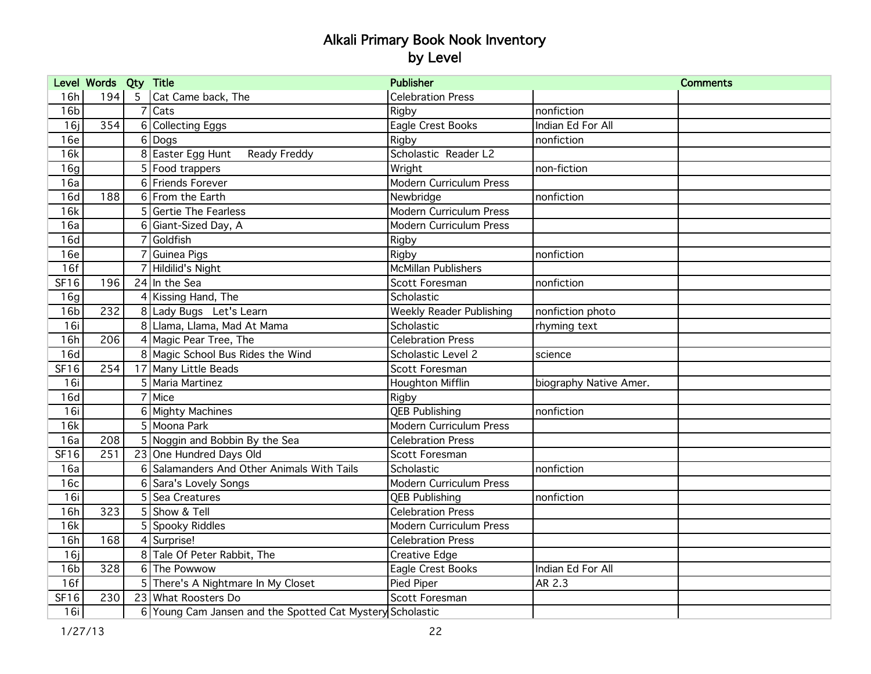|                 | Level Words Qty Title |                 |                                                           | <b>Publisher</b>                |                        | <b>Comments</b> |
|-----------------|-----------------------|-----------------|-----------------------------------------------------------|---------------------------------|------------------------|-----------------|
| 16h             | 194                   | $5\overline{)}$ | Cat Came back, The                                        | <b>Celebration Press</b>        |                        |                 |
| 16 <sub>b</sub> |                       |                 | 7 Cats                                                    | Rigby                           | nonfiction             |                 |
| 16j             | 354                   |                 | 6 Collecting Eggs                                         | Eagle Crest Books               | Indian Ed For All      |                 |
| 16e             |                       |                 | $6 $ Dogs                                                 | Rigby                           | nonfiction             |                 |
| 16k             |                       |                 | 8 Easter Egg Hunt<br>Ready Freddy                         | Scholastic Reader L2            |                        |                 |
| 16q             |                       |                 | 5 Food trappers                                           | Wright                          | non-fiction            |                 |
| 16a             |                       |                 | 6 Friends Forever                                         | Modern Curriculum Press         |                        |                 |
| 16d             | 188                   |                 | 6 From the Earth                                          | Newbridge                       | nonfiction             |                 |
| 16k             |                       |                 | 5 Gertie The Fearless                                     | Modern Curriculum Press         |                        |                 |
| 16a             |                       |                 | 6 Giant-Sized Day, A                                      | Modern Curriculum Press         |                        |                 |
| 16d             |                       |                 | 7 Goldfish                                                | Rigby                           |                        |                 |
| 16e             |                       |                 | 7 Guinea Pigs                                             | Rigby                           | nonfiction             |                 |
| 16f             |                       |                 | 7 Hildilid's Night                                        | <b>McMillan Publishers</b>      |                        |                 |
| SF16            | 196                   |                 | 24 In the Sea                                             | Scott Foresman                  | nonfiction             |                 |
| 16g             |                       |                 | 4 Kissing Hand, The                                       | Scholastic                      |                        |                 |
| 16 <sub>b</sub> | 232                   |                 | 8 Lady Bugs Let's Learn                                   | <b>Weekly Reader Publishing</b> | nonfiction photo       |                 |
| 16i             |                       |                 | 8 Llama, Llama, Mad At Mama                               | Scholastic                      | rhyming text           |                 |
| 16h             | 206                   |                 | 4 Magic Pear Tree, The                                    | <b>Celebration Press</b>        |                        |                 |
| 16d             |                       |                 | 8 Magic School Bus Rides the Wind                         | Scholastic Level 2              | science                |                 |
| SF16            | 254                   |                 | 17 Many Little Beads                                      | Scott Foresman                  |                        |                 |
| 16i             |                       |                 | 5 Maria Martinez                                          | <b>Houghton Mifflin</b>         | biography Native Amer. |                 |
| 16d             |                       |                 | 7 Mice                                                    | Rigby                           |                        |                 |
| 16i             |                       |                 | 6 Mighty Machines                                         | <b>QEB Publishing</b>           | nonfiction             |                 |
| 16k             |                       |                 | 5 Moona Park                                              | <b>Modern Curriculum Press</b>  |                        |                 |
| 16a             | 208                   |                 | 5 Noggin and Bobbin By the Sea                            | <b>Celebration Press</b>        |                        |                 |
| <b>SF16</b>     | 251                   |                 | 23 One Hundred Days Old                                   | Scott Foresman                  |                        |                 |
| 16a             |                       |                 | 6 Salamanders And Other Animals With Tails                | Scholastic                      | nonfiction             |                 |
| 16c             |                       |                 | 6 Sara's Lovely Songs                                     | Modern Curriculum Press         |                        |                 |
| 16i             |                       |                 | 5 Sea Creatures                                           | <b>QEB Publishing</b>           | nonfiction             |                 |
| 16h             | 323                   |                 | 5 Show & Tell                                             | <b>Celebration Press</b>        |                        |                 |
| 16k             |                       |                 | 5 Spooky Riddles                                          | Modern Curriculum Press         |                        |                 |
| 16h             | 168                   |                 | 4 Surprise!                                               | <b>Celebration Press</b>        |                        |                 |
| 16i             |                       |                 | 8 Tale Of Peter Rabbit, The                               | Creative Edge                   |                        |                 |
| 16 <sub>b</sub> | 328                   |                 | 6The Powwow                                               | Eagle Crest Books               | Indian Ed For All      |                 |
| 16f             |                       |                 | 5 There's A Nightmare In My Closet                        | Pied Piper                      | AR 2.3                 |                 |
| SF16            | 230                   |                 | 23 What Roosters Do                                       | Scott Foresman                  |                        |                 |
| 16i             |                       |                 | 6 Young Cam Jansen and the Spotted Cat Mystery Scholastic |                                 |                        |                 |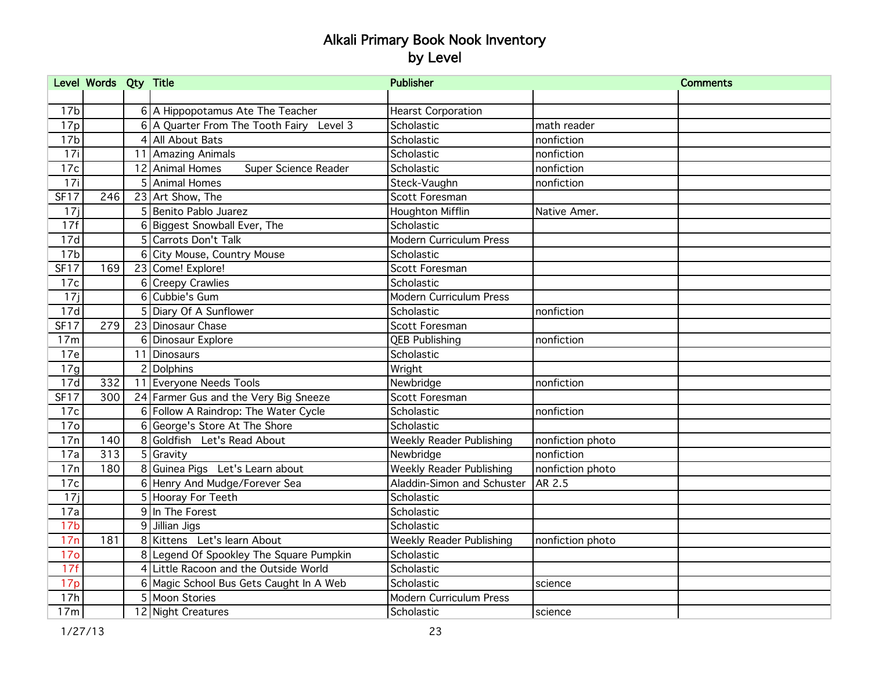|                 | Level Words Qty Title |   |                                          | <b>Publisher</b>                |                  | <b>Comments</b> |
|-----------------|-----------------------|---|------------------------------------------|---------------------------------|------------------|-----------------|
|                 |                       |   |                                          |                                 |                  |                 |
| 17 <sub>b</sub> |                       |   | 6 A Hippopotamus Ate The Teacher         | <b>Hearst Corporation</b>       |                  |                 |
| 17p             |                       |   | 6 A Quarter From The Tooth Fairy Level 3 | Scholastic                      | math reader      |                 |
| 17 <sub>b</sub> |                       |   | 4 All About Bats                         | Scholastic                      | nonfiction       |                 |
| 17i             |                       |   | 11 Amazing Animals                       | Scholastic                      | nonfiction       |                 |
| 17c             |                       |   | 12 Animal Homes<br>Super Science Reader  | Scholastic                      | nonfiction       |                 |
| 17i             |                       |   | 5 Animal Homes                           | Steck-Vaughn                    | nonfiction       |                 |
| <b>SF17</b>     | 246                   |   | 23 Art Show, The                         | Scott Foresman                  |                  |                 |
| 17j             |                       |   | 5 Benito Pablo Juarez                    | <b>Houghton Mifflin</b>         | Native Amer.     |                 |
| 17f             |                       |   | 6 Biggest Snowball Ever, The             | Scholastic                      |                  |                 |
| 17d             |                       |   | 5 Carrots Don't Talk                     | <b>Modern Curriculum Press</b>  |                  |                 |
| 17 <sub>b</sub> |                       |   | 6 City Mouse, Country Mouse              | Scholastic                      |                  |                 |
| <b>SF17</b>     | 169                   |   | 23 Come! Explore!                        | Scott Foresman                  |                  |                 |
| 17c             |                       |   | 6 Creepy Crawlies                        | Scholastic                      |                  |                 |
| 17j             |                       |   | 6 Cubbie's Gum                           | <b>Modern Curriculum Press</b>  |                  |                 |
| 17d             |                       |   | 5 Diary Of A Sunflower                   | Scholastic                      | nonfiction       |                 |
| SF17            | 279                   |   | 23 Dinosaur Chase                        | Scott Foresman                  |                  |                 |
| 17m             |                       |   | 6 Dinosaur Explore                       | <b>QEB Publishing</b>           | nonfiction       |                 |
| 17e             |                       |   | 11 Dinosaurs                             | Scholastic                      |                  |                 |
| 17g             |                       |   | 2 Dolphins                               | Wright                          |                  |                 |
| 17d             | 332                   |   | 11 Everyone Needs Tools                  | Newbridge                       | nonfiction       |                 |
| <b>SF17</b>     | 300                   |   | 24 Farmer Gus and the Very Big Sneeze    | Scott Foresman                  |                  |                 |
| 17c             |                       |   | 6 Follow A Raindrop: The Water Cycle     | Scholastic                      | nonfiction       |                 |
| <b>17o</b>      |                       |   | George's Store At The Shore              | Scholastic                      |                  |                 |
| 17n             | 140                   | 8 | Goldfish Let's Read About                | <b>Weekly Reader Publishing</b> | nonfiction photo |                 |
| 17a             | 313                   |   | 5 Gravity                                | Newbridge                       | nonfiction       |                 |
| 17n             | 180                   |   | 8 Guinea Pigs Let's Learn about          | <b>Weekly Reader Publishing</b> | nonfiction photo |                 |
| 17c             |                       |   | 6 Henry And Mudge/Forever Sea            | Aladdin-Simon and Schuster      | AR 2.5           |                 |
| 17j             |                       |   | 5 Hooray For Teeth                       | Scholastic                      |                  |                 |
| 17a             |                       |   | 9 In The Forest                          | Scholastic                      |                  |                 |
| 17 <sub>b</sub> |                       |   | 9 Jillian Jigs                           | Scholastic                      |                  |                 |
| 17n             | 181                   |   | 8 Kittens Let's learn About              | <b>Weekly Reader Publishing</b> | nonfiction photo |                 |
| 17 <sub>o</sub> |                       |   | 8 Legend Of Spookley The Square Pumpkin  | Scholastic                      |                  |                 |
| 17f             |                       |   | 4 Little Racoon and the Outside World    | Scholastic                      |                  |                 |
| 17p             |                       |   | 6 Magic School Bus Gets Caught In A Web  | Scholastic                      | science          |                 |
| 17h             |                       |   | 5 Moon Stories                           | <b>Modern Curriculum Press</b>  |                  |                 |
| 17m             |                       |   | 12 Night Creatures                       | Scholastic                      | science          |                 |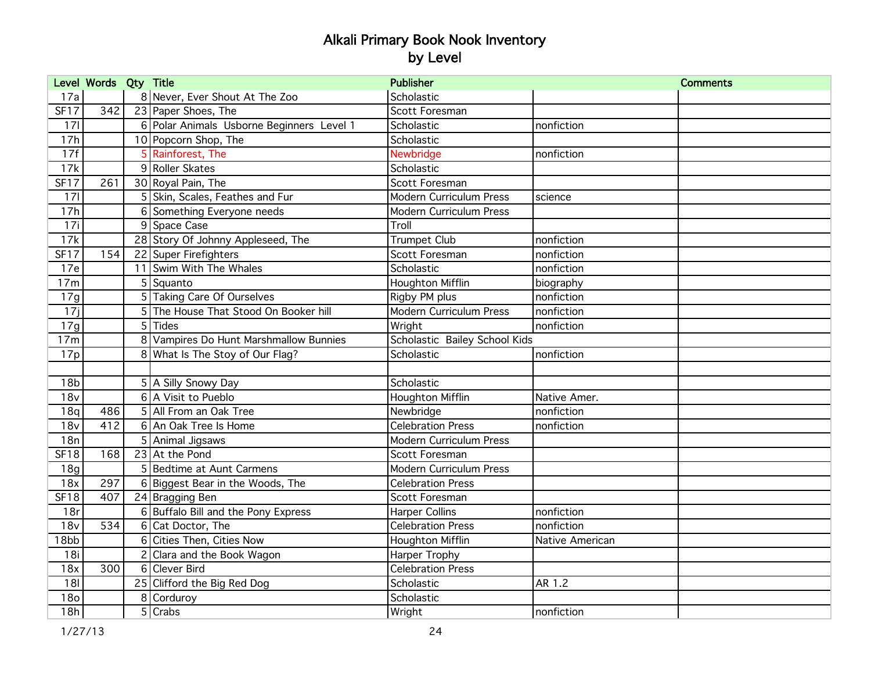|                 | Level Words Qty Title |                                           | <b>Publisher</b>               |                 | <b>Comments</b> |
|-----------------|-----------------------|-------------------------------------------|--------------------------------|-----------------|-----------------|
| 17a             |                       | 8 Never, Ever Shout At The Zoo            | Scholastic                     |                 |                 |
| <b>SF17</b>     | 342                   | 23 Paper Shoes, The                       | Scott Foresman                 |                 |                 |
| 171             |                       | 6 Polar Animals Usborne Beginners Level 1 | Scholastic                     | nonfiction      |                 |
| 17h             |                       | 10 Popcorn Shop, The                      | Scholastic                     |                 |                 |
| 17f             |                       | 5 Rainforest, The                         | Newbridge                      | nonfiction      |                 |
| 17k             |                       | 9 Roller Skates                           | Scholastic                     |                 |                 |
| <b>SF17</b>     | 261                   | 30 Royal Pain, The                        | Scott Foresman                 |                 |                 |
| 171             |                       | 5 Skin, Scales, Feathes and Fur           | Modern Curriculum Press        | science         |                 |
| 17h             |                       | 6 Something Everyone needs                | <b>Modern Curriculum Press</b> |                 |                 |
| 17i             |                       | 9 Space Case                              | Troll                          |                 |                 |
| 17k             |                       | 28 Story Of Johnny Appleseed, The         | <b>Trumpet Club</b>            | nonfiction      |                 |
| <b>SF17</b>     | 154                   | 22 Super Firefighters                     | Scott Foresman                 | nonfiction      |                 |
| 17e             |                       | 11 Swim With The Whales                   | Scholastic                     | nonfiction      |                 |
| 17m             |                       | 5 Squanto                                 | Houghton Mifflin               | biography       |                 |
| 17g             |                       | 5 Taking Care Of Ourselves                | Rigby PM plus                  | nonfiction      |                 |
| 17i             |                       | 5 The House That Stood On Booker hill     | Modern Curriculum Press        | nonfiction      |                 |
| 17g             |                       | $5$ Tides                                 | Wright                         | nonfiction      |                 |
| 17m             |                       | 8 Vampires Do Hunt Marshmallow Bunnies    | Scholastic Bailey School Kids  |                 |                 |
| 17p             |                       | 8 What Is The Stoy of Our Flag?           | Scholastic                     | nonfiction      |                 |
|                 |                       |                                           |                                |                 |                 |
| 18 <sub>b</sub> |                       | 5 A Silly Snowy Day                       | Scholastic                     |                 |                 |
| 18v             |                       | 6 A Visit to Pueblo                       | <b>Houghton Mifflin</b>        | Native Amer.    |                 |
| 18q             | 486                   | 5 All From an Oak Tree                    | Newbridge                      | nonfiction      |                 |
| 18v             | 412                   | 6 An Oak Tree Is Home                     | <b>Celebration Press</b>       | nonfiction      |                 |
| 18n             |                       | 5 Animal Jigsaws                          | <b>Modern Curriculum Press</b> |                 |                 |
| <b>SF18</b>     | 168                   | 23 At the Pond                            | Scott Foresman                 |                 |                 |
| 18g             |                       | 5 Bedtime at Aunt Carmens                 | Modern Curriculum Press        |                 |                 |
| 18x             | 297                   | 6 Biggest Bear in the Woods, The          | <b>Celebration Press</b>       |                 |                 |
| <b>SF18</b>     | 407                   | 24 Bragging Ben                           | Scott Foresman                 |                 |                 |
| 18r             |                       | 6 Buffalo Bill and the Pony Express       | <b>Harper Collins</b>          | nonfiction      |                 |
| 18v             | 534                   | 6 Cat Doctor, The                         | <b>Celebration Press</b>       | nonfiction      |                 |
| 18bb            |                       | 6 Cities Then, Cities Now                 | Houghton Mifflin               | Native American |                 |
| 18i             |                       | 2 Clara and the Book Wagon                | Harper Trophy                  |                 |                 |
| 18x             | 300                   | 6 Clever Bird                             | <b>Celebration Press</b>       |                 |                 |
| 181             |                       | 25 Clifford the Big Red Dog               | Scholastic                     | AR 1.2          |                 |
| 18 <sub>o</sub> |                       | 8 Corduroy                                | Scholastic                     |                 |                 |
| 18h             |                       | $\overline{5}$ Crabs                      | Wright                         | nonfiction      |                 |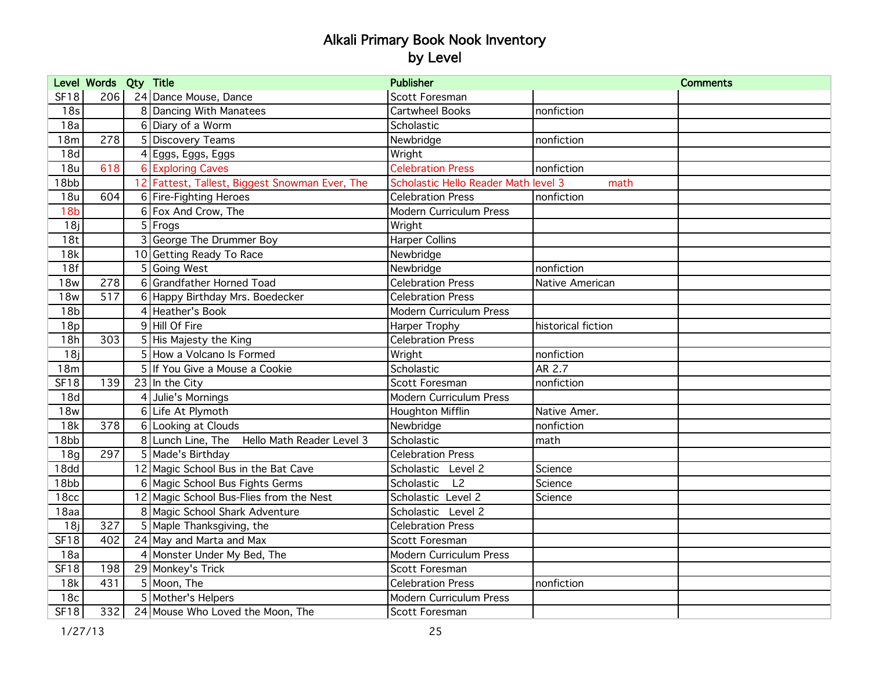|                  | Level Words Qty Title |                                                | <b>Publisher</b>                     |                    | <b>Comments</b> |
|------------------|-----------------------|------------------------------------------------|--------------------------------------|--------------------|-----------------|
| <b>SF18</b>      | 206                   | 24 Dance Mouse, Dance                          | Scott Foresman                       |                    |                 |
| 18 <sub>s</sub>  |                       | 8 Dancing With Manatees                        | Cartwheel Books                      | nonfiction         |                 |
| 18a              |                       | 6 Diary of a Worm                              | Scholastic                           |                    |                 |
| 18m              | 278                   | 5 Discovery Teams                              | Newbridge                            | nonfiction         |                 |
| 18d              |                       | 4 Eggs, Eggs, Eggs                             | Wright                               |                    |                 |
| 18u              | 618                   | <b>6 Exploring Caves</b>                       | <b>Celebration Press</b>             | nonfiction         |                 |
| 18bb             |                       | 12 Fattest, Tallest, Biggest Snowman Ever, The | Scholastic Hello Reader Math level 3 | math               |                 |
| 18u              | 604                   | 6 Fire-Fighting Heroes                         | <b>Celebration Press</b>             | nonfiction         |                 |
| 18 <sub>b</sub>  |                       | 6 Fox And Crow, The                            | Modern Curriculum Press              |                    |                 |
| 18j              |                       | $5$ Frogs                                      | Wright                               |                    |                 |
| 18t              |                       | 3 George The Drummer Boy                       | <b>Harper Collins</b>                |                    |                 |
| 18k              |                       | 10 Getting Ready To Race                       | Newbridge                            |                    |                 |
| 18f              |                       | 5 Going West                                   | Newbridge                            | nonfiction         |                 |
| <b>18w</b>       | 278                   | 6 Grandfather Horned Toad                      | <b>Celebration Press</b>             | Native American    |                 |
| <b>18w</b>       | 517                   | 6 Happy Birthday Mrs. Boedecker                | <b>Celebration Press</b>             |                    |                 |
| 18 <sub>b</sub>  |                       | 4 Heather's Book                               | Modern Curriculum Press              |                    |                 |
| 18p              |                       | 9 Hill Of Fire                                 | Harper Trophy                        | historical fiction |                 |
| 18h              | 303                   | 5 His Majesty the King                         | <b>Celebration Press</b>             |                    |                 |
| 18j              |                       | 5 How a Volcano Is Formed                      | Wright                               | nonfiction         |                 |
| 18m              |                       | 5 If You Give a Mouse a Cookie                 | Scholastic                           | AR 2.7             |                 |
| <b>SF18</b>      | 139                   | $23$ In the City                               | Scott Foresman                       | nonfiction         |                 |
| 18d              |                       | 4 Julie's Mornings                             | <b>Modern Curriculum Press</b>       |                    |                 |
| <b>18w</b>       |                       | 6 Life At Plymoth                              | Houghton Mifflin                     | Native Amer.       |                 |
| 18k              | 378                   | 6 Looking at Clouds                            | Newbridge                            | nonfiction         |                 |
| 18bb             |                       | 8 Lunch Line, The Hello Math Reader Level 3    | Scholastic                           | math               |                 |
| 18g              | 297                   | 5 Made's Birthday                              | <b>Celebration Press</b>             |                    |                 |
| 18 <sub>dd</sub> |                       | 12 Magic School Bus in the Bat Cave            | Scholastic Level 2                   | Science            |                 |
| 18bb             |                       | 6 Magic School Bus Fights Germs                | Scholastic<br>L <sub>2</sub>         | Science            |                 |
| 18 <sub>cc</sub> |                       | 12 Magic School Bus-Flies from the Nest        | Scholastic Level 2                   | Science            |                 |
| 18aa             |                       | 8 Magic School Shark Adventure                 | Scholastic Level 2                   |                    |                 |
| 18j              | 327                   | 5 Maple Thanksgiving, the                      | <b>Celebration Press</b>             |                    |                 |
| SF18             | 402                   | 24 May and Marta and Max                       | Scott Foresman                       |                    |                 |
| 18a              |                       | 4 Monster Under My Bed, The                    | <b>Modern Curriculum Press</b>       |                    |                 |
| <b>SF18</b>      | 198                   | 29 Monkey's Trick                              | Scott Foresman                       |                    |                 |
| 18k              | 431                   | 5 Moon, The                                    | <b>Celebration Press</b>             | nonfiction         |                 |
| 18 <sub>c</sub>  |                       | 5 Mother's Helpers                             | Modern Curriculum Press              |                    |                 |
| <b>SF18</b>      |                       | 332 24 Mouse Who Loved the Moon, The           | Scott Foresman                       |                    |                 |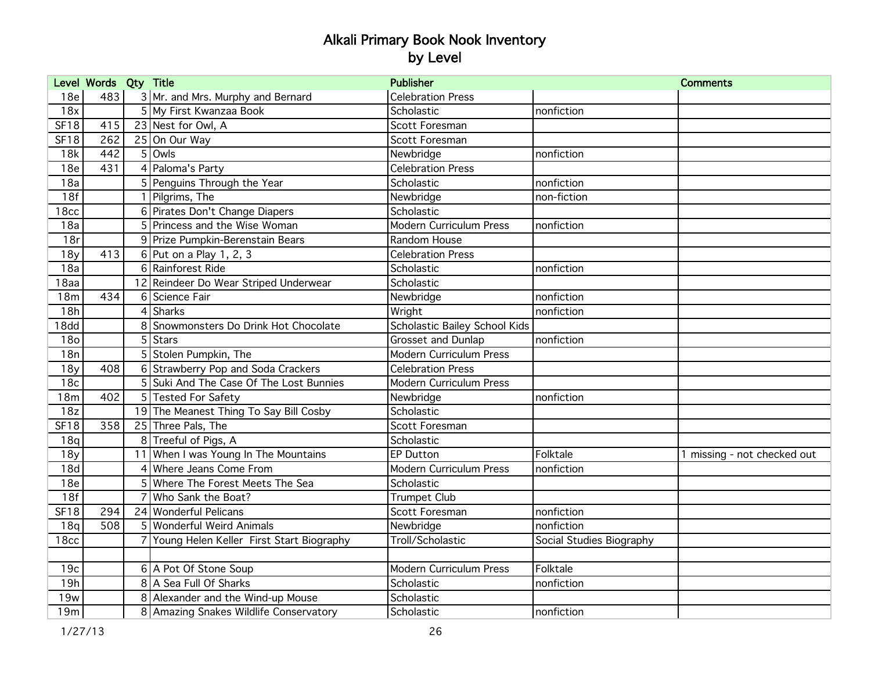|                  | Level Words Qty Title |                                            | <b>Publisher</b>               |                          | <b>Comments</b>             |
|------------------|-----------------------|--------------------------------------------|--------------------------------|--------------------------|-----------------------------|
| 18e              | 483                   | 3 Mr. and Mrs. Murphy and Bernard          | <b>Celebration Press</b>       |                          |                             |
| 18x              |                       | 5 My First Kwanzaa Book                    | Scholastic                     | nonfiction               |                             |
| <b>SF18</b>      | 415                   | 23 Nest for Owl, A                         | Scott Foresman                 |                          |                             |
| <b>SF18</b>      | 262                   | 25 On Our Way                              | Scott Foresman                 |                          |                             |
| 18k              | 442                   | $5$ Owls                                   | Newbridge                      | nonfiction               |                             |
| 18e              | 431                   | 4 Paloma's Party                           | <b>Celebration Press</b>       |                          |                             |
| 18a              |                       | 5 Penguins Through the Year                | Scholastic                     | nonfiction               |                             |
| 18f              |                       | 1 Pilgrims, The                            | Newbridge                      | non-fiction              |                             |
| 18 <sub>cc</sub> |                       | 6 Pirates Don't Change Diapers             | Scholastic                     |                          |                             |
| 18a              |                       | 5 Princess and the Wise Woman              | <b>Modern Curriculum Press</b> | nonfiction               |                             |
| 18r              |                       | 9 Prize Pumpkin-Berenstain Bears           | Random House                   |                          |                             |
| 18y              | 413                   | 6 Put on a Play 1, 2, 3                    | <b>Celebration Press</b>       |                          |                             |
| 18a              |                       | 6 Rainforest Ride                          | Scholastic                     | nonfiction               |                             |
| 18aa             |                       | 12 Reindeer Do Wear Striped Underwear      | Scholastic                     |                          |                             |
| 18m              | 434                   | 6 Science Fair                             | Newbridge                      | nonfiction               |                             |
| 18h              |                       | 4 Sharks                                   | Wright                         | nonfiction               |                             |
| 18 <sub>dd</sub> |                       | 8 Snowmonsters Do Drink Hot Chocolate      | Scholastic Bailey School Kids  |                          |                             |
| 18 <sub>o</sub>  |                       | $5$ Stars                                  | Grosset and Dunlap             | nonfiction               |                             |
| 18n              |                       | 5 Stolen Pumpkin, The                      | <b>Modern Curriculum Press</b> |                          |                             |
| 18y              | 408                   | 6 Strawberry Pop and Soda Crackers         | <b>Celebration Press</b>       |                          |                             |
| 18c              |                       | 5 Suki And The Case Of The Lost Bunnies    | Modern Curriculum Press        |                          |                             |
| 18m              | 402                   | 5 Tested For Safety                        | Newbridge                      | nonfiction               |                             |
| 18z              |                       | 19 The Meanest Thing To Say Bill Cosby     | Scholastic                     |                          |                             |
| <b>SF18</b>      | 358                   | 25 Three Pals, The                         | Scott Foresman                 |                          |                             |
| 18q              |                       | 8 Treeful of Pigs, A                       | Scholastic                     |                          |                             |
| 18y              |                       | 11 When I was Young In The Mountains       | <b>EP Dutton</b>               | Folktale                 | 1 missing - not checked out |
| 18d              |                       | Where Jeans Come From                      | Modern Curriculum Press        | nonfiction               |                             |
| 18e              |                       | Where The Forest Meets The Sea             | Scholastic                     |                          |                             |
| 18f              |                       | Who Sank the Boat?                         | <b>Trumpet Club</b>            |                          |                             |
| <b>SF18</b>      | 294                   | 24 Wonderful Pelicans                      | Scott Foresman                 | nonfiction               |                             |
| 18q              | 508                   | 5 Wonderful Weird Animals                  | Newbridge                      | nonfiction               |                             |
| 18 <sub>cc</sub> |                       | 7 Young Helen Keller First Start Biography | Troll/Scholastic               | Social Studies Biography |                             |
|                  |                       |                                            |                                |                          |                             |
| 19c              |                       | 6 A Pot Of Stone Soup                      | Modern Curriculum Press        | Folktale                 |                             |
| 19h              |                       | 8 A Sea Full Of Sharks                     | Scholastic                     | nonfiction               |                             |
| 19w              |                       | 8 Alexander and the Wind-up Mouse          | Scholastic                     |                          |                             |
| 19m              |                       | 8 Amazing Snakes Wildlife Conservatory     | Scholastic                     | nonfiction               |                             |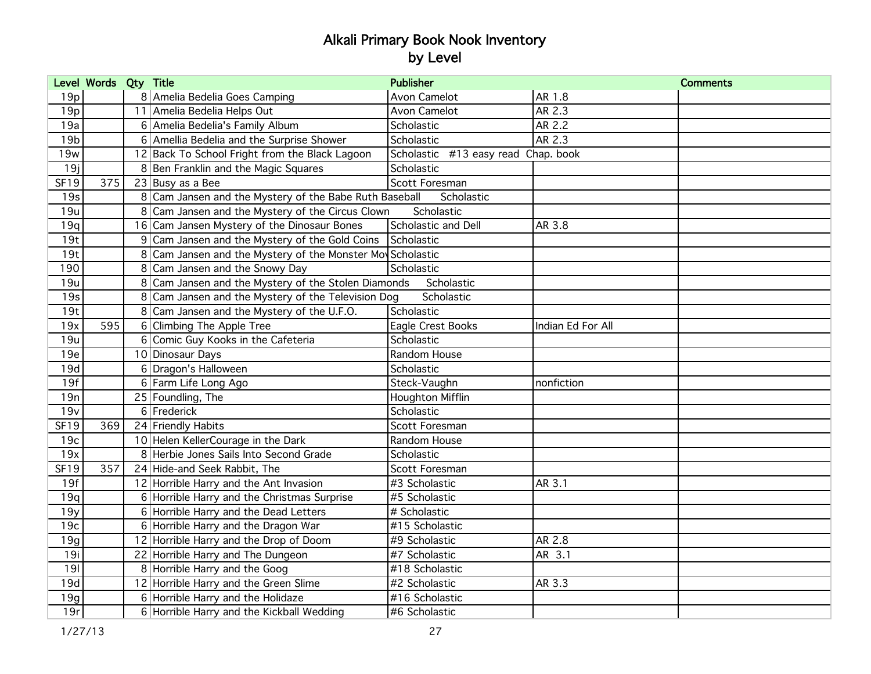|                 | Level Words Qty Title |                                                            | <b>Publisher</b>                    |                   | <b>Comments</b> |
|-----------------|-----------------------|------------------------------------------------------------|-------------------------------------|-------------------|-----------------|
| 19p             |                       | 8 Amelia Bedelia Goes Camping                              | Avon Camelot                        | AR 1.8            |                 |
| 19p             |                       | 11 Amelia Bedelia Helps Out                                | Avon Camelot                        | AR 2.3            |                 |
| 19a             |                       | 6 Amelia Bedelia's Family Album                            | Scholastic                          | AR 2.2            |                 |
| 19 <sub>b</sub> |                       | 6 Amellia Bedelia and the Surprise Shower                  | Scholastic                          | AR 2.3            |                 |
| 19w             |                       | 12 Back To School Fright from the Black Lagoon             | Scholastic #13 easy read Chap. book |                   |                 |
| 19j             |                       | 8 Ben Franklin and the Magic Squares                       | Scholastic                          |                   |                 |
| SF19            | 375                   | $23$ Busy as a Bee                                         | Scott Foresman                      |                   |                 |
| 19s             |                       | 8 Cam Jansen and the Mystery of the Babe Ruth Baseball     | Scholastic                          |                   |                 |
| 19u             |                       | 8 Cam Jansen and the Mystery of the Circus Clown           | Scholastic                          |                   |                 |
| 19q             |                       | 16 Cam Jansen Mystery of the Dinosaur Bones                | Scholastic and Dell                 | AR 3.8            |                 |
| 19t             |                       | 9 Cam Jansen and the Mystery of the Gold Coins             | Scholastic                          |                   |                 |
| 19t             |                       | 8 Cam Jansen and the Mystery of the Monster Mov Scholastic |                                     |                   |                 |
| 190             |                       | 8 Cam Jansen and the Snowy Day                             | Scholastic                          |                   |                 |
| 19u             |                       | 8 Cam Jansen and the Mystery of the Stolen Diamonds        | Scholastic                          |                   |                 |
| 19s             |                       | 8 Cam Jansen and the Mystery of the Television Dog         | Scholastic                          |                   |                 |
| 19t             |                       | 8 Cam Jansen and the Mystery of the U.F.O.                 | Scholastic                          |                   |                 |
| 19x             | 595                   | 6 Climbing The Apple Tree                                  | Eagle Crest Books                   | Indian Ed For All |                 |
| 19u             |                       | 6 Comic Guy Kooks in the Cafeteria                         | Scholastic                          |                   |                 |
| 19e             |                       | 10 Dinosaur Days                                           | Random House                        |                   |                 |
| 19d             |                       | 6 Dragon's Halloween                                       | Scholastic                          |                   |                 |
| 19f             |                       | 6 Farm Life Long Ago                                       | Steck-Vaughn                        | nonfiction        |                 |
| 19n             |                       | 25 Foundling, The                                          | Houghton Mifflin                    |                   |                 |
| 19v             |                       | 6 Frederick                                                | Scholastic                          |                   |                 |
| <b>SF19</b>     | 369                   | 24 Friendly Habits                                         | Scott Foresman                      |                   |                 |
| 19c             |                       | 10 Helen KellerCourage in the Dark                         | Random House                        |                   |                 |
| 19x             |                       | 8 Herbie Jones Sails Into Second Grade                     | Scholastic                          |                   |                 |
| SF19            | 357                   | 24 Hide-and Seek Rabbit, The                               | Scott Foresman                      |                   |                 |
| 19f             |                       | 12 Horrible Harry and the Ant Invasion                     | #3 Scholastic                       | AR 3.1            |                 |
| 19q             |                       | 6 Horrible Harry and the Christmas Surprise                | #5 Scholastic                       |                   |                 |
| 19y             |                       | 6 Horrible Harry and the Dead Letters                      | # Scholastic                        |                   |                 |
| 19c             |                       | 6 Horrible Harry and the Dragon War                        | #15 Scholastic                      |                   |                 |
| 19g             |                       | 12 Horrible Harry and the Drop of Doom                     | #9 Scholastic                       | AR 2.8            |                 |
| 19i             |                       | 22 Horrible Harry and The Dungeon                          | #7 Scholastic                       | AR 3.1            |                 |
| 191             |                       | 8 Horrible Harry and the Goog                              | #18 Scholastic                      |                   |                 |
| 19d             |                       | 12 Horrible Harry and the Green Slime                      | #2 Scholastic                       | AR 3.3            |                 |
| 19g             |                       | 6 Horrible Harry and the Holidaze                          | #16 Scholastic                      |                   |                 |
| 19r             |                       | 6 Horrible Harry and the Kickball Wedding                  | #6 Scholastic                       |                   |                 |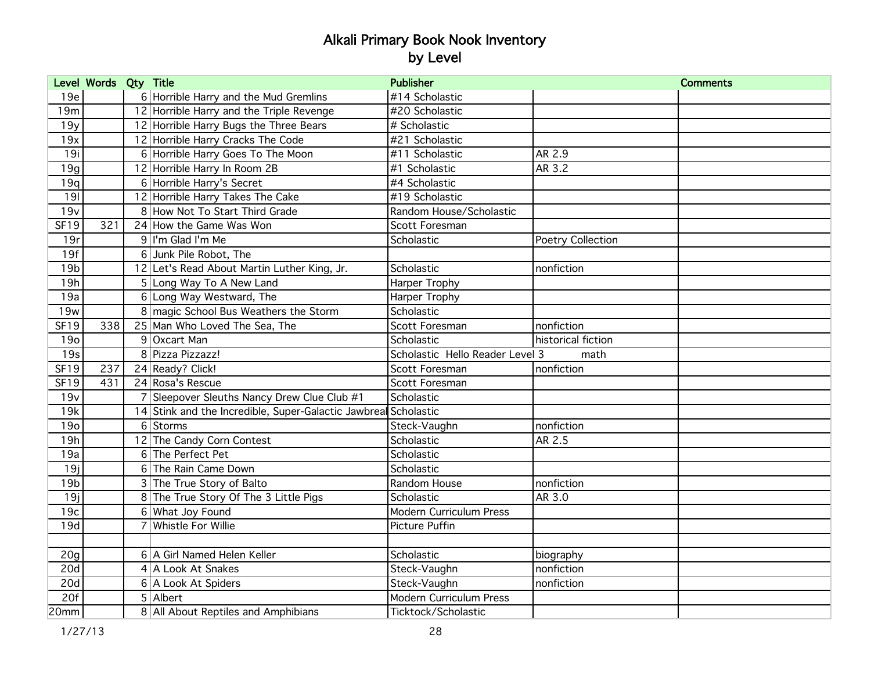|                  | Level Words Qty Title |                                                                 | <b>Publisher</b>                |                    | <b>Comments</b> |
|------------------|-----------------------|-----------------------------------------------------------------|---------------------------------|--------------------|-----------------|
| 19e              |                       | 6 Horrible Harry and the Mud Gremlins                           | #14 Scholastic                  |                    |                 |
| 19m              |                       | 12 Horrible Harry and the Triple Revenge                        | #20 Scholastic                  |                    |                 |
| 19y              |                       | 12 Horrible Harry Bugs the Three Bears                          | # Scholastic                    |                    |                 |
| 19x              |                       | 12 Horrible Harry Cracks The Code                               | #21 Scholastic                  |                    |                 |
| 19i              |                       | 6 Horrible Harry Goes To The Moon                               | #11 Scholastic                  | AR 2.9             |                 |
| 19g              |                       | 12 Horrible Harry In Room 2B                                    | #1 Scholastic                   | AR 3.2             |                 |
| 19q              |                       | 6 Horrible Harry's Secret                                       | #4 Scholastic                   |                    |                 |
| 191              |                       | 12 Horrible Harry Takes The Cake                                | #19 Scholastic                  |                    |                 |
| 19v              |                       | 8 How Not To Start Third Grade                                  | Random House/Scholastic         |                    |                 |
| <b>SF19</b>      | 321                   | 24 How the Game Was Won                                         | Scott Foresman                  |                    |                 |
| 19r              |                       | 9 I'm Glad I'm Me                                               | Scholastic                      | Poetry Collection  |                 |
| 19f              |                       | 6 Junk Pile Robot, The                                          |                                 |                    |                 |
| 19 <sub>b</sub>  |                       | 12 Let's Read About Martin Luther King, Jr.                     | Scholastic                      | nonfiction         |                 |
| 19h              |                       | 5 Long Way To A New Land                                        | Harper Trophy                   |                    |                 |
| 19a              |                       | 6 Long Way Westward, The                                        | Harper Trophy                   |                    |                 |
| 19 <sub>w</sub>  |                       | 8 magic School Bus Weathers the Storm                           | Scholastic                      |                    |                 |
| <b>SF19</b>      | 338                   | 25 Man Who Loved The Sea, The                                   | Scott Foresman                  | nonfiction         |                 |
| 190              |                       | 9 Oxcart Man                                                    | Scholastic                      | historical fiction |                 |
| 19s              |                       | 8 Pizza Pizzazz!                                                | Scholastic Hello Reader Level 3 | math               |                 |
| SF19             | 237                   | 24 Ready? Click!                                                | Scott Foresman                  | nonfiction         |                 |
| <b>SF19</b>      | 431                   | 24 Rosa's Rescue                                                | Scott Foresman                  |                    |                 |
| 19v              |                       | Sleepover Sleuths Nancy Drew Clue Club #1                       | Scholastic                      |                    |                 |
| 19k              |                       | 14 Stink and the Incredible, Super-Galactic Jawbreal Scholastic |                                 |                    |                 |
| 190              |                       | 6 Storms                                                        | Steck-Vaughn                    | nonfiction         |                 |
| 19h              |                       | 12 The Candy Corn Contest                                       | Scholastic                      | AR 2.5             |                 |
| 19a              |                       | 6 The Perfect Pet                                               | Scholastic                      |                    |                 |
| 19j              |                       | 6 The Rain Came Down                                            | Scholastic                      |                    |                 |
| 19 <sub>b</sub>  |                       | 3 The True Story of Balto                                       | Random House                    | nonfiction         |                 |
| 19j              |                       | 8 The True Story Of The 3 Little Pigs                           | Scholastic                      | AR 3.0             |                 |
| 19c              |                       | 6 What Joy Found                                                | Modern Curriculum Press         |                    |                 |
| 19d              |                       | <b>Whistle For Willie</b>                                       | Picture Puffin                  |                    |                 |
|                  |                       |                                                                 |                                 |                    |                 |
| 20 <sub>g</sub>  |                       | 6 A Girl Named Helen Keller                                     | Scholastic                      | biography          |                 |
| 20d              |                       | 4 A Look At Snakes                                              | Steck-Vaughn                    | nonfiction         |                 |
| 20d              |                       | 6 A Look At Spiders                                             | Steck-Vaughn                    | nonfiction         |                 |
| 20f              |                       | 5 Albert                                                        | Modern Curriculum Press         |                    |                 |
| 20 <sub>mm</sub> |                       | 8 All About Reptiles and Amphibians                             | Ticktock/Scholastic             |                    |                 |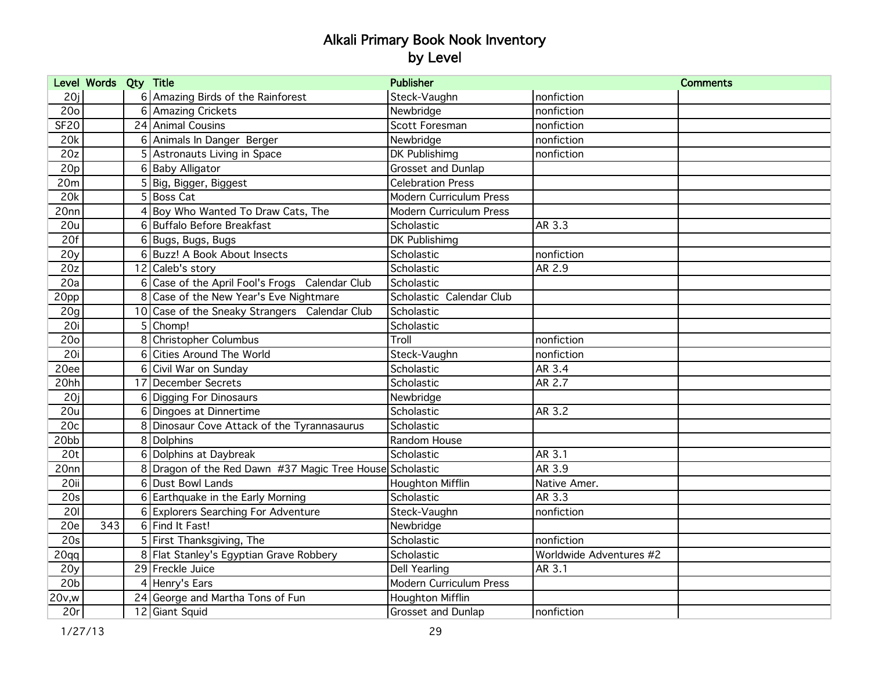|                  | Level Words Qty Title |   |                                                          | <b>Publisher</b>               |                         | <b>Comments</b> |
|------------------|-----------------------|---|----------------------------------------------------------|--------------------------------|-------------------------|-----------------|
| 20j              |                       |   | 6 Amazing Birds of the Rainforest                        | Steck-Vaughn                   | nonfiction              |                 |
| 20 <sub>o</sub>  |                       |   | 6 Amazing Crickets                                       | Newbridge                      | nonfiction              |                 |
| <b>SF20</b>      |                       |   | 24 Animal Cousins                                        | Scott Foresman                 | nonfiction              |                 |
| 20k              |                       |   | 6 Animals In Danger Berger                               | Newbridge                      | nonfiction              |                 |
| 20z              |                       |   | 5 Astronauts Living in Space                             | DK Publishimg                  | nonfiction              |                 |
| 20p              |                       |   | 6 Baby Alligator                                         | <b>Grosset and Dunlap</b>      |                         |                 |
| 20m              |                       |   | 5 Big, Bigger, Biggest                                   | <b>Celebration Press</b>       |                         |                 |
| 20k              |                       |   | 5 Boss Cat                                               | <b>Modern Curriculum Press</b> |                         |                 |
| 20nn             |                       |   | 4 Boy Who Wanted To Draw Cats, The                       | <b>Modern Curriculum Press</b> |                         |                 |
| 20u              |                       |   | 6 Buffalo Before Breakfast                               | Scholastic                     | AR 3.3                  |                 |
| 20f              |                       |   | 6 Bugs, Bugs, Bugs                                       | DK Publishimg                  |                         |                 |
| 20y              |                       |   | 6 Buzz! A Book About Insects                             | Scholastic                     | nonfiction              |                 |
| 20z              |                       |   | 12 Caleb's story                                         | Scholastic                     | AR 2.9                  |                 |
| 20a              |                       | 6 | Case of the April Fool's Frogs Calendar Club             | Scholastic                     |                         |                 |
| 20pp             |                       |   | 8 Case of the New Year's Eve Nightmare                   | Scholastic Calendar Club       |                         |                 |
| 20 <sub>g</sub>  |                       |   | 10 Case of the Sneaky Strangers Calendar Club            | Scholastic                     |                         |                 |
| 20i              |                       |   | 5 Chomp!                                                 | Scholastic                     |                         |                 |
| 20 <sub>o</sub>  |                       |   | 8 Christopher Columbus                                   | Troll                          | nonfiction              |                 |
| 20i              |                       | 6 | Cities Around The World                                  | Steck-Vaughn                   | nonfiction              |                 |
| 20ee             |                       |   | 6 Civil War on Sunday                                    | Scholastic                     | AR 3.4                  |                 |
| 20hh             |                       |   | 17 December Secrets                                      | Scholastic                     | AR 2.7                  |                 |
| 20j              |                       |   | 6 Digging For Dinosaurs                                  | Newbridge                      |                         |                 |
| 20u              |                       |   | 6 Dingoes at Dinnertime                                  | Scholastic                     | AR 3.2                  |                 |
| 20c              |                       | 8 | Dinosaur Cove Attack of the Tyrannasaurus                | Scholastic                     |                         |                 |
| 20bb             |                       |   | 8 Dolphins                                               | Random House                   |                         |                 |
| 20 <sub>t</sub>  |                       |   | 6 Dolphins at Daybreak                                   | Scholastic                     | AR 3.1                  |                 |
| 20nn             |                       |   | 8 Dragon of the Red Dawn #37 Magic Tree House Scholastic |                                | AR 3.9                  |                 |
| 20ii             |                       |   | 6 Dust Bowl Lands                                        | Houghton Mifflin               | Native Amer.            |                 |
| 20s              |                       |   | 6 Earthquake in the Early Morning                        | Scholastic                     | AR 3.3                  |                 |
| 201              |                       |   | 6 Explorers Searching For Adventure                      | Steck-Vaughn                   | nonfiction              |                 |
| 20e              | 343                   |   | 6 Find It Fast!                                          | Newbridge                      |                         |                 |
| 20s              |                       |   | 5 First Thanksgiving, The                                | Scholastic                     | nonfiction              |                 |
| 20 <sub>qq</sub> |                       |   | 8 Flat Stanley's Egyptian Grave Robbery                  | Scholastic                     | Worldwide Adventures #2 |                 |
| 20y              |                       |   | 29 Freckle Juice                                         | <b>Dell Yearling</b>           | AR 3.1                  |                 |
| 20 <sub>b</sub>  |                       |   | 4 Henry's Ears                                           | Modern Curriculum Press        |                         |                 |
| 20v,w            |                       |   | 24 George and Martha Tons of Fun                         | Houghton Mifflin               |                         |                 |
| 20r              |                       |   | 12 Giant Squid                                           | Grosset and Dunlap             | nonfiction              |                 |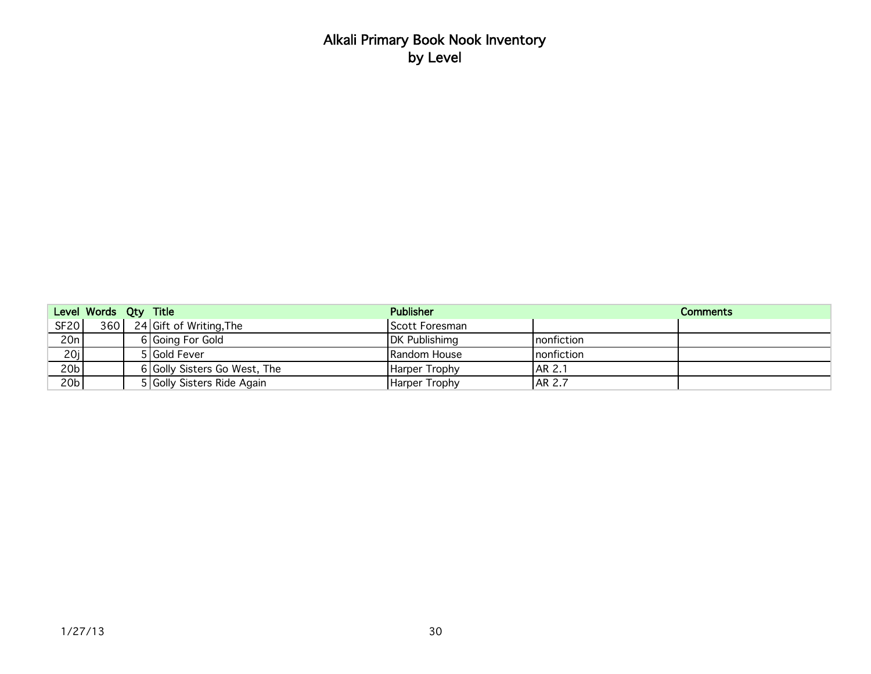|                   | Level Words Qty Title |                              | <b>Publisher</b> |             | <b>Comments</b> |
|-------------------|-----------------------|------------------------------|------------------|-------------|-----------------|
| <b>SF20</b>       |                       | 360 24 Gift of Writing, The  | Scott Foresman   |             |                 |
| 20n               |                       | 6 Going For Gold             | DK Publishimg    | Inonfiction |                 |
| $\frac{20j}{20b}$ |                       | 5 Gold Fever                 | Random House     | nonfiction  |                 |
|                   |                       | 6 Golly Sisters Go West, The | Harper Trophy    | AR 2.1      |                 |
| 20 <sub>b</sub>   |                       | 5 Golly Sisters Ride Again   | Harper Trophy    | AR 2.7      |                 |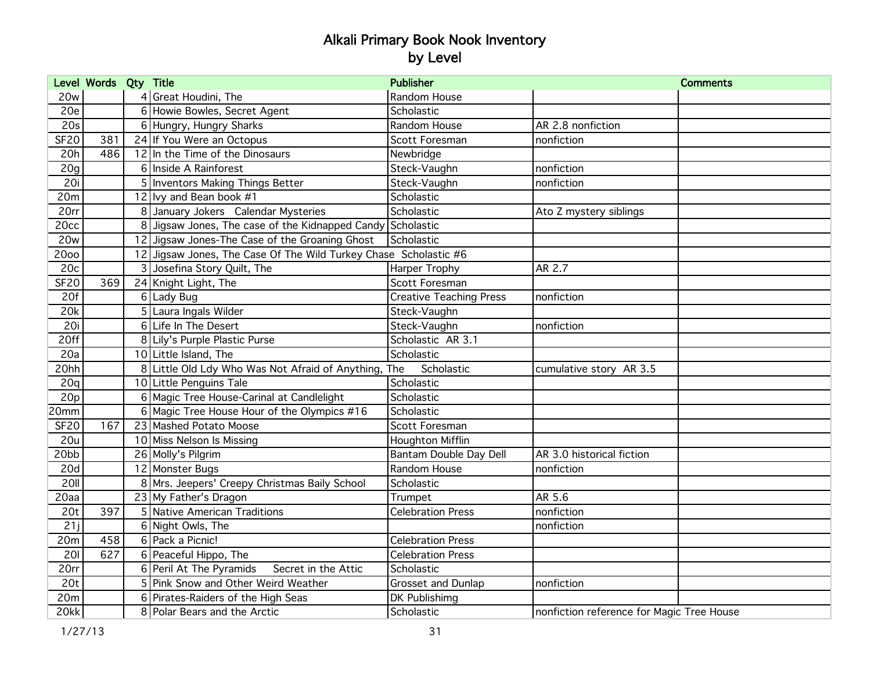|                 | Level Words Qty Title |                                                                  | <b>Publisher</b>               | <b>Comments</b>                           |
|-----------------|-----------------------|------------------------------------------------------------------|--------------------------------|-------------------------------------------|
| 20w             |                       | 4 Great Houdini, The                                             | Random House                   |                                           |
| 20e             |                       | 6 Howie Bowles, Secret Agent                                     | Scholastic                     |                                           |
| 20s             |                       | 6 Hungry, Hungry Sharks                                          | Random House                   | AR 2.8 nonfiction                         |
| <b>SF20</b>     | 381                   | 24 If You Were an Octopus                                        | Scott Foresman                 | nonfiction                                |
| 20h             | 486                   | 12 In the Time of the Dinosaurs                                  | Newbridge                      |                                           |
| 20 <sub>g</sub> |                       | 6 Inside A Rainforest                                            | Steck-Vaughn                   | nonfiction                                |
| 20i             |                       | 5 Inventors Making Things Better                                 | Steck-Vaughn                   | nonfiction                                |
| 20m             |                       | 12 lvy and Bean book #1                                          | Scholastic                     |                                           |
| 20rr            |                       | 8 January Jokers Calendar Mysteries                              | Scholastic                     | Ato Z mystery siblings                    |
| 20cc            |                       | 8 Jigsaw Jones, The case of the Kidnapped Candy Scholastic       |                                |                                           |
| <b>20w</b>      |                       | 12 Jigsaw Jones-The Case of the Groaning Ghost                   | Scholastic                     |                                           |
| 2000            |                       | 12 Jigsaw Jones, The Case Of The Wild Turkey Chase Scholastic #6 |                                |                                           |
| 20c             |                       | 3 Josefina Story Quilt, The                                      | Harper Trophy                  | AR 2.7                                    |
| <b>SF20</b>     | 369                   | 24 Knight Light, The                                             | Scott Foresman                 |                                           |
| 20f             |                       | 6 Lady Bug                                                       | <b>Creative Teaching Press</b> | nonfiction                                |
| 20k             |                       | 5 Laura Ingals Wilder                                            | Steck-Vaughn                   |                                           |
| 20i             |                       | 6 Life In The Desert                                             | Steck-Vaughn                   | nonfiction                                |
| 20ff            |                       | 8 Lily's Purple Plastic Purse                                    | Scholastic AR 3.1              |                                           |
| 20a             |                       | 10 Little Island, The                                            | Scholastic                     |                                           |
| 20hh            |                       | 8 Little Old Ldy Who Was Not Afraid of Anything, The             | Scholastic                     | cumulative story AR 3.5                   |
| 20q             |                       | 10 Little Penguins Tale                                          | Scholastic                     |                                           |
| 20p             |                       | 6 Magic Tree House-Carinal at Candlelight                        | Scholastic                     |                                           |
| 20mm            |                       | 6 Magic Tree House Hour of the Olympics #16                      | Scholastic                     |                                           |
| <b>SF20</b>     | 167                   | 23 Mashed Potato Moose                                           | Scott Foresman                 |                                           |
| 20u             |                       | 10 Miss Nelson Is Missing                                        | <b>Houghton Mifflin</b>        |                                           |
| 20bb            |                       | 26 Molly's Pilgrim                                               | Bantam Double Day Dell         | AR 3.0 historical fiction                 |
| 20d             |                       | 12 Monster Bugs                                                  | Random House                   | nonfiction                                |
| 20II            |                       | 8 Mrs. Jeepers' Creepy Christmas Baily School                    | Scholastic                     |                                           |
| 20aa            |                       | 23 My Father's Dragon                                            | Trumpet                        | AR 5.6                                    |
| 20 <sub>t</sub> | 397                   | 5 Native American Traditions                                     | <b>Celebration Press</b>       | nonfiction                                |
| 21j             |                       | 6 Night Owls, The                                                |                                | nonfiction                                |
| 20m             | 458                   | 6 Pack a Picnic!                                                 | <b>Celebration Press</b>       |                                           |
| 201             | 627                   | 6 Peaceful Hippo, The                                            | <b>Celebration Press</b>       |                                           |
| 20rr            |                       | 6 Peril At The Pyramids<br>Secret in the Attic                   | Scholastic                     |                                           |
| 20 <sub>t</sub> |                       | 5 Pink Snow and Other Weird Weather                              | Grosset and Dunlap             | nonfiction                                |
| 20m             |                       | 6 Pirates-Raiders of the High Seas                               | DK Publishimg                  |                                           |
| 20kk            |                       | 8 Polar Bears and the Arctic                                     | Scholastic                     | nonfiction reference for Magic Tree House |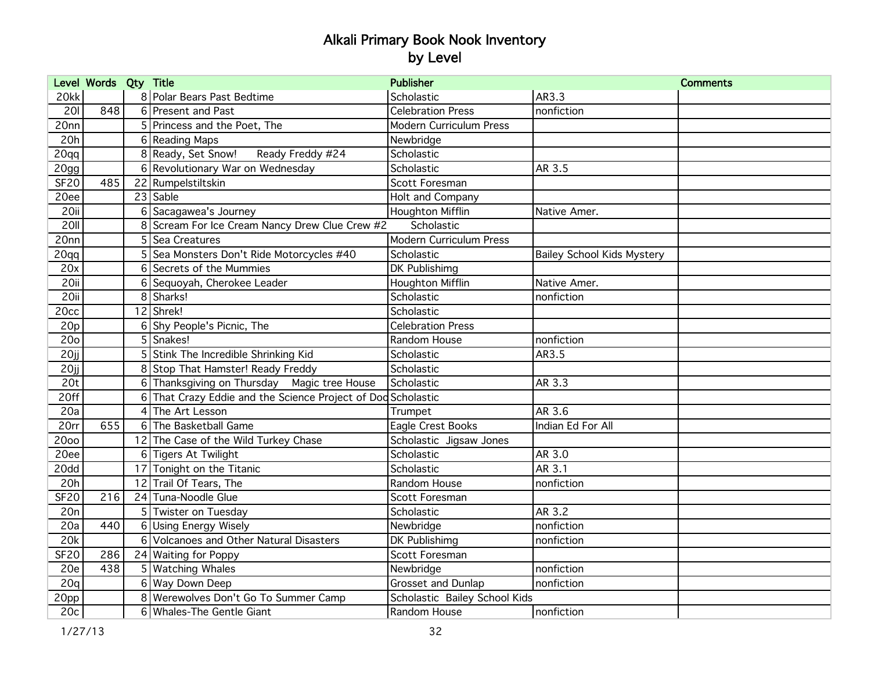|                 | Level Words Qty Title |                |                                                            | <b>Publisher</b>               |                                   | <b>Comments</b> |
|-----------------|-----------------------|----------------|------------------------------------------------------------|--------------------------------|-----------------------------------|-----------------|
| 20kk            |                       |                | 8 Polar Bears Past Bedtime                                 | Scholastic                     | AR3.3                             |                 |
| 201             | 848                   |                | 6 Present and Past                                         | <b>Celebration Press</b>       | nonfiction                        |                 |
| 20nn            |                       |                | 5 Princess and the Poet, The                               | Modern Curriculum Press        |                                   |                 |
| 20h             |                       |                | 6 Reading Maps                                             | Newbridge                      |                                   |                 |
| 20qq            |                       |                | 8 Ready, Set Snow!<br>Ready Freddy #24                     | Scholastic                     |                                   |                 |
| 20gg            |                       |                | 6 Revolutionary War on Wednesday                           | Scholastic                     | AR 3.5                            |                 |
| <b>SF20</b>     | 485                   |                | 22 Rumpelstiltskin                                         | Scott Foresman                 |                                   |                 |
| 20ee            |                       |                | 23 Sable                                                   | <b>Holt and Company</b>        |                                   |                 |
| 20ii            |                       |                | 6 Sacagawea's Journey                                      | Houghton Mifflin               | Native Amer.                      |                 |
| 20II            |                       |                | 8 Scream For Ice Cream Nancy Drew Clue Crew #2             | Scholastic                     |                                   |                 |
| 20nn            |                       |                | 5 Sea Creatures                                            | <b>Modern Curriculum Press</b> |                                   |                 |
| 20qq            |                       |                | 5 Sea Monsters Don't Ride Motorcycles #40                  | Scholastic                     | <b>Bailey School Kids Mystery</b> |                 |
| 20x             |                       | 6 <sup>1</sup> | Secrets of the Mummies                                     | DK Publishimg                  |                                   |                 |
| 20ii            |                       |                | 6 Sequoyah, Cherokee Leader                                | <b>Houghton Mifflin</b>        | Native Amer.                      |                 |
| 20ii            |                       |                | 8 Sharks!                                                  | Scholastic                     | nonfiction                        |                 |
| 20cc            |                       |                | 12 Shrek!                                                  | Scholastic                     |                                   |                 |
| 20p             |                       |                | 6 Shy People's Picnic, The                                 | <b>Celebration Press</b>       |                                   |                 |
| 20 <sub>o</sub> |                       |                | 5 Snakes!                                                  | Random House                   | nonfiction                        |                 |
| 20jj            |                       |                | 5 Stink The Incredible Shrinking Kid                       | Scholastic                     | AR3.5                             |                 |
| 20ji            |                       |                | 8 Stop That Hamster! Ready Freddy                          | Scholastic                     |                                   |                 |
| 20 <sub>t</sub> |                       |                | 6 Thanksgiving on Thursday Magic tree House                | Scholastic                     | AR 3.3                            |                 |
| 20ff            |                       | $6 \mid$       | That Crazy Eddie and the Science Project of Dod Scholastic |                                |                                   |                 |
| 20a             |                       |                | 4 The Art Lesson                                           | Trumpet                        | AR 3.6                            |                 |
| 20rr            | 655                   | $6 \mid$       | The Basketball Game                                        | Eagle Crest Books              | Indian Ed For All                 |                 |
| 2000            |                       |                | 12 The Case of the Wild Turkey Chase                       | Scholastic Jigsaw Jones        |                                   |                 |
| 20ee            |                       |                | 6 Tigers At Twilight                                       | Scholastic                     | AR 3.0                            |                 |
| 20dd            |                       |                | 17 Tonight on the Titanic                                  | Scholastic                     | AR 3.1                            |                 |
| 20h             |                       |                | 12 Trail Of Tears, The                                     | Random House                   | nonfiction                        |                 |
| <b>SF20</b>     | 216                   |                | 24 Tuna-Noodle Glue                                        | Scott Foresman                 |                                   |                 |
| 20n             |                       |                | 5 Twister on Tuesday                                       | Scholastic                     | AR 3.2                            |                 |
| 20a             | 440                   |                | 6 Using Energy Wisely                                      | Newbridge                      | nonfiction                        |                 |
| 20k             |                       |                | 6 Volcanoes and Other Natural Disasters                    | DK Publishimg                  | nonfiction                        |                 |
| <b>SF20</b>     | 286                   |                | 24 Waiting for Poppy                                       | Scott Foresman                 |                                   |                 |
| 20e             | 438                   |                | 5   Watching Whales                                        | Newbridge                      | nonfiction                        |                 |
| 20q             |                       |                | 6 Way Down Deep                                            | Grosset and Dunlap             | nonfiction                        |                 |
| 20pp            |                       |                | 8 Werewolves Don't Go To Summer Camp                       | Scholastic Bailey School Kids  |                                   |                 |
| 20c             |                       |                | 6 Whales-The Gentle Giant                                  | Random House                   | nonfiction                        |                 |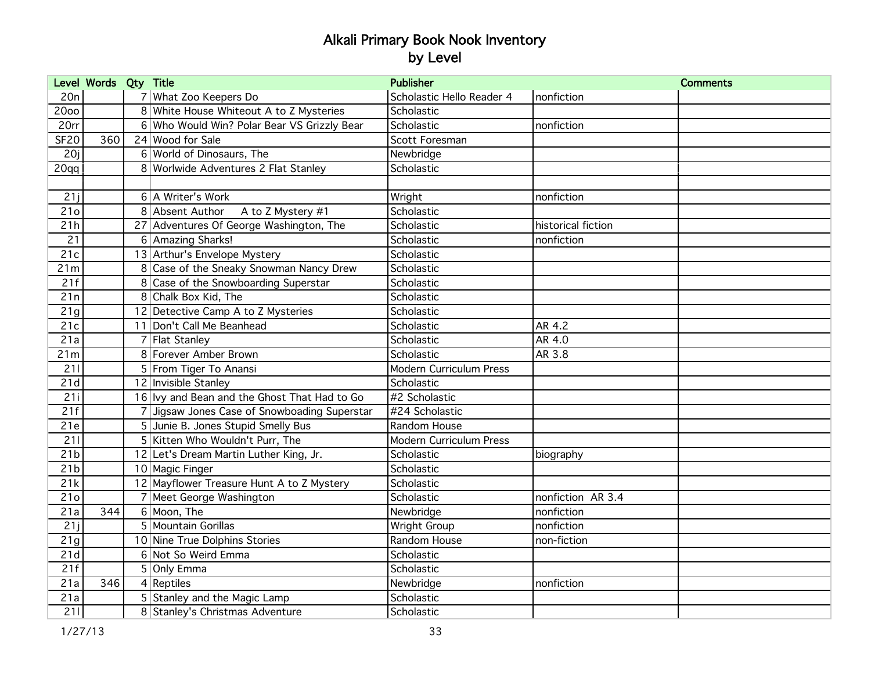|                  | Level Words Qty Title |   |                                              | <b>Publisher</b>               |                    | <b>Comments</b> |
|------------------|-----------------------|---|----------------------------------------------|--------------------------------|--------------------|-----------------|
| 20n              |                       |   | 7 What Zoo Keepers Do                        | Scholastic Hello Reader 4      | nonfiction         |                 |
| 2000             |                       |   | 8 White House Whiteout A to Z Mysteries      | Scholastic                     |                    |                 |
| 20rr             |                       |   | 6 Who Would Win? Polar Bear VS Grizzly Bear  | Scholastic                     | nonfiction         |                 |
| <b>SF20</b>      | 360                   |   | 24 Wood for Sale                             | Scott Foresman                 |                    |                 |
| 20j              |                       |   | 6 World of Dinosaurs, The                    | Newbridge                      |                    |                 |
| 20 <sub>qq</sub> |                       |   | 8 Worlwide Adventures 2 Flat Stanley         | Scholastic                     |                    |                 |
|                  |                       |   |                                              |                                |                    |                 |
| 21j              |                       |   | 6 A Writer's Work                            | Wright                         | nonfiction         |                 |
| 21 <sub>o</sub>  |                       |   | 8 Absent Author<br>A to Z Mystery #1         | Scholastic                     |                    |                 |
| 21h              |                       |   | 27 Adventures Of George Washington, The      | Scholastic                     | historical fiction |                 |
| 21               |                       |   | 6 Amazing Sharks!                            | Scholastic                     | nonfiction         |                 |
| 21c              |                       |   | 13 Arthur's Envelope Mystery                 | Scholastic                     |                    |                 |
| 21m              |                       |   | 8 Case of the Sneaky Snowman Nancy Drew      | Scholastic                     |                    |                 |
| 21f              |                       |   | 8 Case of the Snowboarding Superstar         | Scholastic                     |                    |                 |
| 21n              |                       |   | 8 Chalk Box Kid, The                         | Scholastic                     |                    |                 |
| 21g              |                       |   | 12 Detective Camp A to Z Mysteries           | Scholastic                     |                    |                 |
| 21c              |                       |   | 11 Don't Call Me Beanhead                    | Scholastic                     | AR 4.2             |                 |
| 21a              |                       |   | Flat Stanley                                 | Scholastic                     | AR 4.0             |                 |
| 21m              |                       |   | 8 Forever Amber Brown                        | Scholastic                     | AR 3.8             |                 |
| 211              |                       |   | 5 From Tiger To Anansi                       | <b>Modern Curriculum Press</b> |                    |                 |
| 21d              |                       |   | 12 Invisible Stanley                         | Scholastic                     |                    |                 |
| 21i              |                       |   | 16 Ivy and Bean and the Ghost That Had to Go | #2 Scholastic                  |                    |                 |
| 21f              |                       |   | Jigsaw Jones Case of Snowboading Superstar   | #24 Scholastic                 |                    |                 |
| 21e              |                       | 5 | Junie B. Jones Stupid Smelly Bus             | Random House                   |                    |                 |
| 211              |                       |   | 5 Kitten Who Wouldn't Purr, The              | Modern Curriculum Press        |                    |                 |
| 21 <sub>b</sub>  |                       |   | 12 Let's Dream Martin Luther King, Jr.       | Scholastic                     | biography          |                 |
| 21 <sub>b</sub>  |                       |   | 10 Magic Finger                              | Scholastic                     |                    |                 |
| 21k              |                       |   | 12 Mayflower Treasure Hunt A to Z Mystery    | Scholastic                     |                    |                 |
| 21 <sub>o</sub>  |                       |   | 7 Meet George Washington                     | Scholastic                     | nonfiction AR 3.4  |                 |
| 21a              | 344                   |   | 6 Moon, The                                  | Newbridge                      | nonfiction         |                 |
| 21j              |                       |   | 5 Mountain Gorillas                          | Wright Group                   | nonfiction         |                 |
| 21g              |                       |   | 10 Nine True Dolphins Stories                | Random House                   | non-fiction        |                 |
| 21d              |                       |   | 6 Not So Weird Emma                          | Scholastic                     |                    |                 |
| 21f              |                       |   | 5 Only Emma                                  | Scholastic                     |                    |                 |
| 21a              | 346                   |   | $4$ Reptiles                                 | Newbridge                      | nonfiction         |                 |
| 21a              |                       |   | 5 Stanley and the Magic Lamp                 | Scholastic                     |                    |                 |
| 211              |                       |   | 8 Stanley's Christmas Adventure              | Scholastic                     |                    |                 |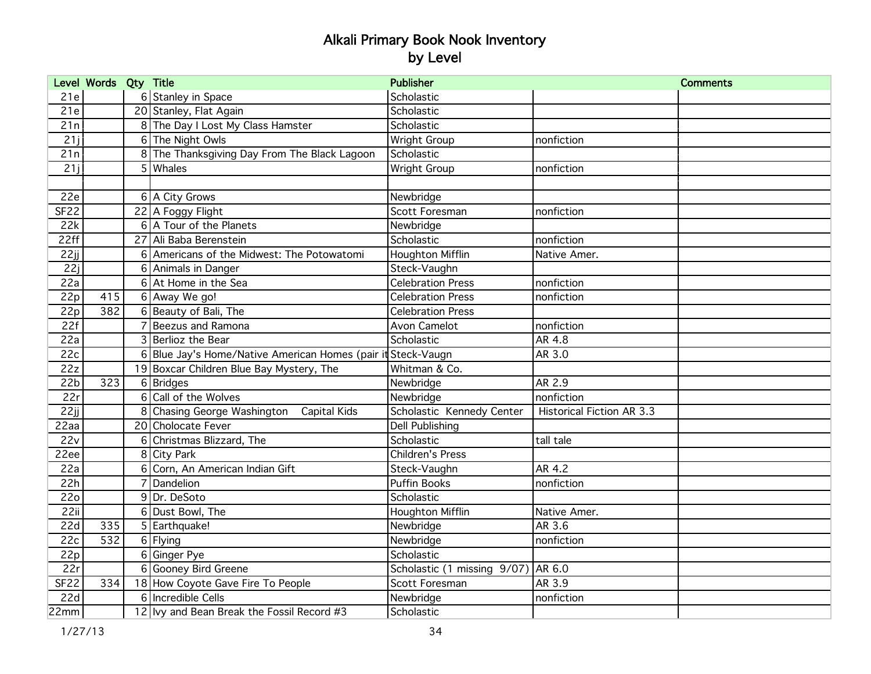|                  | Level Words Qty Title |          |                                                            | <b>Publisher</b>                      |                                  | <b>Comments</b> |
|------------------|-----------------------|----------|------------------------------------------------------------|---------------------------------------|----------------------------------|-----------------|
| 21e              |                       |          | 6 Stanley in Space                                         | Scholastic                            |                                  |                 |
| 21e              |                       |          | 20 Stanley, Flat Again                                     | Scholastic                            |                                  |                 |
| 21n              |                       |          | 8 The Day I Lost My Class Hamster                          | Scholastic                            |                                  |                 |
| 21j              |                       |          | 6 The Night Owls                                           | Wright Group                          | nonfiction                       |                 |
| 21n              |                       |          | 8 The Thanksgiving Day From The Black Lagoon               | Scholastic                            |                                  |                 |
| 21j              |                       |          | $5$ Whales                                                 | Wright Group                          | nonfiction                       |                 |
|                  |                       |          |                                                            |                                       |                                  |                 |
| 22e              |                       |          | 6 A City Grows                                             | Newbridge                             |                                  |                 |
| SF22             |                       |          | 22 A Foggy Flight                                          | Scott Foresman                        | nonfiction                       |                 |
| 22k              |                       |          | 6 A Tour of the Planets                                    | Newbridge                             |                                  |                 |
| 22ff             |                       |          | 27 Ali Baba Berenstein                                     | Scholastic                            | nonfiction                       |                 |
| 22jj             |                       |          | 6 Americans of the Midwest: The Potowatomi                 | Houghton Mifflin                      | Native Amer.                     |                 |
| 22i              |                       |          | 6 Animals in Danger                                        | Steck-Vaughn                          |                                  |                 |
| 22a              |                       |          | 6 At Home in the Sea                                       | <b>Celebration Press</b>              | nonfiction                       |                 |
| 22p              | 415                   |          | 6 Away We go!                                              | <b>Celebration Press</b>              | nonfiction                       |                 |
| 22p              | 382                   |          | 6 Beauty of Bali, The                                      | <b>Celebration Press</b>              |                                  |                 |
| 22f              |                       |          | Beezus and Ramona                                          | Avon Camelot                          | nonfiction                       |                 |
| 22a              |                       |          | 3 Berlioz the Bear                                         | Scholastic                            | AR 4.8                           |                 |
| 22c              |                       | 6        | Blue Jay's Home/Native American Homes (pair it Steck-Vaugn |                                       | AR 3.0                           |                 |
| 22z              |                       |          | 19 Boxcar Children Blue Bay Mystery, The                   | Whitman & Co.                         |                                  |                 |
| 22 <sub>b</sub>  | 323                   |          | 6 Bridges                                                  | Newbridge                             | AR 2.9                           |                 |
| 22r              |                       |          | 6 Call of the Wolves                                       | Newbridge                             | nonfiction                       |                 |
| 22 <sub>ii</sub> |                       |          | 8 Chasing George Washington Capital Kids                   | Scholastic Kennedy Center             | <b>Historical Fiction AR 3.3</b> |                 |
| 22aa             |                       |          | 20 Cholocate Fever                                         | Dell Publishing                       |                                  |                 |
| 22v              |                       | $6 \mid$ | Christmas Blizzard, The                                    | Scholastic                            | tall tale                        |                 |
| 22ee             |                       |          | 8 City Park                                                | <b>Children's Press</b>               |                                  |                 |
| 22a              |                       |          | 6 Corn, An American Indian Gift                            | Steck-Vaughn                          | AR 4.2                           |                 |
| 22h              |                       |          | Dandelion                                                  | <b>Puffin Books</b>                   | nonfiction                       |                 |
| <b>22o</b>       |                       |          | 9Dr. DeSoto                                                | Scholastic                            |                                  |                 |
| 22ii             |                       |          | 6 Dust Bowl, The                                           | Houghton Mifflin                      | Native Amer.                     |                 |
| 22d              | 335                   |          | 5 Earthquake!                                              | Newbridge                             | AR 3.6                           |                 |
| 22c              | 532                   |          | 6 Flying                                                   | Newbridge                             | nonfiction                       |                 |
| 22p              |                       |          | 6 Ginger Pye                                               | Scholastic                            |                                  |                 |
| 22r              |                       |          | 6 Gooney Bird Greene                                       | Scholastic (1 missing $9/07$ ) AR 6.0 |                                  |                 |
| <b>SF22</b>      | 334                   |          | 18 How Coyote Gave Fire To People                          | Scott Foresman                        | AR 3.9                           |                 |
| 22d              |                       |          | 6 Incredible Cells                                         | Newbridge                             | nonfiction                       |                 |
| 22mm             |                       |          | 12 Ivy and Bean Break the Fossil Record #3                 | Scholastic                            |                                  |                 |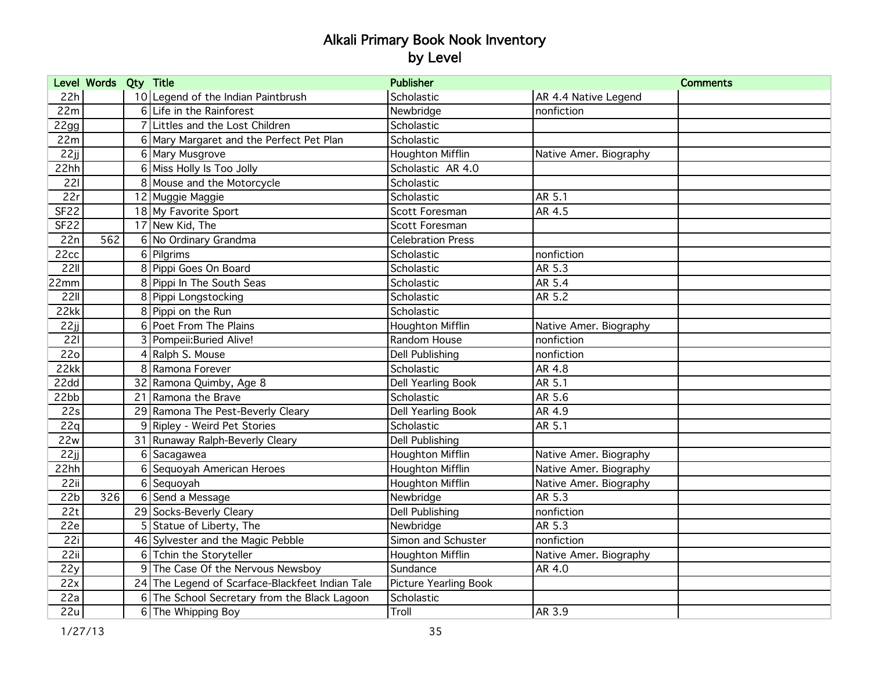|                  | Level Words Qty Title |    |                                                 | <b>Publisher</b>         | <b>Comments</b>        |
|------------------|-----------------------|----|-------------------------------------------------|--------------------------|------------------------|
| 22h              |                       |    | 10 Legend of the Indian Paintbrush              | Scholastic               | AR 4.4 Native Legend   |
| 22m              |                       |    | 6 Life in the Rainforest                        | Newbridge                | nonfiction             |
| 22gg             |                       |    | 7 Littles and the Lost Children                 | Scholastic               |                        |
| 22m              |                       |    | 6 Mary Margaret and the Perfect Pet Plan        | Scholastic               |                        |
| 22jj             |                       |    | 6 Mary Musgrove                                 | Houghton Mifflin         | Native Amer. Biography |
| 22hh             |                       |    | 6 Miss Holly Is Too Jolly                       | Scholastic AR 4.0        |                        |
| 221              |                       |    | 8 Mouse and the Motorcycle                      | Scholastic               |                        |
| 22r              |                       |    | 12 Muggie Maggie                                | Scholastic               | AR 5.1                 |
| SF <sub>22</sub> |                       |    | 18 My Favorite Sport                            | Scott Foresman           | AR 4.5                 |
| SF <sub>22</sub> |                       |    | 17 New Kid, The                                 | Scott Foresman           |                        |
| 22n              | 562                   |    | 6 No Ordinary Grandma                           | <b>Celebration Press</b> |                        |
| 22cc             |                       |    | 6 Pilgrims                                      | Scholastic               | nonfiction             |
| <b>22II</b>      |                       |    | 8 Pippi Goes On Board                           | Scholastic               | AR 5.3                 |
| 22mm             |                       |    | 8 Pippi In The South Seas                       | Scholastic               | AR 5.4                 |
| 221              |                       |    | 8 Pippi Longstocking                            | Scholastic               | AR 5.2                 |
| 22kk             |                       |    | 8 Pippi on the Run                              | Scholastic               |                        |
| 22jj             |                       |    | <b>6</b> Poet From The Plains                   | <b>Houghton Mifflin</b>  | Native Amer. Biography |
| 221              |                       |    | 3 Pompeii: Buried Alive!                        | Random House             | nonfiction             |
| <b>22o</b>       |                       |    | 4 Ralph S. Mouse                                | <b>Dell Publishing</b>   | nonfiction             |
| 22kk             |                       |    | 8 Ramona Forever                                | Scholastic               | AR 4.8                 |
| 22dd             |                       |    | 32 Ramona Quimby, Age 8                         | Dell Yearling Book       | AR 5.1                 |
| 22bb             |                       | 21 | Ramona the Brave                                | Scholastic               | AR 5.6                 |
| 22s              |                       |    | 29 Ramona The Pest-Beverly Cleary               | Dell Yearling Book       | AR 4.9                 |
| 22q              |                       |    | 9 Ripley - Weird Pet Stories                    | Scholastic               | AR 5.1                 |
| 22w              |                       | 31 | Runaway Ralph-Beverly Cleary                    | Dell Publishing          |                        |
| 22jj             |                       | 6  | Sacagawea                                       | Houghton Mifflin         | Native Amer. Biography |
| 22hh             |                       | 6  | Sequoyah American Heroes                        | Houghton Mifflin         | Native Amer. Biography |
| 22ii             |                       |    | 6 Sequoyah                                      | <b>Houghton Mifflin</b>  | Native Amer. Biography |
| 22b              | 326                   |    | 6 Send a Message                                | Newbridge                | AR 5.3                 |
| 22t              |                       |    | 29 Socks-Beverly Cleary                         | Dell Publishing          | nonfiction             |
| 22e              |                       |    | 5 Statue of Liberty, The                        | Newbridge                | <b>AR 5.3</b>          |
| 22i              |                       |    | 46 Sylvester and the Magic Pebble               | Simon and Schuster       | nonfiction             |
| 22ii             |                       |    | 6 Tchin the Storyteller                         | Houghton Mifflin         | Native Amer. Biography |
| 22y              |                       |    | 9 The Case Of the Nervous Newsboy               | Sundance                 | AR 4.0                 |
| 22x              |                       |    | 24 The Legend of Scarface-Blackfeet Indian Tale | Picture Yearling Book    |                        |
| 22a              |                       |    | 6 The School Secretary from the Black Lagoon    | Scholastic               |                        |
| 22u              |                       |    | 6 The Whipping Boy                              | Troll                    | AR 3.9                 |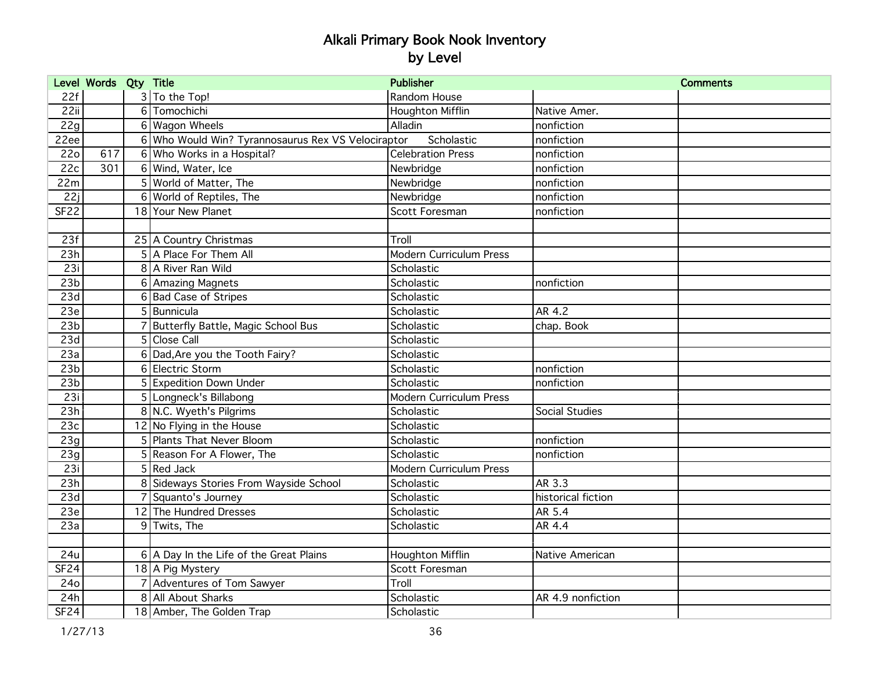|                  | Level Words Qty Title |                                                    | <b>Publisher</b>               |                    | <b>Comments</b> |
|------------------|-----------------------|----------------------------------------------------|--------------------------------|--------------------|-----------------|
| 22f              |                       | 3 To the Top!                                      | Random House                   |                    |                 |
| 22ii             |                       | 6 Tomochichi                                       | Houghton Mifflin               | Native Amer.       |                 |
| 22g              |                       | 6 Wagon Wheels                                     | Alladin                        | nonfiction         |                 |
| 22ee             |                       | 6 Who Would Win? Tyrannosaurus Rex VS Velociraptor | Scholastic                     | nonfiction         |                 |
| 22 <sub>o</sub>  | 617                   | 6 Who Works in a Hospital?                         | <b>Celebration Press</b>       | nonfiction         |                 |
| 22c              | 301                   | 6 Wind, Water, Ice                                 | Newbridge                      | nonfiction         |                 |
| 22m              |                       | 5 World of Matter, The                             | Newbridge                      | nonfiction         |                 |
| 22j              |                       | 6 World of Reptiles, The                           | Newbridge                      | nonfiction         |                 |
| <b>SF22</b>      |                       | 18 Your New Planet                                 | Scott Foresman                 | nonfiction         |                 |
|                  |                       |                                                    |                                |                    |                 |
| 23f              |                       | 25 A Country Christmas                             | Troll                          |                    |                 |
| 23h              |                       | 5 A Place For Them All                             | <b>Modern Curriculum Press</b> |                    |                 |
| 23i              |                       | 8 A River Ran Wild                                 | Scholastic                     |                    |                 |
| 23 <sub>b</sub>  |                       | 6 Amazing Magnets                                  | Scholastic                     | nonfiction         |                 |
| 23d              |                       | 6 Bad Case of Stripes                              | Scholastic                     |                    |                 |
| 23e              |                       | 5 Bunnicula                                        | Scholastic                     | AR 4.2             |                 |
| 23 <sub>b</sub>  |                       | <b>Butterfly Battle, Magic School Bus</b>          | Scholastic                     | chap. Book         |                 |
| 23d              |                       | 5 Close Call                                       | Scholastic                     |                    |                 |
| 23a              |                       | 6 Dad, Are you the Tooth Fairy?                    | Scholastic                     |                    |                 |
| 23 <sub>b</sub>  |                       | 6 Electric Storm                                   | Scholastic                     | nonfiction         |                 |
| 23 <sub>b</sub>  |                       | 5 Expedition Down Under                            | Scholastic                     | nonfiction         |                 |
| 23i              |                       | 5 Longneck's Billabong                             | <b>Modern Curriculum Press</b> |                    |                 |
| 23h              |                       | 8 N.C. Wyeth's Pilgrims                            | Scholastic                     | Social Studies     |                 |
| 23c              |                       | 12 No Flying in the House                          | Scholastic                     |                    |                 |
| 23g              |                       | 5 Plants That Never Bloom                          | Scholastic                     | nonfiction         |                 |
| 23g              |                       | 5 Reason For A Flower, The                         | Scholastic                     | nonfiction         |                 |
| 23i              |                       | $5$ Red Jack                                       | <b>Modern Curriculum Press</b> |                    |                 |
| 23h              |                       | 8 Sideways Stories From Wayside School             | Scholastic                     | AR 3.3             |                 |
| 23d              |                       | Squanto's Journey                                  | Scholastic                     | historical fiction |                 |
| 23e              |                       | 12 The Hundred Dresses                             | Scholastic                     | AR 5.4             |                 |
| 23a              |                       | 9 Twits, The                                       | Scholastic                     | AR 4.4             |                 |
|                  |                       |                                                    |                                |                    |                 |
| 24u              |                       | 6 A Day In the Life of the Great Plains            | <b>Houghton Mifflin</b>        | Native American    |                 |
| SF24             |                       | 18 A Pig Mystery                                   | Scott Foresman                 |                    |                 |
| <b>24o</b>       |                       | 7 Adventures of Tom Sawyer                         | Troll                          |                    |                 |
| 24h              |                       | 8 All About Sharks                                 | Scholastic                     | AR 4.9 nonfiction  |                 |
| SF <sub>24</sub> |                       | 18 Amber, The Golden Trap                          | Scholastic                     |                    |                 |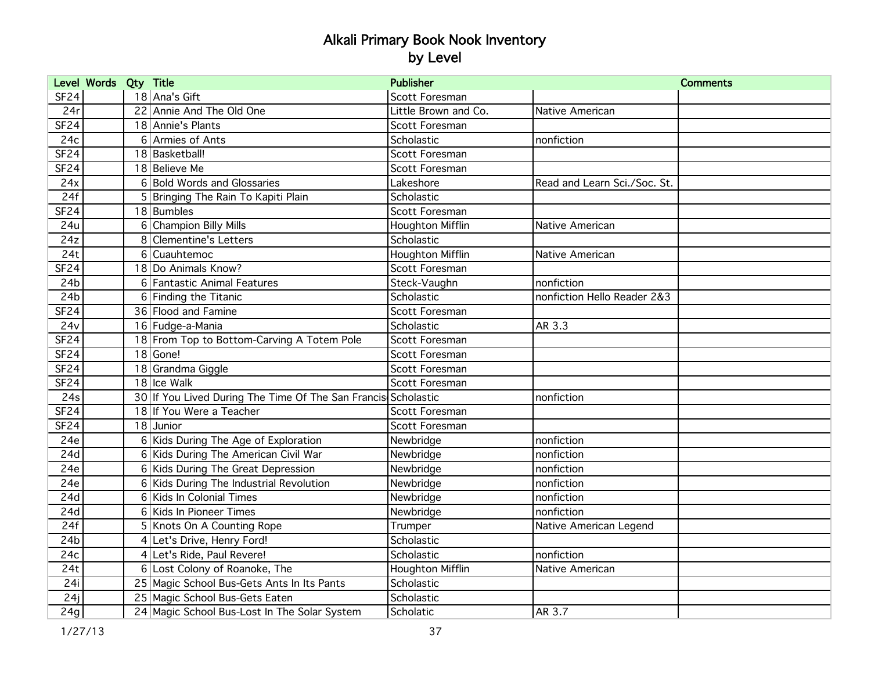| Level Words Qty Title |                                                               | <b>Publisher</b>        |                              | <b>Comments</b> |
|-----------------------|---------------------------------------------------------------|-------------------------|------------------------------|-----------------|
| SF24                  | 18 Ana's Gift                                                 | Scott Foresman          |                              |                 |
| 24r                   | 22 Annie And The Old One                                      | Little Brown and Co.    | Native American              |                 |
| <b>SF24</b>           | 18 Annie's Plants                                             | Scott Foresman          |                              |                 |
| 24c                   | 6 Armies of Ants                                              | Scholastic              | nonfiction                   |                 |
| <b>SF24</b>           | 18 Basketball!                                                | Scott Foresman          |                              |                 |
| <b>SF24</b>           | 18 Believe Me                                                 | Scott Foresman          |                              |                 |
| 24x                   | 6 Bold Words and Glossaries                                   | Lakeshore               | Read and Learn Sci./Soc. St. |                 |
| 24f                   | 5 Bringing The Rain To Kapiti Plain                           | Scholastic              |                              |                 |
| SF <sub>24</sub>      | 18 Bumbles                                                    | Scott Foresman          |                              |                 |
| 24u                   | 6 Champion Billy Mills                                        | Houghton Mifflin        | Native American              |                 |
| 24z                   | 8 Clementine's Letters                                        | Scholastic              |                              |                 |
| 24t                   | 6 Cuauhtemoc                                                  | <b>Houghton Mifflin</b> | Native American              |                 |
| <b>SF24</b>           | 18 Do Animals Know?                                           | Scott Foresman          |                              |                 |
| 24 <sub>b</sub>       | 6 Fantastic Animal Features                                   | Steck-Vaughn            | nonfiction                   |                 |
| 24 <sub>b</sub>       | 6 Finding the Titanic                                         | Scholastic              | nonfiction Hello Reader 2&3  |                 |
| <b>SF24</b>           | 36 Flood and Famine                                           | Scott Foresman          |                              |                 |
| 24v                   | 16 Fudge-a-Mania                                              | Scholastic              | AR 3.3                       |                 |
| SF <sub>24</sub>      | 18 From Top to Bottom-Carving A Totem Pole                    | Scott Foresman          |                              |                 |
| <b>SF24</b>           | 18 Gone!                                                      | Scott Foresman          |                              |                 |
| <b>SF24</b>           | 18 Grandma Giggle                                             | Scott Foresman          |                              |                 |
| <b>SF24</b>           | 18 Ice Walk                                                   | Scott Foresman          |                              |                 |
| 24s                   | 30 If You Lived During The Time Of The San Francis Scholastic |                         | nonfiction                   |                 |
| SF <sub>24</sub>      | 18 If You Were a Teacher                                      | Scott Foresman          |                              |                 |
| <b>SF24</b>           | 18 Junior                                                     | Scott Foresman          |                              |                 |
| 24e                   | 6 Kids During The Age of Exploration                          | Newbridge               | nonfiction                   |                 |
| 24d                   | 6 Kids During The American Civil War                          | Newbridge               | nonfiction                   |                 |
| 24e                   | 6 Kids During The Great Depression                            | Newbridge               | nonfiction                   |                 |
| 24e                   | 6 Kids During The Industrial Revolution                       | Newbridge               | nonfiction                   |                 |
| 24d                   | 6 Kids In Colonial Times                                      | Newbridge               | nonfiction                   |                 |
| 24d                   | 6 Kids In Pioneer Times                                       | Newbridge               | nonfiction                   |                 |
| 24f                   | 5 Knots On A Counting Rope                                    | Trumper                 | Native American Legend       |                 |
| 24 <sub>b</sub>       | 4 Let's Drive, Henry Ford!                                    | Scholastic              |                              |                 |
| 24c                   | Let's Ride, Paul Revere!<br>4                                 | Scholastic              | nonfiction                   |                 |
| 24t                   | 6 Lost Colony of Roanoke, The                                 | Houghton Mifflin        | Native American              |                 |
| 24i                   | 25 Magic School Bus-Gets Ants In Its Pants                    | Scholastic              |                              |                 |
| 24j                   | 25 Magic School Bus-Gets Eaten                                | Scholastic              |                              |                 |
| 24g                   | 24 Magic School Bus-Lost In The Solar System                  | Scholatic               | AR 3.7                       |                 |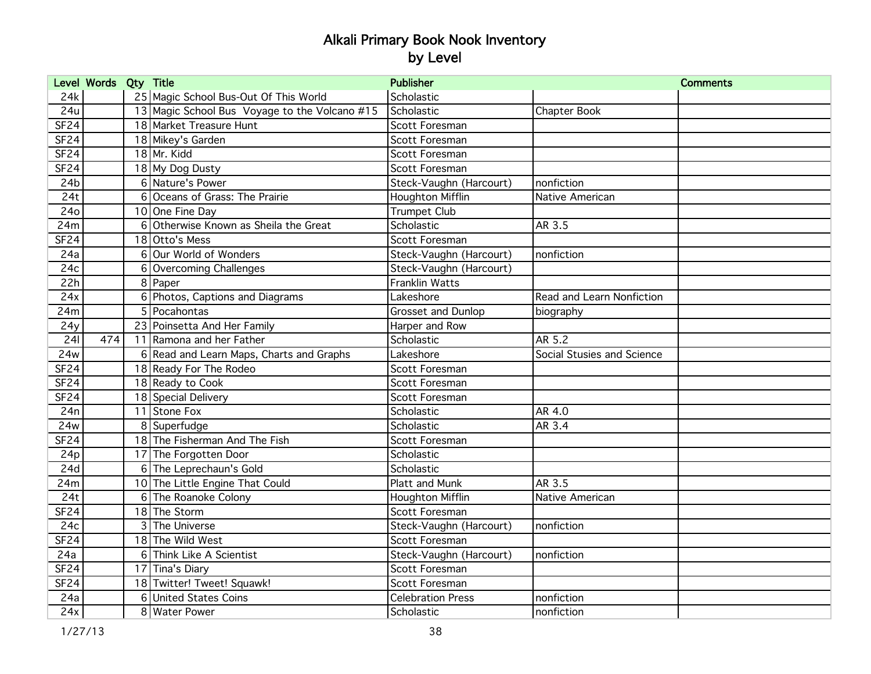|                  | Level Words Qty Title |   |                                               | <b>Publisher</b>          |                            | <b>Comments</b> |
|------------------|-----------------------|---|-----------------------------------------------|---------------------------|----------------------------|-----------------|
| 24k              |                       |   | 25 Magic School Bus-Out Of This World         | Scholastic                |                            |                 |
| 24u              |                       |   | 13 Magic School Bus Voyage to the Volcano #15 | Scholastic                | Chapter Book               |                 |
| SF <sub>24</sub> |                       |   | 18 Market Treasure Hunt                       | Scott Foresman            |                            |                 |
| <b>SF24</b>      |                       |   | 18 Mikey's Garden                             | Scott Foresman            |                            |                 |
| <b>SF24</b>      |                       |   | 18 Mr. Kidd                                   | Scott Foresman            |                            |                 |
| <b>SF24</b>      |                       |   | 18 My Dog Dusty                               | Scott Foresman            |                            |                 |
| 24 <sub>b</sub>  |                       |   | 6 Nature's Power                              | Steck-Vaughn (Harcourt)   | nonfiction                 |                 |
| 24t              |                       |   | 6 Oceans of Grass: The Prairie                | Houghton Mifflin          | Native American            |                 |
| 24o              |                       |   | 10 One Fine Day                               | <b>Trumpet Club</b>       |                            |                 |
| 24m              |                       | 6 | Otherwise Known as Sheila the Great           | Scholastic                | AR 3.5                     |                 |
| <b>SF24</b>      |                       |   | 18 Otto's Mess                                | Scott Foresman            |                            |                 |
| 24a              |                       |   | 6 Our World of Wonders                        | Steck-Vaughn (Harcourt)   | nonfiction                 |                 |
| 24c              |                       | 6 | Overcoming Challenges                         | Steck-Vaughn (Harcourt)   |                            |                 |
| 22h              |                       |   | 8 Paper                                       | <b>Franklin Watts</b>     |                            |                 |
| 24x              |                       |   | 6 Photos, Captions and Diagrams               | Lakeshore                 | Read and Learn Nonfiction  |                 |
| 24m              |                       |   | 5 Pocahontas                                  | <b>Grosset and Dunlop</b> | biography                  |                 |
| 24y              |                       |   | 23 Poinsetta And Her Family                   | Harper and Row            |                            |                 |
| 241              | 474                   |   | 11 Ramona and her Father                      | Scholastic                | AR 5.2                     |                 |
| 24w              |                       |   | 6 Read and Learn Maps, Charts and Graphs      | Lakeshore                 | Social Stusies and Science |                 |
| SF <sub>24</sub> |                       |   | 18 Ready For The Rodeo                        | Scott Foresman            |                            |                 |
| SF <sub>24</sub> |                       |   | 18 Ready to Cook                              | <b>Scott Foresman</b>     |                            |                 |
| <b>SF24</b>      |                       |   | 18 Special Delivery                           | Scott Foresman            |                            |                 |
| 24n              |                       |   | 11 Stone Fox                                  | Scholastic                | AR 4.0                     |                 |
| 24w              |                       |   | 8 Superfudge                                  | Scholastic                | AR 3.4                     |                 |
| <b>SF24</b>      |                       |   | 18 The Fisherman And The Fish                 | Scott Foresman            |                            |                 |
| 24p              |                       |   | 17 The Forgotten Door                         | Scholastic                |                            |                 |
| 24d              |                       |   | 6 The Leprechaun's Gold                       | Scholastic                |                            |                 |
| 24m              |                       |   | 10 The Little Engine That Could               | Platt and Munk            | <b>AR 3.5</b>              |                 |
| 24t              |                       |   | 6 The Roanoke Colony                          | Houghton Mifflin          | Native American            |                 |
| <b>SF24</b>      |                       |   | 18 The Storm                                  | Scott Foresman            |                            |                 |
| 24c              |                       |   | 3 The Universe                                | Steck-Vaughn (Harcourt)   | nonfiction                 |                 |
| <b>SF24</b>      |                       |   | 18 The Wild West                              | Scott Foresman            |                            |                 |
| 24a              |                       |   | 6 Think Like A Scientist                      | Steck-Vaughn (Harcourt)   | nonfiction                 |                 |
| <b>SF24</b>      |                       |   | 17 Tina's Diary                               | Scott Foresman            |                            |                 |
| <b>SF24</b>      |                       |   | 18 Twitter! Tweet! Squawk!                    | Scott Foresman            |                            |                 |
| 24a              |                       |   | 6 United States Coins                         | <b>Celebration Press</b>  | nonfiction                 |                 |
| 24x              |                       |   | 8 Water Power                                 | Scholastic                | nonfiction                 |                 |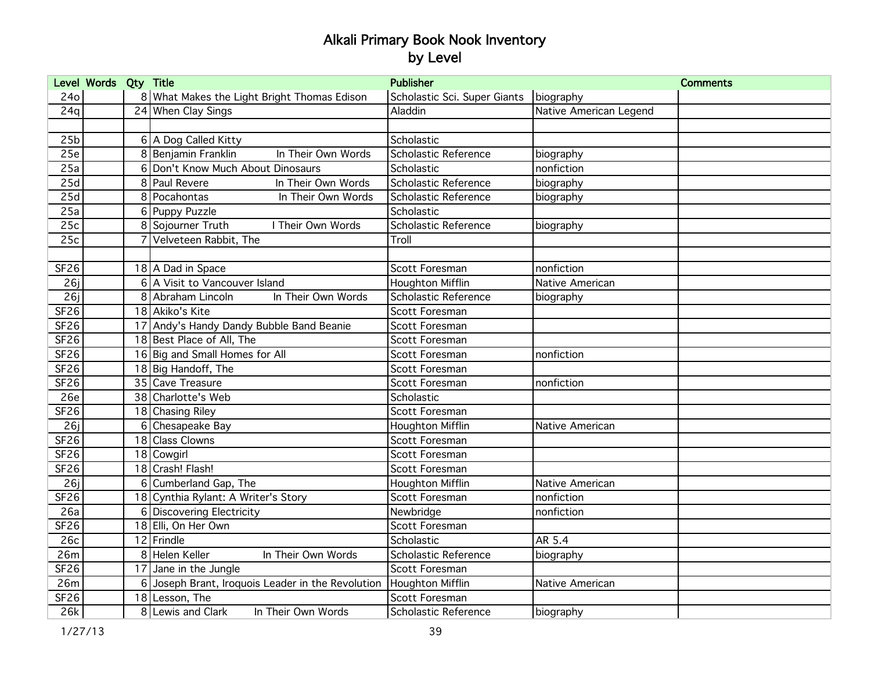|                  | Level Words Qty Title |   |                                                 | <b>Publisher</b>             |                        | <b>Comments</b> |
|------------------|-----------------------|---|-------------------------------------------------|------------------------------|------------------------|-----------------|
| 24o              |                       |   | 8 What Makes the Light Bright Thomas Edison     | Scholastic Sci. Super Giants | biography              |                 |
| 24q              |                       |   | 24 When Clay Sings                              | Aladdin                      | Native American Legend |                 |
|                  |                       |   |                                                 |                              |                        |                 |
| 25 <sub>b</sub>  |                       |   | 6 A Dog Called Kitty                            | Scholastic                   |                        |                 |
| 25e              |                       |   | 8 Benjamin Franklin<br>In Their Own Words       | <b>Scholastic Reference</b>  | biography              |                 |
| 25a              |                       |   | 6 Don't Know Much About Dinosaurs               | Scholastic                   | nonfiction             |                 |
| 25d              |                       |   | 8 Paul Revere<br>In Their Own Words             | Scholastic Reference         | biography              |                 |
| 25d              |                       |   | 8 Pocahontas<br>In Their Own Words              | Scholastic Reference         | biography              |                 |
| 25a              |                       |   | 6 Puppy Puzzle                                  | Scholastic                   |                        |                 |
| 25c              |                       |   | 8 Sojourner Truth<br>I Their Own Words          | Scholastic Reference         | biography              |                 |
| 25c              |                       |   | Velveteen Rabbit, The                           | Troll                        |                        |                 |
|                  |                       |   |                                                 |                              |                        |                 |
| <b>SF26</b>      |                       |   | 18 A Dad in Space                               | Scott Foresman               | nonfiction             |                 |
| 26j              |                       |   | 6 A Visit to Vancouver Island                   | <b>Houghton Mifflin</b>      | Native American        |                 |
| 26j              |                       |   | 8 Abraham Lincoln<br>In Their Own Words         | Scholastic Reference         | biography              |                 |
| <b>SF26</b>      |                       |   | 18 Akiko's Kite                                 | Scott Foresman               |                        |                 |
| SF <sub>26</sub> |                       |   | 17 Andy's Handy Dandy Bubble Band Beanie        | Scott Foresman               |                        |                 |
| <b>SF26</b>      |                       |   | 18 Best Place of All, The                       | Scott Foresman               |                        |                 |
| SF26             |                       |   | 16 Big and Small Homes for All                  | Scott Foresman               | nonfiction             |                 |
| <b>SF26</b>      |                       |   | 18 Big Handoff, The                             | Scott Foresman               |                        |                 |
| <b>SF26</b>      |                       |   | 35 Cave Treasure                                | Scott Foresman               | nonfiction             |                 |
| 26e              |                       |   | 38 Charlotte's Web                              | Scholastic                   |                        |                 |
| <b>SF26</b>      |                       |   | 18 Chasing Riley                                | Scott Foresman               |                        |                 |
| 26j              |                       | 6 | Chesapeake Bay                                  | Houghton Mifflin             | Native American        |                 |
| <b>SF26</b>      |                       |   | 18 Class Clowns                                 | Scott Foresman               |                        |                 |
| SF <sub>26</sub> |                       |   | 18 Cowgirl                                      | Scott Foresman               |                        |                 |
| <b>SF26</b>      |                       |   | 18 Crash! Flash!                                | Scott Foresman               |                        |                 |
| 26j              |                       |   | 6 Cumberland Gap, The                           | Houghton Mifflin             | Native American        |                 |
| <b>SF26</b>      |                       |   | 18 Cynthia Rylant: A Writer's Story             | Scott Foresman               | nonfiction             |                 |
| 26a              |                       |   | 6 Discovering Electricity                       | Newbridge                    | nonfiction             |                 |
| <b>SF26</b>      |                       |   | 18 Elli, On Her Own                             | Scott Foresman               |                        |                 |
| 26c              |                       |   | 12 Frindle                                      | Scholastic                   | AR 5.4                 |                 |
| 26m              |                       |   | 8 Helen Keller<br>In Their Own Words            | Scholastic Reference         | biography              |                 |
| SF26             |                       |   | 17 Jane in the Jungle                           | Scott Foresman               |                        |                 |
| 26m              |                       | 6 | Joseph Brant, Iroquois Leader in the Revolution | Houghton Mifflin             | Native American        |                 |
| <b>SF26</b>      |                       |   | 18 Lesson, The                                  | Scott Foresman               |                        |                 |
| 26k              |                       |   | 8 Lewis and Clark<br>In Their Own Words         | Scholastic Reference         | biography              |                 |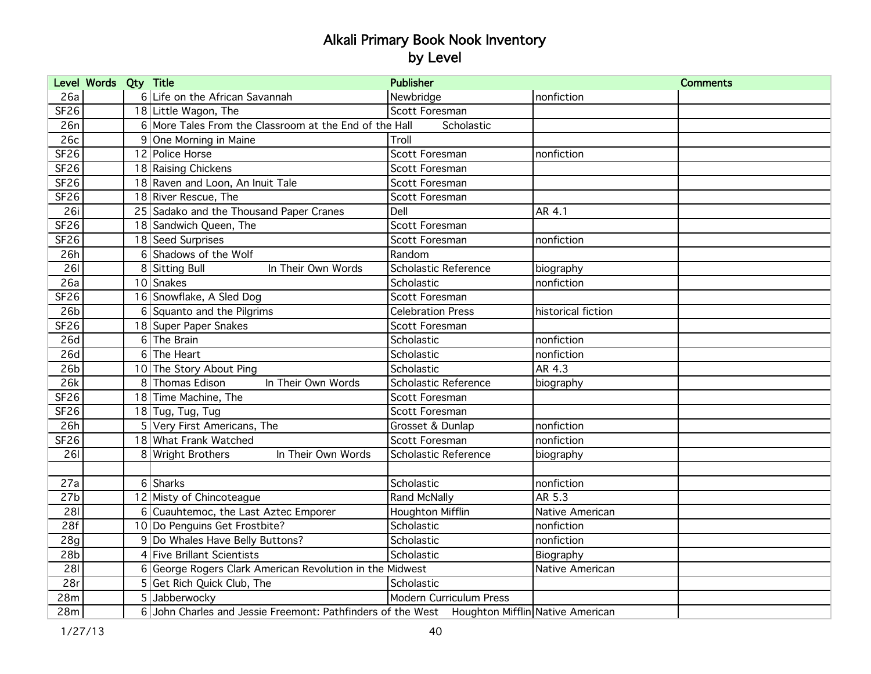|                  | Level Words Qty Title |                                                                                              | <b>Publisher</b>         |                    | <b>Comments</b> |
|------------------|-----------------------|----------------------------------------------------------------------------------------------|--------------------------|--------------------|-----------------|
| 26a              |                       | 6 Life on the African Savannah                                                               | Newbridge                | nonfiction         |                 |
| <b>SF26</b>      |                       | 18 Little Wagon, The                                                                         | Scott Foresman           |                    |                 |
| 26n              |                       | 6 More Tales From the Classroom at the End of the Hall                                       | Scholastic               |                    |                 |
| 26c              |                       | 9 One Morning in Maine                                                                       | Troll                    |                    |                 |
| SF <sub>26</sub> |                       | 12 Police Horse                                                                              | Scott Foresman           | nonfiction         |                 |
| <b>SF26</b>      |                       | 18 Raising Chickens                                                                          | Scott Foresman           |                    |                 |
| <b>SF26</b>      |                       | 18 Raven and Loon, An Inuit Tale                                                             | Scott Foresman           |                    |                 |
| <b>SF26</b>      |                       | 18 River Rescue, The                                                                         | Scott Foresman           |                    |                 |
| 26i              |                       | 25 Sadako and the Thousand Paper Cranes                                                      | Dell                     | AR 4.1             |                 |
| SF <sub>26</sub> |                       | 18 Sandwich Queen, The                                                                       | Scott Foresman           |                    |                 |
| <b>SF26</b>      |                       | 18 Seed Surprises                                                                            | Scott Foresman           | nonfiction         |                 |
| 26h              |                       | 6 Shadows of the Wolf                                                                        | Random                   |                    |                 |
| 261              |                       | 8 Sitting Bull<br>In Their Own Words                                                         | Scholastic Reference     | biography          |                 |
| 26a              |                       | 10 Snakes                                                                                    | Scholastic               | nonfiction         |                 |
| <b>SF26</b>      |                       | 16 Snowflake, A Sled Dog                                                                     | Scott Foresman           |                    |                 |
| 26 <sub>b</sub>  |                       | 6 Squanto and the Pilgrims                                                                   | <b>Celebration Press</b> | historical fiction |                 |
| <b>SF26</b>      |                       | 18 Super Paper Snakes                                                                        | Scott Foresman           |                    |                 |
| 26d              |                       | 6 The Brain                                                                                  | Scholastic               | nonfiction         |                 |
| 26d              |                       | 6 The Heart                                                                                  | Scholastic               | nonfiction         |                 |
| 26 <sub>b</sub>  |                       | 10 The Story About Ping                                                                      | Scholastic               | AR 4.3             |                 |
| 26k              |                       | 8 Thomas Edison<br>In Their Own Words                                                        | Scholastic Reference     | biography          |                 |
| SF <sub>26</sub> |                       | 18 Time Machine, The                                                                         | Scott Foresman           |                    |                 |
| <b>SF26</b>      |                       | $18$ Tug, Tug, Tug                                                                           | Scott Foresman           |                    |                 |
| 26h              |                       | 5 Very First Americans, The                                                                  | Grosset & Dunlap         | nonfiction         |                 |
| SF26             |                       | 18 What Frank Watched                                                                        | Scott Foresman           | nonfiction         |                 |
| 261              |                       | 8 Wright Brothers<br>In Their Own Words                                                      | Scholastic Reference     | biography          |                 |
|                  |                       |                                                                                              |                          |                    |                 |
| 27a              |                       | 6 Sharks                                                                                     | Scholastic               | nonfiction         |                 |
| 27 <sub>b</sub>  |                       | 12 Misty of Chincoteague                                                                     | Rand McNally             | AR 5.3             |                 |
| 281              |                       | 6 Cuauhtemoc, the Last Aztec Emporer                                                         | Houghton Mifflin         | Native American    |                 |
| 28f              |                       | 10 Do Penguins Get Frostbite?                                                                | Scholastic               | nonfiction         |                 |
| 28g              |                       | 9 Do Whales Have Belly Buttons?                                                              | Scholastic               | nonfiction         |                 |
| 28 <sub>b</sub>  |                       | 4 Five Brillant Scientists                                                                   | Scholastic               | Biography          |                 |
| 281              |                       | 6 George Rogers Clark American Revolution in the Midwest                                     |                          | Native American    |                 |
| 28r              |                       | 5 Get Rich Quick Club, The                                                                   | Scholastic               |                    |                 |
| 28m              |                       | 5 Jabberwocky                                                                                | Modern Curriculum Press  |                    |                 |
| 28m              |                       | 6 John Charles and Jessie Freemont: Pathfinders of the West Houghton Mifflin Native American |                          |                    |                 |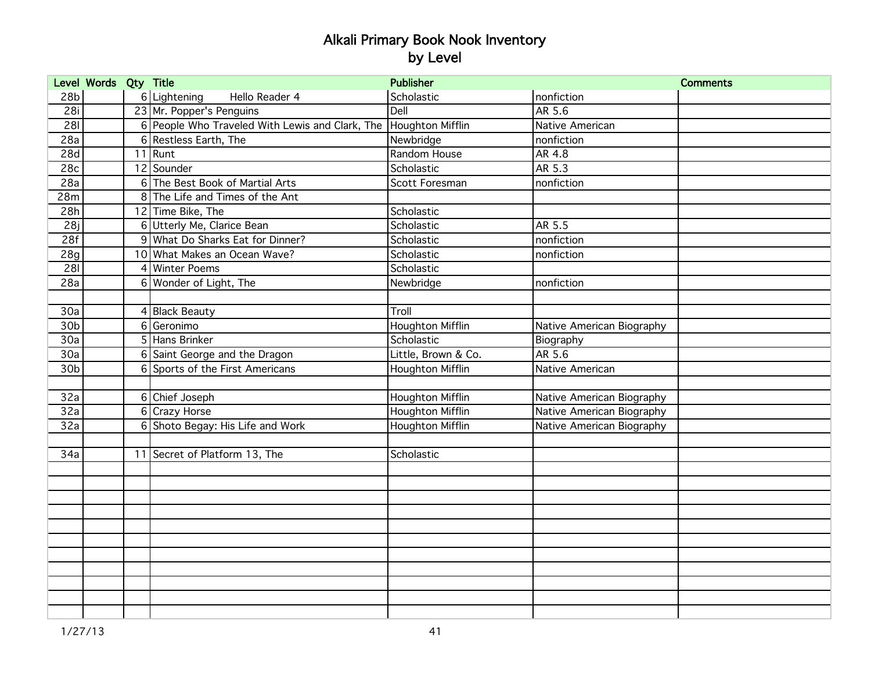|                  | Level Words Qty Title |   |                                                                  | <b>Publisher</b>        |                           | <b>Comments</b> |
|------------------|-----------------------|---|------------------------------------------------------------------|-------------------------|---------------------------|-----------------|
| 28 <sub>b</sub>  |                       |   | 6 Lightening<br>Hello Reader 4                                   | Scholastic              | nonfiction                |                 |
| 28i              |                       |   | 23 Mr. Popper's Penguins                                         | Dell                    | AR 5.6                    |                 |
| 281              |                       |   | 6 People Who Traveled With Lewis and Clark, The Houghton Mifflin |                         | Native American           |                 |
| 28a              |                       |   | 6 Restless Earth, The                                            | Newbridge               | nonfiction                |                 |
| 28d              |                       |   | $11$ Runt                                                        | Random House            | AR 4.8                    |                 |
| 28c              |                       |   | 12 Sounder                                                       | Scholastic              | AR 5.3                    |                 |
| 28a              |                       |   | 6 The Best Book of Martial Arts                                  | Scott Foresman          | nonfiction                |                 |
| 28m              |                       |   | 8 The Life and Times of the Ant                                  |                         |                           |                 |
| 28h              |                       |   | 12 Time Bike, The                                                | Scholastic              |                           |                 |
| 28j              |                       |   | 6 Utterly Me, Clarice Bean                                       | Scholastic              | AR 5.5                    |                 |
| 28f              |                       |   | 9 What Do Sharks Eat for Dinner?                                 | Scholastic              | nonfiction                |                 |
| 28g              |                       |   | 10 What Makes an Ocean Wave?                                     | Scholastic              | nonfiction                |                 |
| 281              |                       |   | 4 Winter Poems                                                   | Scholastic              |                           |                 |
| 28a              |                       |   | 6 Wonder of Light, The                                           | Newbridge               | nonfiction                |                 |
|                  |                       |   |                                                                  |                         |                           |                 |
| 30a              |                       |   | 4 Black Beauty                                                   | Troll                   |                           |                 |
| 30 <sub>b</sub>  |                       |   | 6 Geronimo                                                       | <b>Houghton Mifflin</b> | Native American Biography |                 |
| 30a              |                       |   | 5 Hans Brinker                                                   | Scholastic              | Biography                 |                 |
| $\overline{30a}$ |                       |   | 6 Saint George and the Dragon                                    | Little, Brown & Co.     | AR 5.6                    |                 |
| 30b              |                       |   | 6 Sports of the First Americans                                  | <b>Houghton Mifflin</b> | Native American           |                 |
|                  |                       |   |                                                                  |                         |                           |                 |
| 32a              |                       |   | 6 Chief Joseph                                                   | <b>Houghton Mifflin</b> | Native American Biography |                 |
| 32a              |                       | 6 | Crazy Horse                                                      | <b>Houghton Mifflin</b> | Native American Biography |                 |
| 32a              |                       |   | 6 Shoto Begay: His Life and Work                                 | <b>Houghton Mifflin</b> | Native American Biography |                 |
|                  |                       |   |                                                                  |                         |                           |                 |
| 34a              |                       |   | 11 Secret of Platform 13, The                                    | Scholastic              |                           |                 |
|                  |                       |   |                                                                  |                         |                           |                 |
|                  |                       |   |                                                                  |                         |                           |                 |
|                  |                       |   |                                                                  |                         |                           |                 |
|                  |                       |   |                                                                  |                         |                           |                 |
|                  |                       |   |                                                                  |                         |                           |                 |
|                  |                       |   |                                                                  |                         |                           |                 |
|                  |                       |   |                                                                  |                         |                           |                 |
|                  |                       |   |                                                                  |                         |                           |                 |
|                  |                       |   |                                                                  |                         |                           |                 |
|                  |                       |   |                                                                  |                         |                           |                 |
|                  |                       |   |                                                                  |                         |                           |                 |